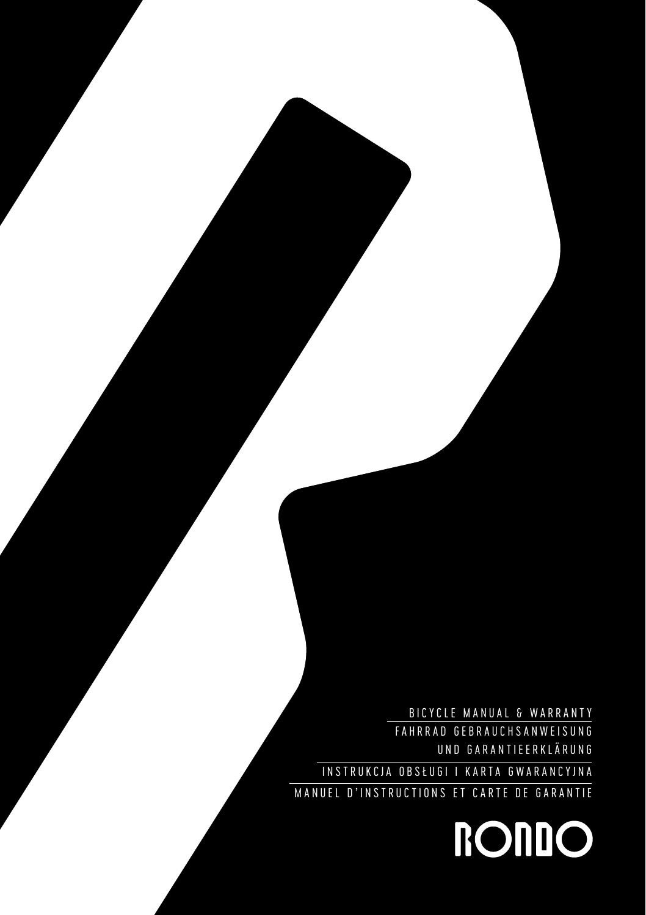

UND GARANTIEERKLÄRUNG INSTRUKCJA OBSŁUGI I KARTA GWARANCYJNA MANUEL D'INSTRUCTIONS ET CARTE DE GARANTIE

BICYCLE MANUAL & WARRANTY FAHRRAD GEBRAUCHSANWEISUNG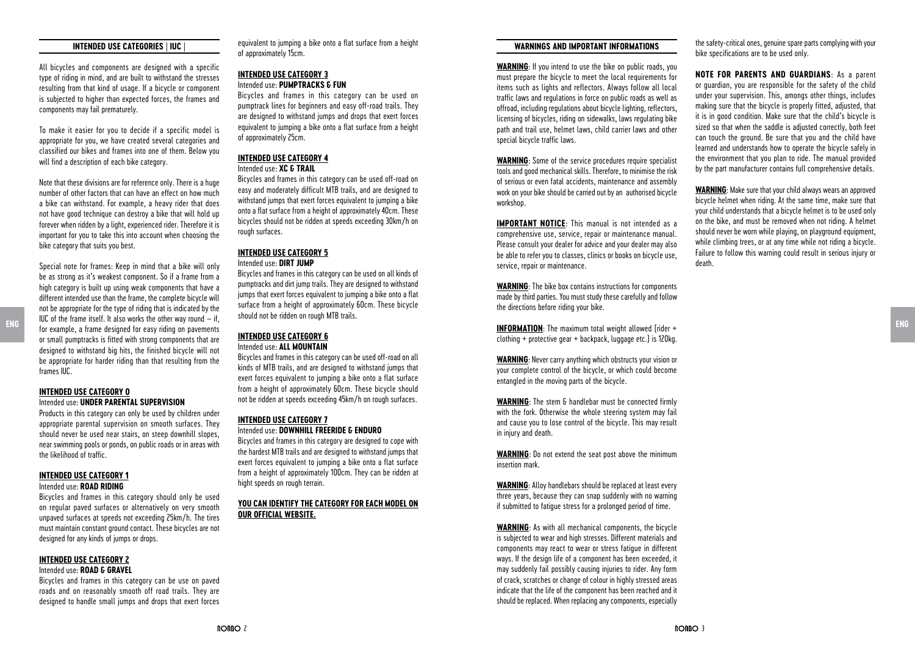# **INTENDED USE CATEGORIES | IUC |**

All bicycles and components are designed with a specific type of riding in mind, and are built to withstand the stresses resulting from that kind of usage. If a bicycle or component is subjected to higher than expected forces, the frames and components may fail prematurely.

To make it easier for you to decide if a specific model is appropriate for you, we have created several categories and classified our bikes and frames into one of them. Below you will find a description of each bike category.

Note that these divisions are for reference only. There is a huge number of other factors that can have an effect on how much a bike can withstand. For example, a heavy rider that does not have good technique can destroy a bike that will hold up forever when ridden by a light, experienced rider. Therefore it is important for you to take this into account when choosing the bike category that suits you best.

Special note for frames: Keep in mind that a bike will only be as strong as it's weakest component. So if a frame from a high category is built up using weak components that have a different intended use than the frame, the complete bicycle will not be appropriate for the type of riding that is indicated by the IUC of the frame itself. It also works the other way round  $-$  if, for example, a frame designed for easy riding on pavements or small pumptracks is fitted with strong components that are designed to withstand big hits, the finished bicycle will not be appropriate for harder riding than that resulting from the frames IUC. ENG **INFORMATION**: The maximum total weight allowed (rider + **ENG ENG ENG ENG ENG ENG ENG ENG ENG ENG ENG ENG ENG ENG ENG ENG ENG ENG ENG ENG ENG ENG ENG ENG ENG ENG ENG** 

Products in this category can only be used by children under appropriate parental supervision on smooth surfaces. They should never be used near stairs, on steep downhill slopes, near swimming pools or ponds, on public roads or in areas with the likelihood of traffic.

#### **INTENDED USE CATEGORY 1** Intended use: **ROAD RIDING**

Bicycles and frames in this category should only be used on regular paved surfaces or alternatively on very smooth unpaved surfaces at speeds not exceeding 25km/h. The tires must maintain constant ground contact. These bicycles are not designed for any kinds of jumps or drops.

#### **INTENDED USE CATEGORY 2** Intended use: **ROAD & GRAVEL**

Bicycles and frames in this category can be use on paved roads and on reasonably smooth off road trails. They are designed to handle small jumps and drops that exert forces equivalent to jumping a bike onto a flat surface from a height of approximately 15cm.

#### **INTENDED USE CATEGORY 3** Intended use: **PUMPTRACKS & FUN**

Bicycles and frames in this category can be used on pumptrack lines for beginners and easy off-road trails. They are designed to withstand jumps and drops that exert forces equivalent to jumping a bike onto a flat surface from a height of approximately 25cm.

#### **INTENDED USE CATEGORY 4** Intended use: **XC & TRAIL**

Bicycles and frames in this category can be used off-road on easy and moderately difficult MTB trails, and are designed to withstand jumps that exert forces equivalent to jumping a bike onto a flat surface from a height of approximately 40cm. These bicycles should not be ridden at speeds exceeding 30km/h on rough surfaces.

#### **INTENDED USE CATEGORY 5** Intended use: **DIRT JUMP**

Bicycles and frames in this category can be used on all kinds of pumptracks and dirt jump trails. They are designed to withstand jumps that exert forces equivalent to jumping a bike onto a flat surface from a height of approximately 60cm. These bicycle should not be ridden on rough MTB trails.

#### **INTENDED USE CATEGORY 6** Intended use: **ALL MOUNTAIN**

Bicycles and frames in this category can be used off-road on all kinds of MTB trails, and are designed to withstand jumps that exert forces equivalent to jumping a bike onto a flat surface from a height of approximately 60cm. These bicycle should not be ridden at speeds exceeding 45km/h on rough surfaces.

#### **INTENDED USE CATEGORY 7** Intended use: **DOWNHILL FREERIDE & ENDURO**

Bicycles and frames in this category are designed to cope with the hardest MTB trails and are designed to withstand jumps that exert forces equivalent to jumping a bike onto a flat surface from a height of approximately 100cm. They can be ridden at hight speeds on rough terrain.

# **YOU CAN IDENTIFY THE CATEGORY FOR EACH MODEL ON OUR OFFICIAL WEBSITE.**

# **WARNINGS AND IMPORTANT INFORMATIONS**

**WARNING**: If you intend to use the bike on public roads, you must prepare the bicycle to meet the local requirements for items such as lights and reflectors. Always follow all local traffic laws and regulations in force on public roads as well as offroad, including regulations about bicycle lighting, reflectors, licensing of bicycles, riding on sidewalks, laws regulating bike path and trail use, helmet laws, child carrier laws and other special bicycle traffic laws.

**WARNING**: Some of the service procedures require specialist tools and good mechanical skills. Therefore, to minimise the risk of serious or even fatal accidents, maintenance and assembly work on your bike should be carried out by an authorised bicycle workshop.

**IMPORTANT NOTICE:** This manual is not intended as a comprehensive use, service, repair or maintenance manual. Please consult your dealer for advice and your dealer may also be able to refer you to classes, clinics or books on bicycle use, service, repair or maintenance.

**WARNING**: The bike box contains instructions for components made by third parties. You must study these carefully and follow the directions before riding your bike.

clothing + protective gear + backpack, luggage etc.) is 120kg.

**WARNING**: Never carry anything which obstructs your vision or your complete control of the bicycle, or which could become entangled in the moving parts of the bicycle.

**WARNING**: The stem & handlebar must be connected firmly with the fork. Otherwise the whole steering system may fail and cause you to lose control of the bicycle. This may result in injury and death.

**WARNING**: Do not extend the seat post above the minimum insertion mark.

**WARNING**: Alloy handlebars should be replaced at least every three years, because they can snap suddenly with no warning if submitted to fatigue stress for a prolonged period of time.

**WARNING**: As with all mechanical components, the bicycle is subjected to wear and high stresses. Different materials and components may react to wear or stress fatigue in different ways. If the design life of a component has been exceeded, it may suddenly fail possibly causing injuries to rider. Any form of crack, scratches or change of colour in highly stressed areas indicate that the life of the component has been reached and it should be replaced. When replacing any components, especially the safety-critical ones, genuine spare parts complying with your bike specifications are to be used only.

**NOTE FOR PARENTS AND GUARDIANS**: As a parent or guardian, you are responsible for the safety of the child under your supervision. This, amongs other things, includes making sure that the bicycle is properly fitted, adjusted, that it is in good condition. Make sure that the child's bicycle is sized so that when the saddle is adjusted correctly, both feet can touch the ground. Be sure that you and the child have learned and understands how to operate the bicycle safely in the environment that you plan to ride. The manual provided by the part manufacturer contains full comprehensive details.

**WARNING**: Make sure that your child always wears an approved bicycle helmet when riding. At the same time, make sure that your child understands that a bicycle helmet is to be used only on the bike, and must be removed when not riding. A helmet should never be worn while playing, on playground equipment, while climbing trees, or at any time while not riding a bicycle. Failure to follow this warning could result in serious injury or death.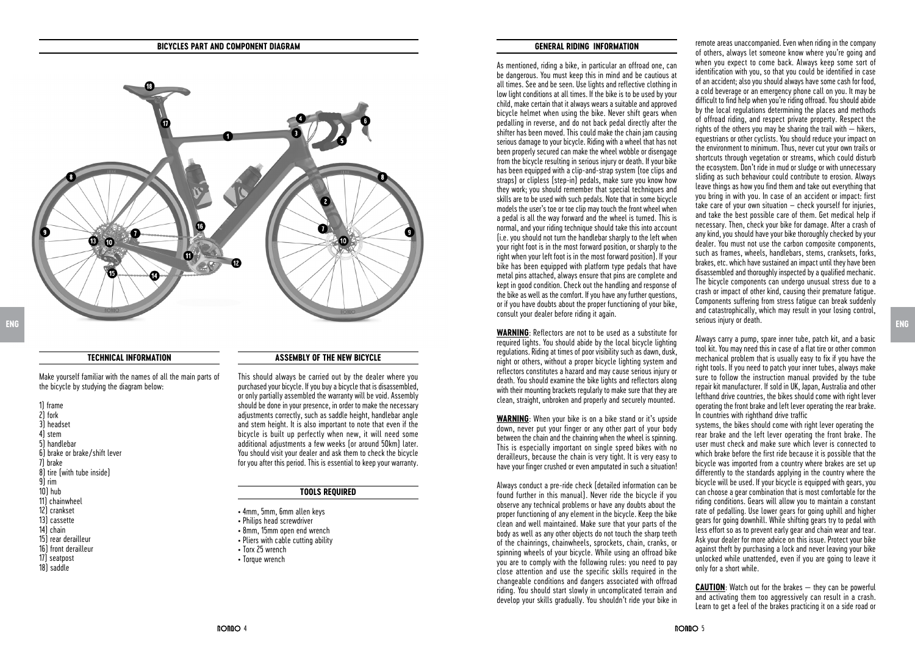# **BICYCLES PART AND COMPONENT DIAGRAM GENERAL RIDING INFORMATION**



#### **TECHNICAL INFORMATION**

Make yourself familiar with the names of all the main parts of the bicycle by studying the diagram below:

1) frame  $2)$  fork 3) headset 4) stem 5) handlebar 6) brake or brake/shift lever 7) brake 8) tire (with tube inside) 9) rim  $10$ ] hub 11) chainwheel 12) crankset 13) cassette 14) chain 15) rear derailleur 16) front derailleur 17) seatpost 18) saddle

#### **ASSEMBLY OF THE NEW BICYCLE**

This should always be carried out by the dealer where you purchased your bicycle. If you buy a bicycle that is disassembled, or only partially assembled the warranty will be void. Assembly should be done in your presence, in order to make the necessary adjustments correctly, such as saddle height, handlebar angle and stem height. It is also important to note that even if the bicycle is built up perfectly when new, it will need some additional adjustments a few weeks (or around 50km) later. You should visit your dealer and ask them to check the bicycle for you after this period. This is essential to keep your warranty.

#### **TOOLS REQUIRED**

- 4mm, 5mm, 6mm allen keys
- Philips head screwdriver
- 8mm, 15mm open end wrench
- Pliers with cable cutting ability
- Torx 25 wrench
- Torque wrench

As mentioned, riding a bike, in particular an offroad one, can be dangerous. You must keep this in mind and be cautious at all times. See and be seen. Use lights and reflective clothing in low light conditions at all times. If the bike is to be used by your child, make certain that it always wears a suitable and approved bicycle helmet when using the bike. Never shift gears when pedalling in reverse, and do not back pedal directly after the shifter has been moved. This could make the chain jam causing serious damage to your bicycle. Riding with a wheel that has not been properly secured can make the wheel wobble or disengage from the bicycle resulting in serious injury or death. If your bike has been equipped with a clip-and-strap system (toe clips and straps) or clipless (step-in) pedals, make sure you know how they work; you should remember that special techniques and skills are to be used with such pedals. Note that in some bicycle models the user's toe or toe clip may touch the front wheel when a pedal is all the way forward and the wheel is turned. This is normal, and your riding technique should take this into account (i.e. you should not turn the handlebar sharply to the left when your right foot is in the most forward position, or sharply to the right when your left foot is in the most forward position). If your bike has been equipped with platform type pedals that have metal pins attached, always ensure that pins are complete and kept in good condition. Check out the handling and response of the bike as well as the comfort. If you have any further questions, or if you have doubts about the proper functioning of your bike, consult your dealer before riding it again.

**WARNING**: Reflectors are not to be used as a substitute for **<u>THERE</u> EXECUTE THE CONSUMER CONSUMING THE LOCAL CONSUMING THE LOCAL DISPONSIVE LIGHTING** regulations. Riding at times of poor visibility such as dawn, dusk, night or others, without a proper bicycle lighting system and reflectors constitutes a hazard and may cause serious injury or death. You should examine the bike lights and reflectors along with their mounting brackets regularly to make sure that they are clean, straight, unbroken and properly and securely mounted.

**WARNING**: When your bike is on a bike stand or it's upside down, never put your finger or any other part of your body between the chain and the chainring when the wheel is spinning. This is especially important on single speed bikes with no derailleurs, because the chain is very tight. It is very easy to have your finger crushed or even amputated in such a situation!

Always conduct a pre-ride check (detailed information can be found further in this manual). Never ride the bicycle if you observe any technical problems or have any doubts about the proper functioning of any element in the bicycle. Keep the bike clean and well maintained. Make sure that your parts of the body as well as any other objects do not touch the sharp teeth of the chainrings, chainwheels, sprockets, chain, cranks, or spinning wheels of your bicycle. While using an offroad bike you are to comply with the following rules: you need to pay close attention and use the specific skills required in the changeable conditions and dangers associated with offroad riding. You should start slowly in uncomplicated terrain and develop your skills gradually. You shouldn't ride your bike in

remote areas unaccompanied. Even when riding in the company of others, always let someone know where you're going and when you expect to come back. Always keep some sort of identification with you, so that you could be identified in case of an accident; also you should always have some cash for food, a cold beverage or an emergency phone call on you. It may be difficult to find help when you're riding offroad. You should abide by the local regulations determining the places and methods of offroad riding, and respect private property. Respect the rights of the others you may be sharing the trail with  $-$  hikers. equestrians or other cyclists. You should reduce your impact on the environment to minimum. Thus, never cut your own trails or shortcuts through vegetation or streams, which could disturb the ecosystem. Don't ride in mud or sludge or with unnecessary sliding as such behaviour could contribute to erosion. Always leave things as how you find them and take out everything that you bring in with you. In case of an accident or impact: first take care of your own situation – check yourself for injuries, and take the best possible care of them. Get medical help if necessary. Then, check your bike for damage. After a crash of any kind, you should have your bike thoroughly checked by your dealer. You must not use the carbon composite components, such as frames, wheels, handlebars, stems, cranksets, forks, brakes, etc. which have sustained an impact until they have been disassembled and thoroughly inspected by a qualified mechanic. The bicycle components can undergo unusual stress due to a crash or impact of other kind, causing their premature fatigue. Components suffering from stress fatigue can break suddenly and catastrophically, which may result in your losing control, serious injury or death.

Always carry a pump, spare inner tube, patch kit, and a basic tool kit. You may need this in case of a flat tire or other common mechanical problem that is usually easy to fix if you have the right tools. If you need to patch your inner tubes, always make sure to follow the instruction manual provided by the tube repair kit manufacturer. If sold in UK, Japan, Australia and other lefthand drive countries, the bikes should come with right lever operating the front brake and left lever operating the rear brake. In countries with righthand drive traffic

systems, the bikes should come with right lever operating the rear brake and the left lever operating the front brake. The user must check and make sure which lever is connected to which brake before the first ride because it is possible that the bicycle was imported from a country where brakes are set up differently to the standards applying in the country where the bicycle will be used. If your bicycle is equipped with gears, you can choose a gear combination that is most comfortable for the riding conditions. Gears will allow you to maintain a constant rate of pedalling. Use lower gears for going uphill and higher gears for going downhill. While shifting gears try to pedal with less effort so as to prevent early gear and chain wear and tear. Ask your dealer for more advice on this issue. Protect your bike against theft by purchasing a lock and never leaving your bike unlocked while unattended, even if you are going to leave it only for a short while.

**CAUTION**: Watch out for the brakes — they can be powerful and activating them too aggressively can result in a crash. Learn to get a feel of the brakes practicing it on a side road or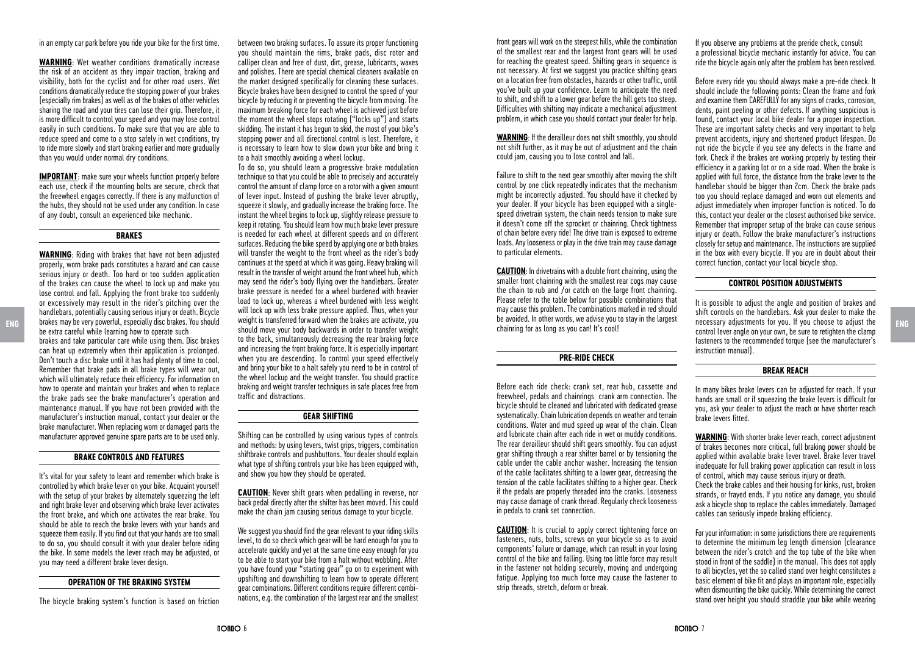in an empty car park before you ride your bike for the first time.

**WARNING**: Wet weather conditions dramatically increase the risk of an accident as they impair traction, braking and visibility, both for the cyclist and for other road users. Wet conditions dramatically reduce the stopping power of your brakes (especially rim brakes) as well as of the brakes of other vehicles sharing the road and your tires can lose their grip. Therefore, it is more difficult to control your speed and you may lose control easily in such conditions. To make sure that you are able to reduce speed and come to a stop safely in wet conditions, try to ride more slowly and start braking earlier and more gradually than you would under normal dry conditions.

**IMPORTANT:** make sure your wheels function properly before each use, check if the mounting bolts are secure, check that the freewheel engages correctly. If there is any malfunction of the hubs, they should not be used under any condition. In case of any doubt, consult an experienced bike mechanic.

#### **BRAKES**

**WARNING**: Riding with brakes that have not been adjusted properly, worn brake pads constitutes a hazard and can cause serious injury or death. Too hard or too sudden application of the brakes can cause the wheel to lock up and make you lose control and fall. Applying the front brake too suddenly or excessively may result in the rider's pitching over the handlebars, potentially causing serious injury or death. Bicycle brakes may be very powerful, especially disc brakes. You should be extra careful while learning how to operate such brakes and take particular care while using them. Disc brakes

can heat up extremely when their application is prolonged. Don't touch a disc brake until it has had plenty of time to cool. Remember that brake pads in all brake types will wear out, which will ultimately reduce their efficiency. For information on how to operate and maintain your brakes and when to replace the brake pads see the brake manufacturer's operation and maintenance manual. If you have not been provided with the manufacturer's instruction manual, contact your dealer or the brake manufacturer. When replacing worn or damaged parts the manufacturer approved genuine spare parts are to be used only.

#### **BRAKE CONTROLS AND FEATURES**

It's vital for your safety to learn and remember which brake is controlled by which brake lever on your bike. Acquaint yourself with the setup of your brakes by alternately squeezing the left and right brake lever and observing which brake lever activates the front brake, and which one activates the rear brake. You should be able to reach the brake levers with your hands and squeeze them easily. If you find out that your hands are too small to do so, you should consult it with your dealer before riding the bike. In some models the lever reach may be adjusted, or you may need a different brake lever design.

#### **OPERATION OF THE BRAKING SYSTEM**

The bicycle braking system's function is based on friction

between two braking surfaces. To assure its proper functioning you should maintain the rims, brake pads, disc rotor and calliper clean and free of dust, dirt, grease, lubricants, waxes and polishes. There are special chemical cleaners available on the market designed specifically for cleaning these surfaces. Bicycle brakes have been designed to control the speed of your bicycle by reducing it or preventing the bicycle from moving. The maximum breaking force for each wheel is achieved just before the moment the wheel stops rotating ("locks up") and starts skidding. The instant it has begun to skid, the most of your bike's stopping power and all directional control is lost. Therefore, it is necessary to learn how to slow down your bike and bring it to a halt smoothly avoiding a wheel lockup.

To do so, you should learn a progressive brake modulation technique so that you could be able to precisely and accurately control the amount of clamp force on a rotor with a given amount of lever input. Instead of pushing the brake lever abruptly, squeeze it slowly, and gradually increase the braking force. The instant the wheel begins to lock up, slightly release pressure to keep it rotating. You should learn how much brake lever pressure is needed for each wheel at different speeds and on different surfaces. Reducing the bike speed by applying one or both brakes will transfer the weight to the front wheel as the rider's body continues at the speed at which it was going. Heavy braking will result in the transfer of weight around the front wheel hub, which may send the rider's body flying over the handlebars. Greater brake pressure is needed for a wheel burdened with heavier load to lock up, whereas a wheel burdened with less weight will lock up with less brake pressure applied. Thus, when your weight is transferred forward when the brakes are activate, you should move your body backwards in order to transfer weight of the changes of the changes of the control every agreement of the control every agreement of the control every agreement of the control every and the control ev to the back, simultaneously decreasing the rear braking force and increasing the front braking force. It is especially important when you are descending. To control your speed effectively and bring your bike to a halt safely you need to be in control of the wheel lockup and the weight transfer. You should practice braking and weight transfer techniques in safe places free from traffic and distractions.

#### **GEAR SHIFTING**

Shifting can be controlled by using various types of controls and methods: by using levers, twist grips, triggers, combination shiftbrake controls and pushbuttons. Your dealer should explain what type of shifting controls your bike has been equipped with. and show you how they should be operated.

**CAUTION**: Never shift gears when pedalling in reverse, nor back pedal directly after the shifter has been moved. This could make the chain jam causing serious damage to your bicycle.

We suggest you should find the gear relevant to your riding skills level, to do so check which gear will be hard enough for you to accelerate quickly and yet at the same time easy enough for you to be able to start your bike from a halt without wobbling. After you have found your "starting gear" go on to experiment with upshifting and downshifting to learn how to operate different gear combinations. Different conditions require different combinations, e.g. the combination of the largest rear and the smallest

front gears will work on the steepest hills, while the combination of the smallest rear and the largest front gears will be used for reaching the greatest speed. Shifting gears in sequence is not necessary. At first we suggest you practice shifting gears on a location free from obstacles, hazards or other traffic, until you've built up your confidence. Learn to anticipate the need to shift, and shift to a lower gear before the hill gets too steep. Difficulties with shifting may indicate a mechanical adjustment problem, in which case you should contact your dealer for help.

**WARNING**: If the derailleur does not shift smoothly, you should not shift further, as it may be out of adjustment and the chain could jam, causing you to lose control and fall.

Failure to shift to the next gear smoothly after moving the shift control by one click repeatedly indicates that the mechanism might be incorrectly adjusted. You should have it checked by your dealer. If your bicycle has been equipped with a singlespeed drivetrain system, the chain needs tension to make sure it doesn't come off the sprocket or chainring. Check tightness of chain before every ride! The drive train is exposed to extreme loads. Any looseness or play in the drive train may cause damage to particular elements.

**CAUTION**: In drivetrains with a double front chainring, using the smaller front chainring with the smallest rear cogs may cause the chain to rub and /or catch on the large front chainring. Please refer to the table below for possible combinations that may cause this problem. The combinations marked in red should be avoided. In other words, we advise you to stay in the largest chainring for as long as you can! It's cool!

# **PRE-RIDE CHECK**

Before each ride check: crank set, rear hub, cassette and freewheel, pedals and chainrings crank arm connection. The bicycle should be cleaned and lubricated with dedicated grease systematically. Chain lubrication depends on weather and terrain conditions. Water and mud speed up wear of the chain. Clean and lubricate chain after each ride in wet or muddy conditions. The rear derailleur should shift gears smoothly. You can adjust gear shifting through a rear shifter barrel or by tensioning the cable under the cable anchor washer. Increasing the tension of the cable facilitates shifting to a lower gear, decreasing the tension of the cable facilitates shifting to a higher gear. Check if the pedals are properly threaded into the cranks. Looseness may cause damage of crank thread. Regularly check looseness in pedals to crank set connection.

**CAUTION:** It is crucial to apply correct tightening force on fasteners, nuts, bolts, screws on your bicycle so as to avoid components' failure or damage, which can result in your losing control of the bike and falling. Using too little force may result in the fastener not holding securely, moving and undergoing fatigue. Applying too much force may cause the fastener to strip threads, stretch, deform or break.

If you observe any problems at the preride check, consult a professional bicycle mechanic instantly for advice. You can ride the bicycle again only after the problem has been resolved.

Before every ride you should always make a pre-ride check. It should include the following points: Clean the frame and fork and examine them CAREFULLY for any signs of cracks, corrosion, dents, paint peeling or other defects. If anything suspicious is found, contact your local bike dealer for a proper inspection. These are important safety checks and very important to help prevent accidents, injury and shortened product lifespan. Do not ride the bicycle if you see any defects in the frame and fork. Check if the brakes are working properly by testing their efficiency in a parking lot or on a side road. When the brake is applied with full force, the distance from the brake lever to the handlebar should be binner than  $2cm$ . Check the brake pads too you should replace damaged and worn out elements and adjust immediately when improper function is noticed. To do this, contact your dealer or the closest authorised bike service. Remember that improper setup of the brake can cause serious injury or death. Follow the brake manufacturer's instructions closely for setup and maintenance. The instructions are supplied in the box with every bicycle. If you are in doubt about their correct function, contact your local bicycle shop.

#### **CONTROL POSITION ADJUSTMENTS**

It is possible to adjust the angle and position of brakes and shift controls on the handlebars. Ask your dealer to make the necessary adjustments for you. If you choose to adjust the control lever angle on your own, be sure to retighten the clamp fasteners to the recommended torque (see the manufacturer's instruction manual).

In many bikes brake levers can be adjusted for reach. If your hands are small or if squeezing the brake levers is difficult for you, ask your dealer to adjust the reach or have shorter reach brake levers fitted.

**WARNING**: With shorter brake lever reach, correct adjustment of brakes becomes more critical, full braking power should be applied within available brake lever travel. Brake lever travel inadequate for full braking power application can result in loss of control, which may cause serious injury or death. Check the brake cables and their housing for kinks, rust, broken strands, or fraved ends. If you notice any damage, you should ask a bicycle shop to replace the cables immediately. Damaged cables can seriously impede braking efficiency.

For your information: in some jurisdictions there are requirements to determine the minimum leg length dimension (clearance between the rider's crotch and the top tube of the bike when stood in front of the saddle) in the manual. This does not apply to all bicycles, yet the so called stand over height constitutes a basic element of bike fit and plays an important role, especially when dismounting the bike quickly. While determining the correct stand over height you should straddle your bike while wearing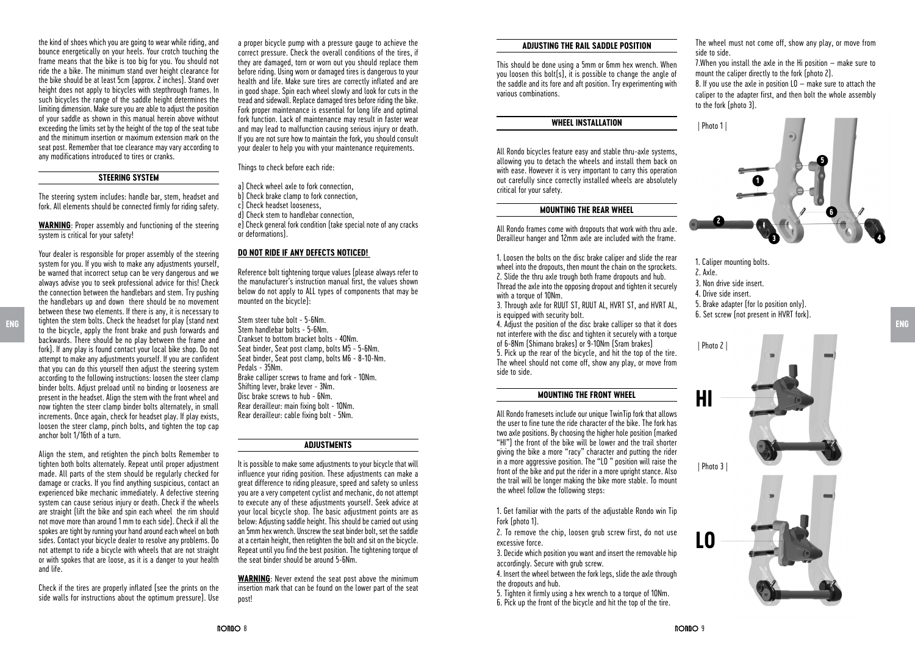the kind of shoes which you are going to wear while riding, and bounce energetically on your heels. Your crotch touching the frame means that the bike is too big for you. You should not ride the a bike. The minimum stand over height clearance for the bike should be at least 5cm (approx. 2 inches). Stand over height does not apply to bicycles with stepthrough frames. In such bicycles the range of the saddle height determines the limiting dimension. Make sure you are able to adjust the position of your saddle as shown in this manual herein above without exceeding the limits set by the height of the top of the seat tube and the minimum insertion or maximum extension mark on the seat nost. Remember that toe clearance may vary according to any modifications introduced to tires or cranks.

#### **STEERING SYSTEM**

The steering system includes: handle bar, stem, headset and fork. All elements should be connected firmly for riding safety.

**WARNING:** Proper assembly and functioning of the steering system is critical for your safety!

Your dealer is responsible for proper assembly of the steering system for you. If you wish to make any adjustments yourself. be warned that incorrect setup can be very dangerous and we always advise you to seek professional advice for this! Check the connection between the handlebars and stem. Try pushing the handlebars up and down there should be no movement between these two elements. If there is any, it is necessary to tighten the stem bolts. Check the headset for play (stand next to the bicycle, apply the front brake and push forwards and backwards. There should be no play between the frame and fork). If any play is found contact your local bike shop. Do not attempt to make any adjustments yourself. If you are confident that you can do this yourself then adjust the steering system according to the following instructions: loosen the steer clamp binder bolts. Adjust preload until no binding or looseness are present in the headset. Align the stem with the front wheel and now tighten the steer clamp binder bolts alternately, in small increments. Once again, check for headset play. If play exists, loosen the steer clamp, pinch bolts, and tighten the top cap anchor bolt 1/16th of a turn. ENG **ENG ENG ENG ENG ENG ENG ENG ENG ENG ENG ENG ENG ENG ENG ENG ENG ENG ENG ENG ENG ENG ENG ENG ENG ENG ENG ENG ENG ENG ENG ENG ENG ENG ENG ENG ENG E** 

Align the stem, and retighten the pinch bolts Remember to tighten both bolts alternately. Repeat until proper adjustment made. All parts of the stem should be regularly checked for damage or cracks. If you find anything suspicious, contact an experienced bike mechanic immediately. A defective steering system can cause serious injury or death. Check if the wheels are straight (lift the bike and spin each wheel the rim should not move more than around 1 mm to each side). Check if all the spokes are tight by running your hand around each wheel on both sides. Contact your bicycle dealer to resolve any problems. Do not attempt to ride a bicycle with wheels that are not straight or with spokes that are loose, as it is a danger to your health and life.

Check if the tires are properly inflated (see the prints on the side walls for instructions about the optimum pressure). Use

a proper bicycle pump with a pressure gauge to achieve the correct pressure. Check the overall conditions of the tires, if they are damaged, torn or worn out you should replace them before riding. Using worn or damaged tires is dangerous to your health and life. Make sure tires are correctly inflated and are in good shape. Spin each wheel slowly and look for cuts in the tread and sidewall. Replace damaged tires before riding the bike. Fork proper maintenance is essential for long life and optimal fork function. Lack of maintenance may result in faster wear and may lead to malfunction causing serious injury or death. If you are not sure how to maintain the fork, you should consult your dealer to help you with your maintenance requirements.

Things to check before each ride:

a) Check wheel axle to fork connection, b) Check brake clamp to fork connection, c) Check headset looseness, d) Check stem to handlebar connection, e) Check general fork condition (take special note of any cracks or deformations).

# **DO NOT RIDE IF ANY DEFECTS NOTICED!**

Reference bolt tightening torque values (please always refer to the manufacturer's instruction manual first, the values shown below do not apply to ALL types of components that may be mounted on the bicycle):

Stem steer tube bolt - 5-6Nm. Stem handlebar bolts - 5-6Nm. Crankset to bottom bracket bolts - 40Nm. Seat binder, Seat post clamp, bolts M5 - 5-6Nm. Seat binder, Seat post clamp, bolts M6 - 8-10-Nm. Pedals - 35Nm. Brake calliper screws to frame and fork - 10Nm. Shifting lever, brake lever - 3Nm. Disc brake screws to hub - 6Nm. Rear derailleur: main fixing bolt - 10Nm. Rear derailleur: cable fixing bolt - 5Nm.

# **ADJUSTMENTS**

It is possible to make some adjustments to your bicycle that will influence your riding position. These adjustments can make a great difference to riding pleasure, speed and safety so unless you are a very competent cyclist and mechanic, do not attempt to execute any of these adjustments yourself. Seek advice at your local bicycle shop. The basic adjustment points are as below: Adjusting saddle height. This should be carried out using an 5mm hex wrench. Unscrew the seat binder bolt, set the saddle at a certain height, then retighten the bolt and sit on the bicycle. Repeat until you find the best position. The tightening torque of the seat binder should be around 5-6Nm.

**WARNING**: Never extend the seat post above the minimum insertion mark that can be found on the lower part of the seat post!

#### **ADJUSTING THE RAIL SADDLE POSITION**

This should be done using a 5mm or 6mm hex wrench. When you loosen this bolt(s), it is possible to change the angle of the saddle and its fore and aft position. Try experimenting with various combinations.

#### **WHEEL INSTALLATION**

All Rondo bicycles feature easy and stable thru-axle systems. allowing you to detach the wheels and install them back on with ease. However it is very important to carry this operation out carefully since correctly installed wheels are absolutely critical for your safety.

#### **MOUNTING THE REAR WHEEL**

All Rondo frames come with dropouts that work with thru axle. Derailleur hanger and 12mm axle are included with the frame.

1. Loosen the bolts on the disc brake caliper and slide the rear wheel into the dropouts, then mount the chain on the sprockets. 2. Slide the thru axle trough both frame dropouts and hub. Thread the axle into the opposing dropout and tighten it securely with a torque of 10Nm.

3. Through axle for RUUT ST, RUUT AL, HVRT ST, and HVRT AL, is equipped with security bolt.

not interfere with the disc and tighten it securely with a torque of 6-8Nm (Shimano brakes) or 9-10Nm (Sram brakes) 5. Pick up the rear of the bicycle, and hit the top of the tire. The wheel should not come off, show any play, or move from side to side.

#### **MOUNTING THE FRONT WHEEL**

All Rondo framesets include our unique TwinTip fork that allows the user to fine tune the ride character of the bike. The fork has two axle positions. By choosing the higher hole position (marked "HI") the front of the bike will be lower and the trail shorter giving the bike a more "racy" character and putting the rider in a more aggressive position. The "LO " position will raise the front of the bike and put the rider in a more upright stance. Also the trail will be longer making the bike more stable. To mount the wheel follow the following steps:

1. Get familiar with the parts of the adjustable Rondo win Tip Fork (photo 1).

2. To remove the chip, loosen grub screw first, do not use excessive force.

3. Decide which position you want and insert the removable hip accordingly. Secure with grub screw.

4. Insert the wheel between the fork legs, slide the axle through the dropouts and hub.

5. Tighten it firmly using a hex wrench to a torque of 10Nm. 6. Pick up the front of the bicycle and hit the top of the tire. The wheel must not come off, show any play, or move from side to side.

7.When you install the axle in the Hi position – make sure to mount the caliner directly to the fork (photo 2).

8. If you use the axle in position LO – make sure to attach the caliper to the adapter first, and then bolt the whole assembly to the fork (photo 3).



1. Caliper mounting bolts.

- 2. Axle.
- 3. Non drive side insert.
- 4. Drive side insert.
- 5. Brake adapter (for lo position only).
- 6. Set screw (not present in HVRT fork).

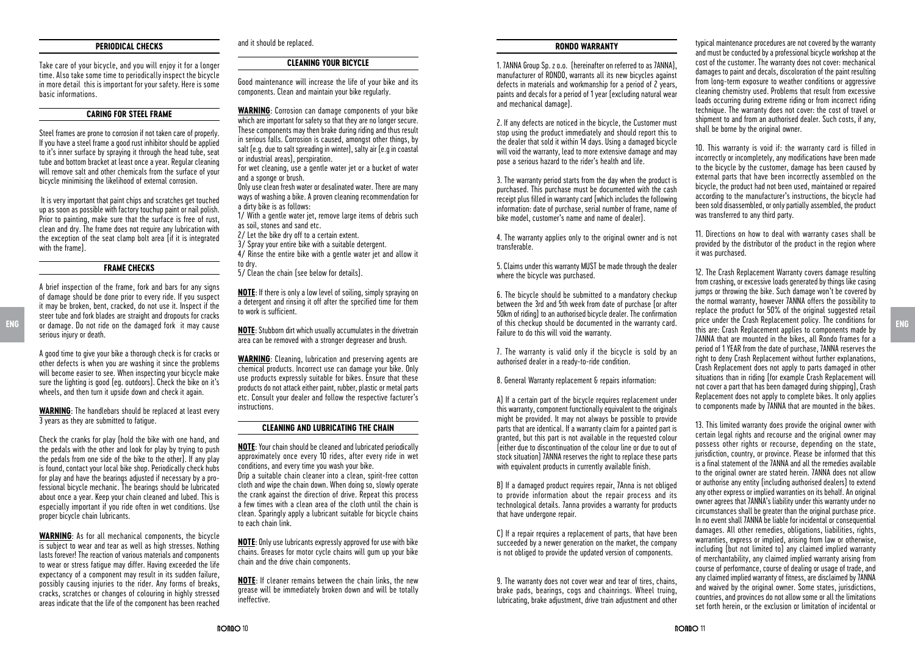# **PERIODICAL CHECKS**

Take care of your bicycle, and you will enjoy it for a longer time. Also take some time to periodically inspect the bicycle in more detail this is important for your safety. Here is some basic informations.

#### **CARING FOR STEEL FRAME**

Steel frames are prone to corrosion if not taken care of properly. If you have a steel frame a good rust inhibitor should be applied to it's inner surface by spraying it through the head tube, seat tube and bottom bracket at least once a year. Regular cleaning will remove salt and other chemicals from the surface of your bicycle minimising the likelihood of external corrosion.

It is very important that paint chips and scratches get touched up as soon as possible with factory touchup paint or nail polish. Prior to painting, make sure that the surface is free of rust, clean and dry. The frame does not require any lubrication with the exception of the seat clamp bolt area (if it is integrated with the frame).

#### **FRAME CHECKS**

A brief inspection of the frame, fork and bars for any signs of damage should be done prior to every ride. If you suspect it may be broken, bent, cracked, do not use it. Inspect if the steer tube and fork blades are straight and dropouts for cracks ENG or damage. Do not ride on the damaged fork it may cause **MOTE**. Stubben disturbish usually exerculate in the disturbish in the disturbish in the disturbish is and the disturbish of the studies of the studies of the stu serious injury or death.

A good time to give your bike a thorough check is for cracks or other defects is when you are washing it since the problems will become easier to see. When inspecting your bicycle make sure the lighting is good (eg. outdoors). Check the bike on it's wheels, and then turn it upside down and check it again.

**WARNING**: The handlebars should be replaced at least every 3 years as they are submitted to fatigue.

Check the cranks for play (hold the bike with one hand, and the pedals with the other and look for play by trying to push the pedals from one side of the bike to the other). If any play is found, contact your local bike shop. Periodically check hubs for play and have the bearings adjusted if necessary by a professional bicycle mechanic. The bearings should be lubricated about once a year. Keep your chain cleaned and lubed. This is especially important if you ride often in wet conditions. Use proper bicycle chain lubricants.

**WARNING**: As for all mechanical components, the bicycle is subject to wear and tear as well as high stresses. Nothing lasts forever! The reaction of various materials and components to wear or stress fatigue may differ. Having exceeded the life expectancy of a component may result in its sudden failure, possibly causing injuries to the rider. Any forms of breaks, cracks, scratches or changes of colouring in highly stressed areas indicate that the life of the component has been reached

#### and it should be replaced.

# **CLEANING YOUR BICYCLE**

Good maintenance will increase the life of your bike and its components. Clean and maintain your bike regularly.

**WARNING**: Corrosion can damage components of your bike which are important for safety so that they are no longer secure. These components may then brake during riding and thus result in serious falls. Corrosion is caused, amongst other things, by salt (e.g. due to salt spreading in winter), salty air (e.g in coastal or industrial areas), perspiration.

For wet cleaning, use a gentle water jet or a bucket of water and a snonge or brush.

Only use clean fresh water or desalinated water. There are many ways of washing a bike. A proven cleaning recommendation for a dirty bike is as follows:

1/ With a gentle water jet, remove large items of debris such as soil, stones and sand etc.

2/ Let the bike dry off to a certain extent.

3/ Spray your entire bike with a suitable detergent.

4/ Rinse the entire bike with a gentle water jet and allow it to dry.

5/ Clean the chain (see below for details).

**NOTE**: If there is only a low level of soiling, simply spraying on a detergent and rinsing it off after the specified time for them to work is sufficient.

**NOTE**: Stubborn dirt which usually accumulates in the drivetrain area can be removed with a stronger degreaser and brush.

**WARNING**: Cleaning, lubrication and preserving agents are chemical products. Incorrect use can damage your bike. Only use products expressly suitable for bikes. Ensure that these products do not attack either paint, rubber, plastic or metal parts etc. Consult your dealer and follow the respective facturer's instructions.

# **CLEANING AND LUBRICATING THE CHAIN**

**NOTE**: Your chain should be cleaned and lubricated periodically approximately once every 10 rides, after every ride in wet conditions, and every time you wash your bike.

Drip a suitable chain cleaner into a clean, spirit-free cotton cloth and wipe the chain down. When doing so, slowly operate the crank against the direction of drive. Repeat this process a few times with a clean area of the cloth until the chain is clean. Sparingly apply a lubricant suitable for bicycle chains to each chain link.

**NOTE**: Only use lubricants expressly approved for use with bike chains. Greases for motor cycle chains will gum up your bike chain and the drive chain components.

**NOTE**: If cleaner remains between the chain links, the new grease will be immediately broken down and will be totally ineffective.

# **RONDO WARRANTY**

1. 7ANNA Group Sp. z o.o. (hereinafter on referred to as 7ANNA), manufacturer of RONDO, warrants all its new bicycles against defects in materials and workmanship for a period of 2 years, paints and decals for a period of 1 year (excluding natural wear and mechanical damage).

2. If any defects are noticed in the bicycle, the Customer must stop using the product immediately and should report this to the dealer that sold it within 14 days. Using a damaged bicycle will void the warranty, lead to more extensive damage and may pose a serious hazard to the rider's health and life.

3. The warranty period starts from the day when the product is purchased. This purchase must be documented with the cash receipt plus filled in warranty card (which includes the following information: date of purchase, serial number of frame, name of bike model, customer's name and name of dealer).

4. The warranty applies only to the original owner and is not transferable.

5. Claims under this warranty MUST be made through the dealer where the bicycle was purchased.

6. The bicycle should be submitted to a mandatory checkup between the 3rd and 5th week from date of purchase (or after 50km of riding) to an authorised bicycle dealer. The confirmation of this checkup should be documented in the warranty card. Failure to do this will void the warranty.

7. The warranty is valid only if the bicycle is sold by an authorised dealer in a ready-to-ride condition.

8. General Warranty replacement & repairs information:

A) If a certain part of the bicycle requires replacement under this warranty, component functionally equivalent to the originals might be provided. It may not always be possible to provide parts that are identical. If a warranty claim for a painted part is granted, but this part is not available in the requested colour (either due to discontinuation of the colour line or due to out of stock situation) 7ANNA reserves the right to replace these parts with equivalent products in currently available finish.

B) If a damaged product requires repair, 7Anna is not obliged to provide information about the repair process and its technological details. 7anna provides a warranty for products that have undergone repair.

C) If a repair requires a replacement of parts, that have been succeeded by a newer generation on the market, the company is not obliged to provide the updated version of components.

9. The warranty does not cover wear and tear of tires, chains, brake pads, bearings, cogs and chainrings. Wheel truing, lubricating, brake adjustment, drive train adjustment and other

typical maintenance procedures are not covered by the warranty and must be conducted by a professional bicycle workshop at the cost of the customer. The warranty does not cover: mechanical damages to paint and decals, discoloration of the paint resulting from long-term exposure to weather conditions or aggressive cleaning chemistry used. Problems that result from excessive loads occurring during extreme riding or from incorrect riding technique. The warranty does not cover: the cost of travel or shipment to and from an authorised dealer. Such costs, if any, shall be borne by the original owner.

10. This warranty is void if: the warranty card is filled in incorrectly or incompletely, any modifications have been made to the bicycle by the customer, damage has been caused by external parts that have been incorrectly assembled on the bicycle, the product had not been used, maintained or repaired according to the manufacturer's instructions, the bicycle had been sold disassembled, or only partially assembled, the product was transferred to any third party.

11. Directions on how to deal with warranty cases shall be provided by the distributor of the product in the region where it was purchased.

12. The Crash Replacement Warranty covers damage resulting from crashing, or excessive loads generated by things like casing jumps or throwing the bike. Such damage won't be covered by the normal warranty, however 7ANNA offers the possibility to replace the product for 50% of the original suggested retail price under the Crash Replacement policy. The conditions for this are: Crash Replacement applies to components made by 7ANNA that are mounted in the bikes, all Rondo frames for a period of 1 YEAR from the date of purchase, 7ANNA reserves the right to deny Crash Replacement without further explanations, Crash Replacement does not apply to parts damaged in other situations than in riding (for example Crash Replacement will not cover a part that has been damaged during shipping), Crash Replacement does not apply to complete bikes. It only applies to components made by 7ANNA that are mounted in the bikes.

13. This limited warranty does provide the original owner with certain legal rights and recourse and the original owner may possess other rights or recourse, depending on the state. jurisdiction, country, or province. Please be informed that this is a final statement of the 7ANNA and all the remedies available to the original owner are stated herein. 7ANNA does not allow or authorise any entity (including authorised dealers) to extend any other express or implied warranties on its behalf. An original owner agrees that 7ANNA's liability under this warranty under no circumstances shall be greater than the original purchase price. In no event shall 7ANNA be liable for incidental or consequential damages. All other remedies, obligations, liabilities, rights, warranties, express or implied, arising from law or otherwise including (but not limited to) any claimed implied warranty of merchantability, any claimed implied warranty arising from course of performance, course of dealing or usage of trade, and any claimed implied warranty of fitness, are disclaimed by 7ANNA and waived by the original owner. Some states, jurisdictions, countries, and provinces do not allow some or all the limitations set forth herein, or the exclusion or limitation of incidental or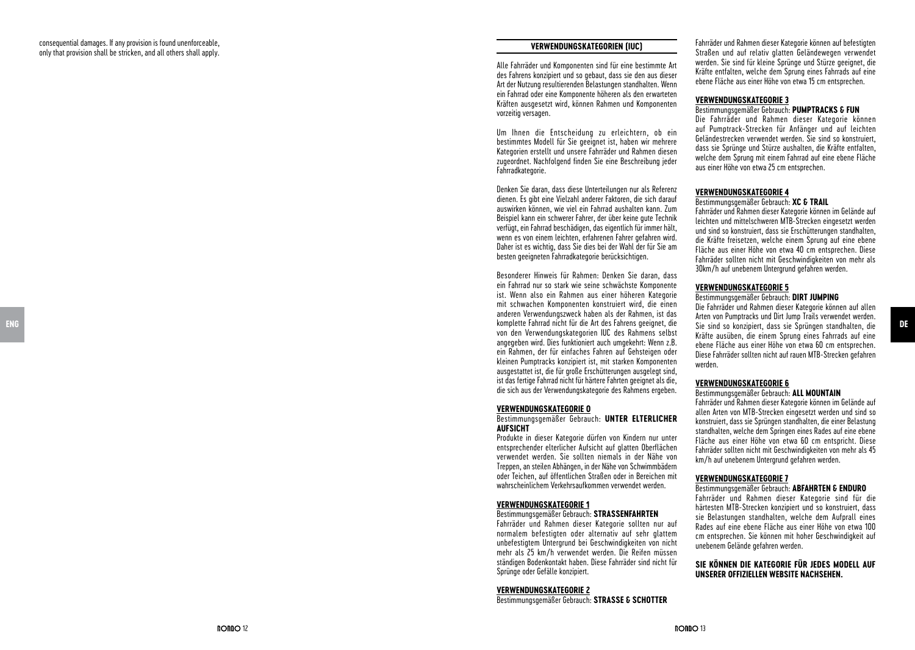# **VERWENDUNGSKATEGORIEN (IUC)**

Alle Fahrräder und Komponenten sind für eine bestimmte Art des Fahrens konzipiert und so gebaut, dass sie den aus dieser Art der Nutzung resultierenden Belastungen standhalten. Wenn ein Fahrrad oder eine Komponente höheren als den erwarteten Kräften ausgesetzt wird, können Rahmen und Komponenten vorzeitig versagen.

Um Ihnen die Entscheidung zu erleichtern, ob ein bestimmtes Modell für Sie geeignet ist, haben wir mehrere Kategorien erstellt und unsere Fahrräder und Rahmen diesen zugeordnet. Nachfolgend finden Sie eine Beschreibung jeder Fahrradkategorie.

Denken Sie daran, dass diese Unterteilungen nur als Referenz dienen. Es gibt eine Vielzahl anderer Faktoren, die sich darauf auswirken können, wie viel ein Fahrrad aushalten kann. Zum Beispiel kann ein schwerer Fahrer, der über keine gute Technik verfügt, ein Fahrrad beschädigen, das eigentlich für immer hält, wenn es von einem leichten, erfahrenen Fahrer gefahren wird. Daher ist es wichtig, dass Sie dies bei der Wahl der für Sie am besten geeigneten Fahrradkategorie berücksichtigen.

Besonderer Hinweis für Rahmen: Denken Sie daran, dass ein Fahrrad nur so stark wie seine schwächste Komponente ist. Wenn also ein Rahmen aus einer höheren Kategorie mit schwachen Komponenten konstruiert wird, die einen anderen Verwendungszweck haben als der Rahmen, ist das komplette Fahrrad nicht für die Art des Fahrens geeignet, die von den Verwendungskategorien IUC des Rahmens selbst angegeben wird. Dies funktioniert auch umgekehrt: Wenn z.B. ein Rahmen, der für einfaches Fahren auf Gehsteigen oder kleinen Pumptracks konzipiert ist, mit starken Komponenten ausgestattet ist, die für große Erschütterungen ausgelegt sind, ist das fertige Fahrrad nicht für härtere Fahrten geeignet als die, die sich aus der Verwendungskategorie des Rahmens ergeben. komplette Fahrrad nicht tur die Art des Fahrens geeignet, die Sie sind so konzipiert, dass sie Sprüngen standhalten, die **DE**<br>ENG Sie sind so konzipiert, dass sie Sprüngen standhalten, die D

#### **VERWENDUNGSKATEGORIE 0**

#### Bestimmungsgemäßer Gebrauch: **UNTER ELTERLICHER AUFSICHT**

Produkte in dieser Kategorie dürfen von Kindern nur unter entsprechender elterlicher Aufsicht auf glatten Oberflächen verwendet werden. Sie sollten niemals in der Nähe von Treppen, an steilen Abhängen, in der Nähe von Schwimmbädern oder Teichen, auf öffentlichen Straßen oder in Bereichen mit wahrscheinlichem Verkehrsaufkommen verwendet werden.

#### **VERWENDUNGSKATEGORIE 1**

Bestimmungsgemäßer Gebrauch: **STRASSENFAHRTEN** Fahrräder und Rahmen dieser Kategorie sollten nur auf

normalem befestigten oder alternativ auf sehr glattem unbefestigtem Untergrund bei Geschwindigkeiten von nicht mehr als 25 km/h verwendet werden. Die Reifen müssen ständigen Bodenkontakt haben. Diese Fahrräder sind nicht für Sprünge oder Gefälle konzipiert.

#### **VERWENDUNGSKATEGORIE 2**

Bestimmungsgemäßer Gebrauch: **STRASSE & SCHOTTER**

Fahrräder und Rahmen dieser Kategorie können auf befestigten Straßen und auf relativ glatten Geländewegen verwendet werden. Sie sind für kleine Sprünge und Stürze geeignet, die Kräfte entfalten, welche dem Sprung eines Fahrrads auf eine ebene Fläche aus einer Höhe von etwa 15 cm entsprechen.

#### **VERWENDUNGSKATEGORIE 3**

#### Bestimmungsgemäßer Gebrauch: **PUMPTRACKS & FUN**

Die Fahrräder und Rahmen dieser Kategorie können auf Pumptrack-Strecken für Anfänger und auf leichten Geländestrecken verwendet werden. Sie sind so konstruiert, dass sie Sprünge und Stürze aushalten, die Kräfte entfalten, welche dem Sprung mit einem Fahrrad auf eine ebene Fläche aus einer Höhe von etwa 25 cm entsprechen.

#### **VERWENDUNGSKATEGORIE 4**

#### Bestimmungsgemäßer Gebrauch: **XC & TRAIL**

Fahrräder und Rahmen dieser Kategorie können im Gelände auf leichten und mittelschweren MTB-Strecken eingesetzt werden und sind so konstruiert, dass sie Erschütterungen standhalten, die Kräfte freisetzen, welche einem Sprung auf eine ebene Fläche aus einer Höhe von etwa 40 cm entsprechen. Diese Fahrräder sollten nicht mit Geschwindigkeiten von mehr als 30km/h auf unebenem Untergrund gefahren werden.

#### **VERWENDUNGSKATEGORIE 5**

### Bestimmungsgemäßer Gebrauch: **DIRT JUMPING**

Die Fahrräder und Rahmen dieser Kategorie können auf allen Arten von Pumptracks und Dirt Jump Trails verwendet werden. Kräfte ausüben, die einem Sprung eines Fahrrads auf eine ebene Fläche aus einer Höhe von etwa 60 cm entsprechen. Diese Fahrräder sollten nicht auf rauen MTB-Strecken gefahren werden.

# **VERWENDUNGSKATEGORIE 6**

#### Bestimmungsgemäßer Gebrauch: **ALL MOUNTAIN**

Fahrräder und Rahmen dieser Kategorie können im Gelände auf allen Arten von MTB-Strecken eingesetzt werden und sind so konstruiert, dass sie Sprüngen standhalten, die einer Belastung standhalten, welche dem Springen eines Rades auf eine ebene Fläche aus einer Höhe von etwa 60 cm entspricht. Diese Fahrräder sollten nicht mit Geschwindigkeiten von mehr als 45 km/h auf unebenem Untergrund gefahren werden.

#### **VERWENDUNGSKATEGORIE 7**

#### Bestimmungsgemäßer Gebrauch: **ABFAHRTEN & ENDURO**

Fahrräder und Rahmen dieser Kategorie sind für die härtesten MTB-Strecken konzipiert und so konstruiert, dass sie Belastungen standhalten, welche dem Aufprall eines Rades auf eine ebene Fläche aus einer Höhe von etwa 100 cm entsprechen. Sie können mit hoher Geschwindigkeit auf unebenem Gelände gefahren werden.

**SIE KÖNNEN DIE KATEGORIE FÜR JEDES MODELL AUF UNSERER OFFIZIELLEN WEBSITE NACHSEHEN.**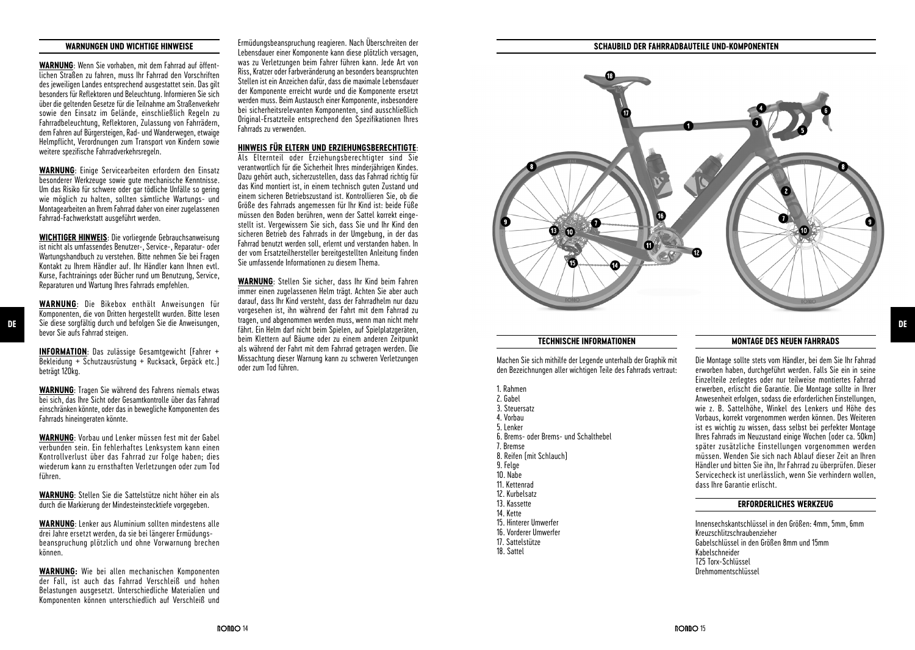# **WARNUNGEN UND WICHTIGE HINWEISE**

**WARNUNG**: Wenn Sie vorhaben, mit dem Fahrrad auf öffentlichen Straßen zu fahren, muss Ihr Fahrrad den Vorschriften des jeweiligen Landes entsprechend ausgestattet sein. Das gilt besonders für Reflektoren und Beleuchtung. Informieren Sie sich über die geltenden Gesetze für die Teilnahme am Straßenverkehr sowie den Einsatz im Gelände, einschließlich Regeln zu Fahrradbeleuchtung, Reflektoren, Zulassung von Fahrrädern, dem Fahren auf Bürgersteigen, Rad- und Wanderwegen, etwaige Helmpflicht, Verordnungen zum Transport von Kindern sowie weitere spezifische Fahrradverkehrsregeln.

**WARNUNG**: Einige Servicearbeiten erfordern den Einsatz besonderer Werkzeuge sowie gute mechanische Kenntnisse. Um das Risiko für schwere oder gar tödliche Unfälle so gering wie möglich zu halten, sollten sämtliche Wartungs- und Montagearbeiten an Ihrem Fahrrad daher von einer zugelassenen Fahrrad-Fachwerkstatt ausgeführt werden.

**WICHTIGER HINWEIS**: Die vorliegende Gebrauchsanweisung ist nicht als umfassendes Benutzer-, Service-, Reparatur- oder Wartungshandbuch zu verstehen. Bitte nehmen Sie bei Fragen Kontakt zu Ihrem Händler auf. Ihr Händler kann Ihnen evtl. Kurse, Fachtrainings oder Bücher rund um Benutzung, Service, Reparaturen und Wartung Ihres Fahrrads empfehlen.

**WARNUNG**: Die Bikebox enthält Anweisungen für Komponenten, die von Dritten hergestellt wurden. Bitte lesen bevor Sie aufs Fahrrad steigen.

**INFORMATION**: Das zulässige Gesamtgewicht (Fahrer +  $\overline{\text{Bekleiduna + S}}$ chutzausrüstung + Rucksack, Gepäck etc.) beträgt 120kg.

**WARNUNG**: Tragen Sie während des Fahrens niemals etwas bei sich, das Ihre Sicht oder Gesamtkontrolle über das Fahrrad einschränken könnte, oder das in bewegliche Komponenten des Fahrrads hineingeraten könnte.

**WARNUNG**: Vorbau und Lenker müssen fest mit der Gabel verbunden sein. Ein fehlerhaftes Lenksystem kann einen Kontrollverlust über das Fahrrad zur Folge haben; dies wiederum kann zu ernsthaften Verletzungen oder zum Tod führen.

**WARNUNG**: Stellen Sie die Sattelstütze nicht höher ein als durch die Markierung der Mindesteinstecktiefe vorgegeben.

**WARNUNG**: Lenker aus Aluminium sollten mindestens alle drei Jahre ersetzt werden, da sie bei längerer Ermüdungsbeanspruchung plötzlich und ohne Vorwarnung brechen können.

**WARNUNG:** Wie bei allen mechanischen Komponenten der Fall, ist auch das Fahrrad Verschleiß und hohen Belastungen ausgesetzt. Unterschiedliche Materialien und Komponenten können unterschiedlich auf Verschleiß und

Ermüdungsbeanspruchung reagieren. Nach Überschreiten der Lebensdauer einer Komponente kann diese plötzlich versagen, was zu Verletzungen beim Fahrer führen kann. Jede Art von Riss, Kratzer oder Farbveränderung an besonders beanspruchten Stellen ist ein Anzeichen dafür, dass die maximale Lebensdauer der Komponente erreicht wurde und die Komponente ersetzt werden muss. Beim Austausch einer Komponente, insbesondere bei sicherheitsrelevanten Komponenten, sind ausschließlich Original-Ersatzteile entsprechend den Spezifikationen Ihres Fahrrads zu verwenden.

#### **HINWEIS FÜR ELTERN UND ERZIEHUNGSBERECHTIGTE**:

Als Elternteil oder Erziehungsberechtigter sind Sie verantwortlich für die Sicherheit Ihres minderjährigen Kindes. Dazu gehört auch, sicherzustellen, dass das Fahrrad richtig für das Kind montiert ist, in einem technisch guten Zustand und einem sicheren Betriebszustand ist. Kontrollieren Sie, ob die Größe des Fahrrads angemessen für Ihr Kind ist: beide Füße müssen den Boden berühren, wenn der Sattel korrekt eingestellt ist. Vergewissern Sie sich, dass Sie und Ihr Kind den sicheren Betrieb des Fahrrads in der Umgebung, in der das Fahrrad benutzt werden soll, erlernt und verstanden haben. In der vom Ersatzteilhersteller bereitgestellten Anleitung finden Sie umfassende Informationen zu diesem Thema.

**WARNUNG**: Stellen Sie sicher, dass Ihr Kind beim Fahren immer einen zugelassenen Helm trägt. Achten Sie aber auch darauf, dass Ihr Kind versteht, dass der Fahrradhelm nur dazu vorgesehen ist, ihn während der Fahrt mit dem Fahrrad zu tragen, und abgenommen werden muss, wenn man nicht mehr fährt. Ein Helm darf nicht beim Spielen, auf Spielplatzgeräten, beim Klettern auf Bäume oder zu einem anderen Zeitpunkt als während der Fahrt mit dem Fahrrad getragen werden. Die Missachtung dieser Warnung kann zu schweren Verletzungen oder zum Tod führen.



# **TECHNISCHE INFORMATIONEN**

Machen Sie sich mithilfe der Legende unterhalb der Graphik mit den Bezeichnungen aller wichtigen Teile des Fahrrads vertraut:

1. Rahmen 2. Gabel 3. Steuersatz 4. Vorbau 5. Lenker 6. Brems- oder Brems- und Schalthebel 7. Bremse 8. Reifen (mit Schlauch) 9. Felge 10. Nabe 11. Kettenrad 12. Kurbelsatz 13. Kassette 14. Kette 15. Hinterer Umwerfer 16. Vorderer Umwerfer 17. Sattelstütze 18. Sattel

#### **MONTAGE DES NEUEN FAHRRADS**

Die Montage sollte stets vom Händler, bei dem Sie Ihr Fahrrad erworben haben, durchgeführt werden. Falls Sie ein in seine Einzelteile zerlegtes oder nur teilweise montiertes Fahrrad erwerben, erlischt die Garantie. Die Montage sollte in Ihrer Anwesenheit erfolgen, sodass die erforderlichen Einstellungen, wie z. B. Sattelhöhe, Winkel des Lenkers und Höhe des Vorbaus, korrekt vorgenommen werden können. Des Weiteren ist es wichtig zu wissen, dass selbst bei perfekter Montage Ihres Fahrrads im Neuzustand einige Wochen (oder ca. 50km) später zusätzliche Einstellungen vorgenommen werden müssen. Wenden Sie sich nach Ablauf dieser Zeit an Ihren Händler und bitten Sie ihn, Ihr Fahrrad zu überprüfen. Dieser Servicecheck ist unerlässlich, wenn Sie verhindern wollen, dass Ihre Garantie erlischt.

#### **ERFORDERLICHES WERKZEUG**

Innensechskantschlüssel in den Größen: 4mm, 5mm, 6mm Kreuzschlitzschraubenzieher Gabelschlüssel in den Größen 8mm und 15mm Kabelschneider T25 Torx-Schlüssel Drehmomentschlüssel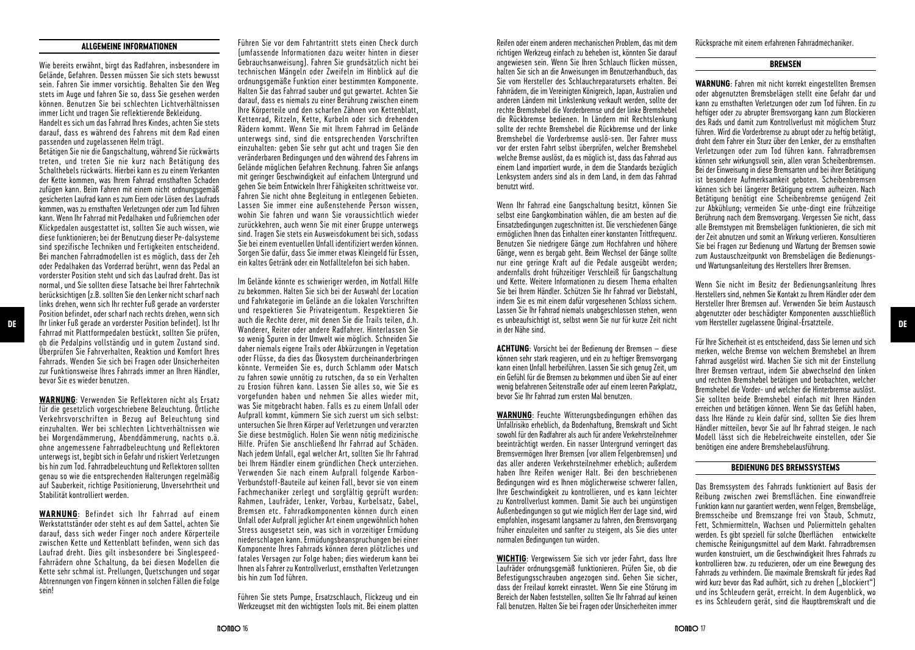# **ALLGEMEINE INFORMATIONEN**

Wie bereits erwähnt, birgt das Radfahren, insbesondere im Gelände, Gefahren. Dessen müssen Sie sich stets bewusst sein. Fahren Sie immer vorsichtig. Behalten Sie den Weg stets im Auge und fahren Sie so, dass Sie gesehen werden können. Benutzen Sie bei schlechten Lichtverhältnissen immer Licht und tragen Sie reflektierende Bekleidung. Handelt es sich um das Fahrrad Ihres Kindes, achten Sie stets darauf, dass es während des Fahrens mit dem Rad einen passenden und zugelassenen Helm trägt.

Betätigen Sie nie die Gangschaltung, während Sie rückwärts treten, und treten Sie nie kurz nach Betätigung des Schalthebels rückwärts. Hierbei kann es zu einem Verkanten der Kette kommen, was Ihrem Fahrrad ernsthaften Schaden zufügen kann. Beim Fahren mit einem nicht ordnungsgemäß gesicherten Laufrad kann es zum Eiern oder Lösen des Laufrads kommen, was zu ernsthaften Verletzungen oder zum Tod führen kann. Wenn Ihr Fahrrad mit Pedalhaken und Fußriemchen oder Klickpedalen ausgestattet ist, sollten Sie auch wissen, wie diese funktionieren; bei der Benutzung dieser Pe-dalsysteme sind spezifische Techniken und Fertigkeiten entscheidend. Bei manchen Fahrradmodellen ist es möglich, dass der Zeh oder Pedalhaken das Vorderrad berührt, wenn das Pedal an vorderster Position steht und sich das Laufrad dreht. Das ist normal, und Sie sollten diese Tatsache bei Ihrer Fahrtechnik berücksichtigen (z.B. sollten Sie den Lenker nicht scharf nach links drehen, wenn sich Ihr rechter Fuß gerade an vorderster Position befindet, oder scharf nach rechts drehen, wenn sich Fahrrad mit Plattformpedalen bestückt, sollten Sie prüfen, ob die Pedalpins vollständig und in gutem Zustand sind. Überprüfen Sie Fahrverhalten, Reaktion und Komfort Ihres Fahrrads. Wenden Sie sich bei Fragen oder Unsicherheiten zur Funktionsweise Ihres Fahrrads immer an Ihren Händler, bevor Sie es wieder benutzen.

**WARNUNG**: Verwenden Sie Reflektoren nicht als Ersatz für die gesetzlich vorgeschriebene Beleuchtung. Örtliche Verkehrsvorschriften in Bezug auf Beleuchtung sind einzuhalten. Wer bei schlechten Lichtverhältnissen wie bei Morgendämmerung, Abenddämmerung, nachts o.ä. ohne angemessene Fahrradbeleuchtung und Reflektoren unterwegs ist, begibt sich in Gefahr und riskiert Verletzungen bis hin zum Tod. Fahrradbeleuchtung und Reflektoren sollten genau so wie die entsprechenden Halterungen regelmäßig auf Sauberkeit, richtige Positionierung, Unversehrtheit und Stabilität kontrolliert werden.

**WARNUNG**: Befindet sich Ihr Fahrrad auf einem Werkstattständer oder steht es auf dem Sattel, achten Sie darauf, dass sich weder Finger noch andere Körperteile zwischen Kette und Kettenblatt befinden, wenn sich das Laufrad dreht. Dies gilt insbesondere bei Singlespeed-Fahrrädern ohne Schaltung, da bei diesen Modellen die Kette sehr schmal ist. Prellungen, Quetschungen und sogar Abtrennungen von Fingern können in solchen Fällen die Folge sein!

Führen Sie vor dem Fahrtantritt stets einen Check durch (umfassende Informationen dazu weiter hinten in dieser Gebrauchsanweisung). Fahren Sie grundsätzlich nicht bei technischen Mängeln oder Zweifeln im Hinblick auf die ordnungsgemäße Funktion einer bestimmten Komponente. Halten Sie das Fahrrad sauber und gut gewartet. Achten Sie darauf, dass es niemals zu einer Berührung zwischen einem Ihre Körperteile und den scharfen Zähnen von Kettenblatt, Kettenrad, Ritzeln, Kette, Kurbeln oder sich drehenden Rädern kommt. Wenn Sie mit Ihrem Fahrrad im Gelände unterwegs sind, sind die entsprechenden Vorschriften einzuhalten: geben Sie sehr gut acht und tragen Sie den veränderbaren Bedingungen und den während des Fahrens im Gelände möglichen Gefahren Rechnung. Fahren Sie anfangs mit geringer Geschwindigkeit auf einfachem Untergrund und gehen Sie beim Entwickeln Ihrer Fähigkeiten schrittweise vor. Fahren Sie nicht ohne Begleitung in entlegenen Gebieten. Lassen Sie immer eine außenstehende Person wissen, wohin Sie fahren und wann Sie voraussichtlich wieder zurückkehren, auch wenn Sie mit einer Gruppe unterwegs sind. Tragen Sie stets ein Ausweisdokument bei sich, sodass Sie bei einem eventuellen Unfall identifiziert werden können. Sorgen Sie dafür, dass Sie immer etwas Kleingeld für Essen, ein kaltes Getränk oder ein Notfalltelefon bei sich haben.

In linker Fuß gerade an vorderster Position befindet). Ist Ihr and warderer whereful warder and the producer points and the producer points of the producer of the producer of the producer points of the producer points of t Im Gelände könnte es schwieriger werden, im Notfall Hilfe zu bekommen. Halten Sie sich bei der Auswahl der Location und Fahrkategorie im Gelände an die lokalen Vorschriften und respektieren Sie Privateigentum. Respektieren Sie auch die Rechte derer, mit denen Sie die Trails teilen, d.h. Wanderer, Reiter oder andere Radfahrer. Hinterlassen Sie so wenig Spuren in der Umwelt wie möglich. Schneiden Sie daher niemals eigene Trails oder Abkürzungen in Vegetation oder Flüsse, da dies das Ökosystem durcheinanderbringen könnte. Vermeiden Sie es, durch Schlamm oder Matsch zu fahren sowie unnötig zu rutschen, da so ein Verhalten zu Erosion führen kann. Lassen Sie alles so, wie Sie es vorgefunden haben und nehmen Sie alles wieder mit, was Sie mitgebracht haben. Falls es zu einem Unfall oder Aufprall kommt, kümmern Sie sich zuerst um sich selbst: untersuchen Sie Ihren Körper auf Verletzungen und verarzten Sie diese bestmöglich. Holen Sie wenn nötig medizinische Hilfe. Prüfen Sie anschließend Ihr Fahrrad auf Schäden. Nach jedem Unfall, egal welcher Art, sollten Sie Ihr Fahrrad bei Ihrem Händler einem gründlichen Check unterziehen. Verwenden Sie nach einem Aufprall folgende Karbon-Verbundstoff-Bauteile auf keinen Fall, bevor sie von einem Fachmechaniker zerlegt und sorgfältig geprüft wurden: Rahmen, Laufräder, Lenker, Vorbau, Kurbelsatz, Gabel, Bremsen etc. Fahrradkomponenten können durch einen Unfall oder Aufprall jeglicher Art einem ungewöhnlich hohen Stress ausgesetzt sein, was sich in vorzeitiger Ermüdung niederschlagen kann. Ermüdungsbeanspruchungen bei einer Komponente Ihres Fahrrads können deren plötzliches und fatales Versagen zur Folge haben; dies wiederum kann bei Ihnen als Fahrer zu Kontrollverlust, ernsthaften Verletzungen bis hin zum Tod führen.

> Führen Sie stets Pumpe, Ersatzschlauch, Flickzeug und ein Werkzeugset mit den wichtigsten Tools mit. Bei einem platten

Reifen oder einem anderen mechanischen Problem, das mit dem richtigen Werkzeug einfach zu beheben ist, könnten Sie darauf angewiesen sein. Wenn Sie Ihren Schlauch flicken müssen, halten Sie sich an die Anweisungen im Benutzerhandbuch, das Sie vom Hersteller des Schlauchreparatursets erhalten. Bei Fahrrädern, die im Vereinigten Königreich, Japan, Australien und anderen Ländern mit Linkslenkung verkauft werden, sollte der rechte Bremshebel die Vorderbremse und der linke Bremshebel die Rückbremse bedienen. In Ländern mit Rechtslenkung sollte der rechte Bremshebel die Rückbremse und der linke Bremshebel die Vorderbremse auslö-sen. Der Fahrer muss vor der ersten Fahrt selbst überprüfen, welcher Bremshebel welche Bremse auslöst, da es möglich ist, dass das Fahrrad aus einem Land importiert wurde, in dem die Standards bezüglich Lenksystem anders sind als in dem Land, in dem das Fahrrad benutzt wird.

Wenn Ihr Fahrrad eine Gangschaltung besitzt, können Sie selbst eine Gangkombination wählen, die am besten auf die Einsatzbedingungen zugeschnitten ist. Die verschiedenen Gänge ermöglichen Ihnen das Einhalten einer konstanten Trittfrequenz. Benutzen Sie niedrigere Gänge zum Hochfahren und höhere Gänge, wenn es bergab geht. Beim Wechsel der Gänge sollte nur eine geringe Kraft auf die Pedale ausgeübt werden; andernfalls droht frühzeitiger Verschleiß für Gangschaltung und Kette. Weitere Informationen zu diesem Thema erhalten Sie bei Ihrem Händler. Schützen Sie Ihr Fahrrad vor Diebstahl, indem Sie es mit einem dafür vorgesehenen Schloss sichern. Lassen Sie Ihr Fahrrad niemals unabgeschlossen stehen, wenn es unbeaufsichtigt ist, selbst wenn Sie nur für kurze Zeit nicht in der Nähe sind.

**ACHTUNG**: Vorsicht bei der Bedienung der Bremsen – diese können sehr stark reagieren, und ein zu heftiger Bremsvorgang kann einen Unfall herbeiführen. Lassen Sie sich genug Zeit, um ein Gefühl für die Bremsen zu bekommen und üben Sie auf einer wenig befahrenen Seitenstraße oder auf einem leeren Parkplatz, bevor Sie Ihr Fahrrad zum ersten Mal benutzen.

**WARNUNG**: Feuchte Witterungsbedingungen erhöhen das Unfallrisiko erheblich, da Bodenhaftung, Bremskraft und Sicht sowohl für den Radfahrer als auch für andere Verkehrsteilnehmer beeinträchtigt werden. Ein nasser Untergrund verringert das Bremsvermögen Ihrer Bremsen (vor allem Felgenbremsen) und das aller anderen Verkehrsteilnehmer erheblich; außerdem haben Ihre Reifen weniger Halt. Bei den beschriebenen Bedingungen wird es Ihnen möglicherweise schwerer fallen, Ihre Geschwindigkeit zu kontrollieren, und es kann leichter zu Kontrollverlust kommen. Damit Sie auch bei ungünstigen Außenbedingungen so gut wie möglich Herr der Lage sind, wird empfohlen, insgesamt langsamer zu fahren, den Bremsvorgang früher einzuleiten und sanfter zu steigern, als Sie dies unter normalen Bedingungen tun würden.

**WICHTIG**: Vergewissern Sie sich vor jeder Fahrt, dass Ihre Laufräder ordnungsgemäß funktionieren. Prüfen Sie, ob die Befestigungsschrauben angezogen sind. Gehen Sie sicher, dass der Freilauf korrekt einrastet. Wenn Sie eine Störung im Bereich der Naben feststellen, sollten Sie Ihr Fahrrad auf keinen Fall benutzen. Halten Sie bei Fragen oder Unsicherheiten immer Rücksprache mit einem erfahrenen Fahrradmechaniker.

#### **BREMSEN**

**WARNUNG**: Fahren mit nicht korrekt eingestellten Bremsen oder abgenutzten Bremsbelägen stellt eine Gefahr dar und kann zu ernsthaften Verletzungen oder zum Tod führen. Ein zu heftiger oder zu abrupter Bremsvorgang kann zum Blockieren des Rads und damit zum Kontrollverlust mit möglichem Sturz führen. Wird die Vorderbremse zu abrupt oder zu heftig betätigt, droht dem Fahrer ein Sturz über den Lenker, der zu ernsthaften Verletzungen oder zum Tod führen kann. Fahrradbremsen können sehr wirkungsvoll sein, allen voran Scheibenbremsen. Bei der Einweisung in diese Bremsarten und bei ihrer Betätigung ist besondere Aufmerksamkeit geboten. Scheibenbremsen können sich bei längerer Betätigung extrem aufheizen. Nach Betätigung benötigt eine Scheibenbremse genügend Zeit zur Abkühlung; vermeiden Sie unbe-dingt eine frühzeitige Berührung nach dem Bremsvorgang. Vergessen Sie nicht, dass alle Bremstypen mit Bremsbelägen funktionieren, die sich mit der Zeit abnutzen und somit an Wirkung verlieren. Konsultieren Sie bei Fragen zur Bedienung und Wartung der Bremsen sowie zum Austauschzeitpunkt von Bremsbelägen die Bedienungsund Wartungsanleitung des Herstellers Ihrer Bremsen.

Wenn Sie nicht im Besitz der Bedienungsanleitung Ihres Herstellers sind, nehmen Sie Kontakt zu Ihrem Händler oder dem Hersteller Ihrer Bremsen auf. Verwenden Sie beim Austausch abgenutzter oder beschädigter Komponenten ausschließlich vom Hersteller zugelassene Original-Ersatzteile.

Für Ihre Sicherheit ist es entscheidend, dass Sie lernen und sich merken, welche Bremse von welchem Bremshebel an Ihrem Fahrrad ausgelöst wird. Machen Sie sich mit der Einstellung Ihrer Bremsen vertraut, indem Sie abwechselnd den linken und rechten Bremshebel betätigen und beobachten, welcher Bremshebel die Vorder- und welcher die Hinterbremse auslöst. Sie sollten beide Bremshebel einfach mit Ihren Händen erreichen und betätigen können. Wenn Sie das Gefühl haben, dass Ihre Hände zu klein dafür sind, sollten Sie dies Ihrem Händler mitteilen, bevor Sie auf Ihr Fahrrad steigen. Je nach Modell lässt sich die Hebelreichweite einstellen, oder Sie benötigen eine andere Bremshebelausführung.

#### **BEDIENUNG DES BREMSSYSTEMS**

Das Bremssystem des Fahrrads funktioniert auf Basis der Reibung zwischen zwei Bremsflächen. Eine einwandfreie Funktion kann nur garantiert werden, wenn Felgen, Bremsbeläge, Bremsscheibe und Bremszange frei von Staub, Schmutz, Fett, Schmiermitteln, Wachsen und Poliermitteln gehalten werden. Es gibt speziell für solche Oberflächen entwickelte chemische Reinigungsmittel auf dem Markt. Fahrradbremsen wurden konstruiert, um die Geschwindigkeit Ihres Fahrrads zu kontrollieren bzw. zu reduzieren, oder um eine Bewegung des Fahrrads zu verhindern. Die maximale Bremskraft für jedes Rad wird kurz bevor das Rad aufhört, sich zu drehen ["blockiert"] und ins Schleudern gerät, erreicht. In dem Augenblick, wo es ins Schleudern gerät, sind die Hauptbremskraft und die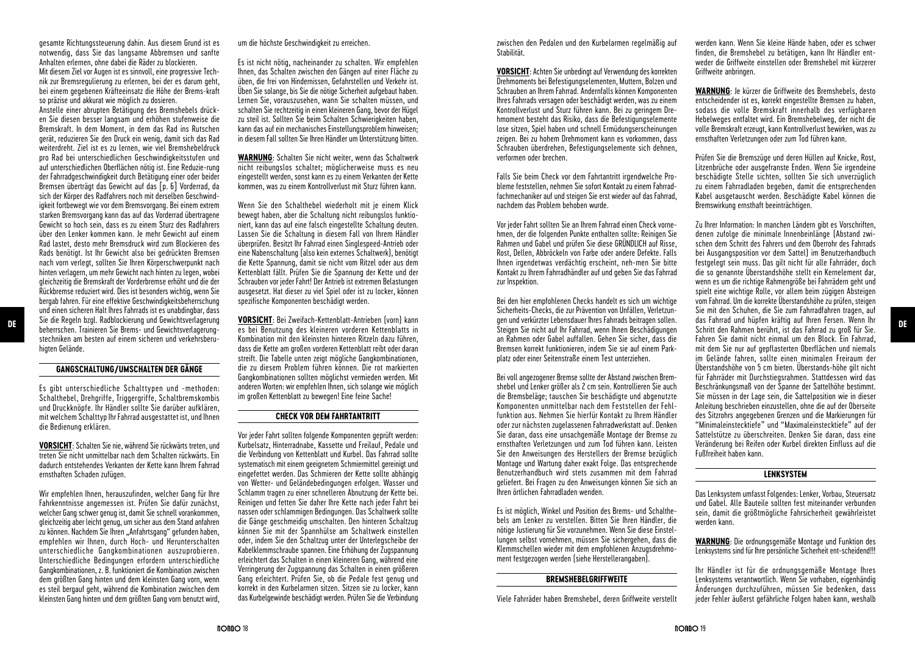gesamte Richtungssteuerung dahin. Aus diesem Grund ist es notwendig, dass Sie das langsame Abbremsen und sanfte Anhalten erlernen, ohne dabei die Räder zu blockieren. Mit diesem Ziel vor Augen ist es sinnvoll, eine progressive Technik zur Bremsregulierung zu erlernen, bei der es darum geht, bei einem gegebenen Kräfteeinsatz die Höhe der Brems-kraft

so präzise und akkurat wie möglich zu dosieren. Anstelle einer abrupten Betätigung des Bremshebels drücken Sie diesen besser langsam und erhöhen stufenweise die Bremskraft. In dem Moment, in dem das Rad ins Rutschen gerät, reduzieren Sie den Druck ein wenig, damit sich das Rad weiterdreht. Ziel ist es zu lernen, wie viel Bremshebeldruck pro Rad bei unterschiedlichen Geschwindigkeitsstufen und auf unterschiedlichen Oberflächen nötig ist. Eine Reduzie-rung der Fahrradgeschwindigkeit durch Betätigung einer oder beider Bremsen überträgt das Gewicht auf das [p. 6] Vorderrad, da sich der Körper des Radfahrers noch mit derselben Geschwindigkeit fortbewegt wie vor dem Bremsvorgang. Bei einem extrem starken Bremsvorgang kann das auf das Vorderrad übertragene Gewicht so hoch sein, dass es zu einem Sturz des Radfahrers über den Lenker kommen kann. Je mehr Gewicht auf einem Rad lastet, desto mehr Bremsdruck wird zum Blockieren des Rads benötigt. Ist Ihr Gewicht also bei gedrückten Bremsen nach vorn verlegt, sollten Sie Ihren Körperschwerpunkt nach hinten verlagern, um mehr Gewicht nach hinten zu legen, wobei gleichzeitig die Bremskraft der Vorderbremse erhöht und die der Rückbremse reduziert wird. Dies ist besonders wichtig, wenn Sie bergab fahren. Für eine effektive Geschwindigkeitsbeherrschung und einen sicheren Halt Ihres Fahrrads ist es unabdingbar, dass Sie die Regeln bzgl. Radblockierung und Gewichtsverlagerung beherrschen. Trainieren Sie Brems- und Gewichtsverlagerungstechniken am besten auf einem sicheren und verkehrsberuhigten Gelände. es bei Benutzung der Benutzung der Benutzung des kleineren vorderen Kettenblatts in Steigen Sie eicht auf Ihr Fahrrad, wenn Ihnen Beschädigungen Schritt den Rahmen berührt, ist das Fahrrad zu groß für Sie.

# **GANGSCHALTUNG/UMSCHALTEN DER GÄNGE**

Es gibt unterschiedliche Schalttypen und -methoden: Schalthebel, Drehgriffe, Triggergriffe, Schaltbremskombis und Druckknöpfe. Ihr Händler sollte Sie darüber aufklären, mit welchem Schalttyp Ihr Fahrrad ausgestattet ist, und Ihnen die Bedienung erklären.

**VORSICHT**: Schalten Sie nie, während Sie rückwärts treten, und treten Sie nicht unmittelbar nach dem Schalten rückwärts. Ein dadurch entstehendes Verkanten der Kette kann Ihrem Fahrrad ernsthaften Schaden zufügen.

Wir empfehlen Ihnen, herauszufinden, welcher Gang für Ihre Fahrkenntnisse angemessen ist. Prüfen Sie dafür zunächst, welcher Gang schwer genug ist, damit Sie schnell vorankommen. gleichzeitig aber leicht genug, um sicher aus dem Stand anfahren zu können. Nachdem Sie Ihren "Anfahrtsgang" gefunden haben, empfehlen wir Ihnen, durch Hoch- und Herunterschalten unterschiedliche Gangkombinationen auszuprobieren. Unterschiedliche Bedingungen erfordern unterschiedliche Gangkombinationen, z. B. funktioniert die Kombination zwischen dem größten Gang hinten und dem kleinsten Gang vorn, wenn es steil bergauf geht, während die Kombination zwischen dem kleinsten Gang hinten und dem größten Gang vorn benutzt wird,

um die höchste Geschwindigkeit zu erreichen.

Es ist nicht nötig, nacheinander zu schalten. Wir empfehlen Ihnen, das Schalten zwischen den Gängen auf einer Fläche zu üben, die frei von Hindernissen, Gefahrstellen und Verkehr ist. Üben Sie solange, bis Sie die nötige Sicherheit aufgebaut haben. Lernen Sie, vorauszusehen, wann Sie schalten müssen, und schalten Sie rechtzeitig in einen kleineren Gang, bevor der Hügel zu steil ist. Sollten Sie beim Schalten Schwierigkeiten haben, kann das auf ein mechanisches Einstellungsproblem hinweisen; in diesem Fall sollten Sie Ihren Händler um Unterstützung bitten.

**WARNUNG**: Schalten Sie nicht weiter, wenn das Schaltwerk nicht reibungslos schaltet; möglicherweise muss es neu eingestellt werden, sonst kann es zu einem Verkanten der Kette kommen, was zu einem Kontrollverlust mit Sturz führen kann.

Wenn Sie den Schalthebel wiederholt mit je einem Klick bewegt haben, aber die Schaltung nicht reibungslos funktioniert, kann das auf eine falsch eingestellte Schaltung deuten. Lassen Sie die Schaltung in diesem Fall von Ihrem Händler überprüfen. Besitzt Ihr Fahrrad einen Singlespeed-Antrieb oder eine Nabenschaltung (also kein externes Schaltwerk), benötigt die Kette Spannung, damit sie nicht vom Ritzel oder aus dem Kettenblatt fällt. Prüfen Sie die Spannung der Kette und der Schrauben vor jeder Fahrt! Der Antrieb ist extremen Belastungen ausgesetzt. Hat dieser zu viel Spiel oder ist zu locker, können spezifische Komponenten beschädigt werden.

**VORSICHT**: Bei Zweifach-Kettenblatt-Antrieben (vorn) kann Kombination mit den kleinsten hinteren Ritzeln dazu führen, dass die Kette am großen vorderen Kettenblatt reibt oder daran streift. Die Tabelle unten zeigt mögliche Gangkombinationen, die zu diesem Problem führen können. Die rot markierten Gangkombinationen sollten möglichst vermieden werden. Mit anderen Worten: wir empfehlen Ihnen, sich solange wie möglich im großen Kettenblatt zu bewegen! Eine feine Sache!

# **CHECK VOR DEM FAHRTANTRITT**

Vor jeder Fahrt sollten folgende Komponenten geprüft werden: Kurbelsatz, Hinterradnabe, Kassette und Freilauf, Pedale und die Verbindung von Kettenblatt und Kurbel. Das Fahrrad sollte systematisch mit einem geeignetem Schmiermittel gereinigt und eingefettet werden. Das Schmieren der Kette sollte abhängig von Wetter- und Geländebedingungen erfolgen. Wasser und Schlamm tragen zu einer schnelleren Abnutzung der Kette bei. Reinigen und fetten Sie daher Ihre Kette nach jeder Fahrt bei nassen oder schlammigen Bedingungen. Das Schaltwerk sollte die Gänge geschmeidig umschalten. Den hinteren Schaltzug können Sie mit der Spannhülse am Schaltwerk einstellen oder, indem Sie den Schaltzug unter der Unterlegscheibe der Kabelklemmschraube spannen. Eine Erhöhung der Zugspannung erleichtert das Schalten in einen kleineren Gang, während eine Verringerung der Zugspannung das Schalten in einen größeren Gang erleichtert. Prüfen Sie, ob die Pedale fest genug und korrekt in den Kurbelarmen sitzen. Sitzen sie zu locker, kann das Kurbelgewinde beschädigt werden. Prüfen Sie die Verbindung

zwischen den Pedalen und den Kurbelarmen regelmäßig auf Stabilität.

**VORSICHT**: Achten Sie unbedingt auf Verwendung des korrekten Drehmoments bei Befestigungselementen, Muttern, Bolzen und Schrauben an Ihrem Fahrrad. Andernfalls können Komponenten Ihres Fahrrads versagen oder beschädigt werden, was zu einem Kontrollverlust und Sturz führen kann. Bei zu geringem Drehmoment besteht das Risiko, dass die Befestigungselemente lose sitzen, Spiel haben und schnell Ermüdungserscheinungen zeigen. Bei zu hohem Drehmoment kann es vorkommen, dass Schrauben überdrehen, Befestigungselemente sich dehnen, verformen oder brechen.

Falls Sie beim Check vor dem Fahrtantritt irgendwelche Probleme feststellen, nehmen Sie sofort Kontakt zu einem Fahrradfachmechaniker auf und steigen Sie erst wieder auf das Fahrrad, nachdem das Problem behoben wurde.

Vor jeder Fahrt sollten Sie an Ihrem Fahrrad einen Check vornehmen, der die folgenden Punkte enthalten sollte: Reinigen Sie Rahmen und Gabel und prüfen Sie diese GRÜNDLICH auf Risse, Rost, Dellen, Abbröckeln von Farbe oder andere Defekte. Falls Ihnen irgendetwas verdächtig erscheint, neh-men Sie bitte Kontakt zu Ihrem Fahrradhändler auf und geben Sie das Fahrrad zur Inspektion.

Bei den hier emnfohlenen Checks handelt es sich um wichtige Sicherheits-Checks, die zur Prävention von Unfällen, Verletzungen und verkürzter Lebensdauer Ihres Fahrrads beitragen sollen. Steigen Sie nicht auf Ihr Fahrrad, wenn Ihnen Beschädigungen an Rahmen oder Gabel auffallen. Gehen Sie sicher, dass die Bremsen korrekt funktionieren, indem Sie sie auf einem Parkplatz oder einer Seitenstraße einem Test unterziehen.

Bei voll angezogener Bremse sollte der Abstand zwischen Bremshebel und Lenker größer als 2 cm sein. Kontrollieren Sie auch die Bremsbeläge; tauschen Sie beschädigte und abgenutzte Komponenten unmittelbar nach dem Feststellen der Fehlfunktion aus. Nehmen Sie hierfür Kontakt zu Ihrem Händler oder zur nächsten zugelassenen Fahrradwerkstatt auf. Denken Sie daran, dass eine unsachgemäße Montage der Bremse zu ernsthaften Verletzungen und zum Tod führen kann. Leisten Sie den Anweisungen des Herstellers der Bremse bezüglich Montage und Wartung daher exakt Folge. Das entsprechende Benutzerhandbuch wird stets zusammen mit dem Fahrrad geliefert. Bei Fragen zu den Anweisungen können Sie sich an Ihren örtlichen Fahrradladen wenden.

Es ist möglich, Winkel und Position des Brems- und Schalthebels am Lenker zu verstellen. Bitten Sie Ihren Händler, die nötige Justierung für Sie vorzunehmen. Wenn Sie diese Einstellungen selbst vornehmen, müssen Sie sichergehen, dass die Klemmschellen wieder mit dem empfohlenen Anzugsdrehmoment festgezogen werden (siehe Herstellerangaben).

#### **BREMSHEBELGRIFFWEITE**

Viele Fahrräder haben Bremshebel, deren Griffweite verstellt

werden kann. Wenn Sie kleine Hände haben, oder es schwer finden, die Bremshebel zu betätigen, kann Ihr Händler entweder die Griffweite einstellen oder Bremshebel mit kürzerer Griffweite anbringen.

**WARNUNG**: Je kürzer die Griffweite des Bremshebels, desto entscheidender ist es, korrekt eingestellte Bremsen zu haben, sodass die volle Bremskraft innerhalb des verfügbaren Hebelweges entfaltet wird. Ein Bremshebelweg, der nicht die volle Bremskraft erzeugt, kann Kontrollverlust bewirken, was zu ernsthaften Verletzungen oder zum Tod führen kann.

Prüfen Sie die Bremszüge und deren Hüllen auf Knicke, Rost, Litzenbrüche oder ausgefranste Enden. Wenn Sie irgendeine beschädigte Stelle sichten, sollten Sie sich unverzüglich zu einem Fahrradladen begeben, damit die entsprechenden Kabel ausgetauscht werden. Beschädigte Kabel können die Bremswirkung ernsthaft beeinträchtigen.

Zu Ihrer Information: In manchen Ländern gibt es Vorschriften, denen zufolge die minimale Innenbeinlänge (Abstand zwischen dem Schritt des Fahrers und dem Oberrohr des Fahrrads bei Ausgangsposition vor dem Sattel) im Benutzerhandbuch festgelegt sein muss. Das gilt nicht für alle Fahrräder, doch die so genannte Überstandshöhe stellt ein Kernelement dar, wenn es um die richtige Rahmengröße bei Fahrrädern geht und spielt eine wichtige Rolle, vor allem beim zügigen Absteigen vom Fahrrad. Um die korrekte Überstandshöhe zu prüfen, steigen Sie mit den Schuhen, die Sie zum Fahrradfahren tragen, auf das Fahrrad und hüpfen kräftig auf Ihren Fersen. Wenn Ihr Schritt den Rahmen berührt, ist das Fahrrad zu groß für Sie. Fahren Sie damit nicht einmal um den Block. Ein Fahrrad, mit dem Sie nur auf gepflasterten Oberflächen und niemals im Gelände fahren, sollte einen minimalen Freiraum der Überstandshöhe von 5 cm bieten. Überstands-höhe gilt nicht für Fahrräder mit Durchstiegsrahmen. Stattdessen wird das Beschränkungsmaß von der Spanne der Sattelhöhe bestimmt. Sie müssen in der Lage sein, die Sattelposition wie in dieser Anleitung beschrieben einzustellen, ohne die auf der Oberseite des Sitzrohrs angegebenen Grenzen und die Markierungen für "Minimaleinstecktiefe" und "Maximaleinstecktiefe" auf der Sattelstütze zu überschreiten. Denken Sie daran, dass eine Veränderung bei Reifen oder Kurbel direkten Einfluss auf die Fußfreiheit haben kann.

# **LENKSYSTEM**

Das Lenksystem umfasst Folgendes: Lenker, Vorbau, Steuersatz und Gabel. Alle Bauteile sollten fest miteinander verbunden sein, damit die größtmögliche Fahrsicherheit gewährleistet werden kann.

**WARNUNG**: Die ordnungsgemäße Montage und Funktion des Lenksystems sind für Ihre persönliche Sicherheit ent-scheidend!!!

Ihr Händler ist für die ordnungsgemäße Montage Ihres Lenksystems verantwortlich. Wenn Sie vorhaben, eigenhändig Änderungen durchzuführen, müssen Sie bedenken, dass jeder Fehler äußerst gefährliche Folgen haben kann, weshalb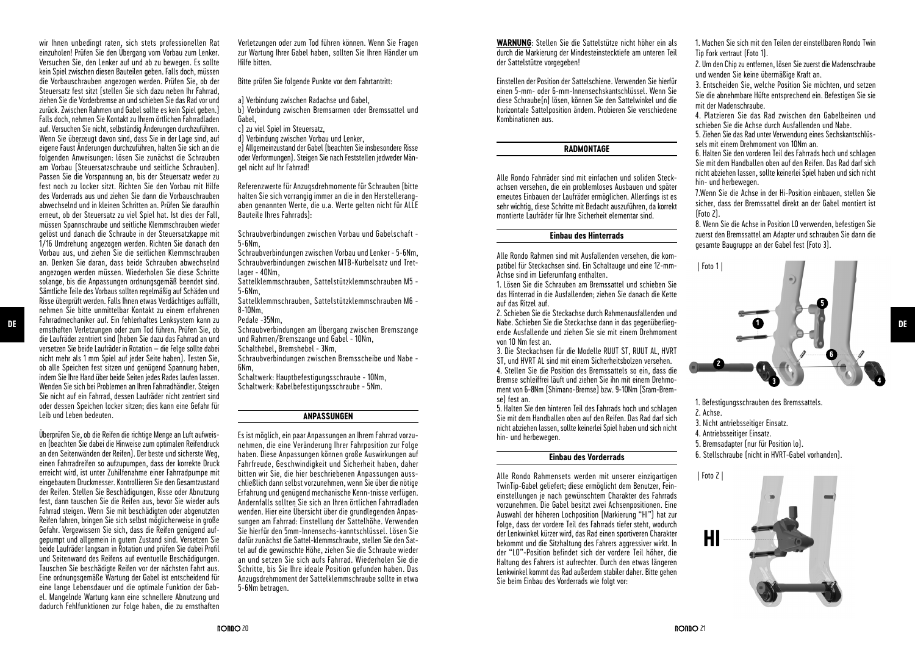wir Ihnen unbedingt raten, sich stets professionellen Rat einzuholen! Prüfen Sie den Übergang vom Vorbau zum Lenker. Versuchen Sie, den Lenker auf und ab zu bewegen. Es sollte kein Spiel zwischen diesen Bauteilen geben. Falls doch, müssen die Vorbauschrauben angezogen werden. Prüfen Sie, ob der Steuersatz fest sitzt (stellen Sie sich dazu neben Ihr Fahrrad, ziehen Sie die Vorderbremse an und schieben Sie das Rad vor und zurück. Zwischen Rahmen und Gabel sollte es kein Spiel geben.) Falls doch, nehmen Sie Kontakt zu Ihrem örtlichen Fahrradladen auf. Versuchen Sie nicht, selbständig Änderungen durchzuführen. Wenn Sie überzeugt davon sind, dass Sie in der Lage sind, auf eigene Faust Änderungen durchzuführen, halten Sie sich an die folgenden Anweisungen: lösen Sie zunächst die Schrauben am Vorbau (Steuersatzschraube und seitliche Schrauben). Passen Sie die Vorspannung an, bis der Steuersatz weder zu fest noch zu locker sitzt. Richten Sie den Vorbau mit Hilfe des Vorderrads aus und ziehen Sie dann die Vorbauschrauben abwechselnd und in kleinen Schritten an. Prüfen Sie daraufhin erneut, ob der Steuersatz zu viel Spiel hat. Ist dies der Fall, müssen Spannschraube und seitliche Klemmschrauben wieder gelöst und danach die Schraube in der Steuersatzkappe mit 1/16 Umdrehung angezogen werden. Richten Sie danach den Vorbau aus, und ziehen Sie die seitlichen Klemmschrauben an. Denken Sie daran, dass beide Schrauben abwechselnd angezogen werden müssen. Wiederholen Sie diese Schritte solange, bis die Anpassungen ordnungsgemäß beendet sind. Sämtliche Teile des Vorbaus sollten regelmäßig auf Schäden und Risse überprüft werden. Falls Ihnen etwas Verdächtiges auffällt, nehmen Sie bitte unmittelbar Kontakt zu einem erfahrenen Fahrradmechaniker auf. Ein fehlerhaftes Lenksystem kann zu die Laufräder zentriert sind (heben Sie dazu das Fahrrad an und versetzen Sie beide Laufräder in Rotation – die Felge sollte dabei nicht mehr als 1 mm Spiel auf jeder Seite haben). Testen Sie, ob alle Speichen fest sitzen und genügend Spannung haben, indem Sie Ihre Hand über beide Seiten jedes Rades laufen lassen. Wenden Sie sich bei Problemen an Ihren Fahrradhändler. Steigen Sie nicht auf ein Fahrrad, dessen Laufräder nicht zentriert sind

Überprüfen Sie, ob die Reifen die richtige Menge an Luft aufweisen (beachten Sie dabei die Hinweise zum optimalen Reifendruck an den Seitenwänden der Reifen). Der beste und sicherste Weg, einen Fahrradreifen so aufzupumpen, dass der korrekte Druck erreicht wird, ist unter Zuhilfenahme einer Fahrradpumpe mit eingebautem Druckmesser. Kontrollieren Sie den Gesamtzustand der Reifen. Stellen Sie Beschädigungen, Risse oder Abnutzung fest, dann tauschen Sie die Reifen aus, bevor Sie wieder aufs Fahrrad steigen. Wenn Sie mit beschädigten oder abgenutzten Reifen fahren, bringen Sie sich selbst möglicherweise in große Gefahr. Vergewissern Sie sich, dass die Reifen genügend aufgepumpt und allgemein in gutem Zustand sind. Versetzen Sie beide Laufräder langsam in Rotation und prüfen Sie dabei Profil und Seitenwand des Reifens auf eventuelle Beschädigungen. Tauschen Sie beschädigte Reifen vor der nächsten Fahrt aus. Eine ordnungsgemäße Wartung der Gabel ist entscheidend für eine lange Lebensdauer und die optimale Funktion der Gabel. Mangelnde Wartung kann eine schnellere Abnutzung und dadurch Fehlfunktionen zur Folge haben, die zu ernsthaften

oder dessen Speichen locker sitzen; dies kann eine Gefahr für

Leib und Leben bedeuten.

Verletzungen oder zum Tod führen können. Wenn Sie Fragen zur Wartung Ihrer Gabel haben, sollten Sie Ihren Händler um Hilfe bitten.

Bitte prüfen Sie folgende Punkte vor dem Fahrtantritt:

a) Verbindung zwischen Radachse und Gabel, b) Verbindung zwischen Bremsarmen oder Bremssattel und **Gabel** 

c) zu viel Spiel im Steuersatz,

d) Verbindung zwischen Vorbau und Lenker,

e) Allgemeinzustand der Gabel (beachten Sie insbesondere Risse oder Verformungen). Steigen Sie nach Feststellen jedweder Mängel nicht auf Ihr Fahrrad!

Referenzwerte für Anzugsdrehmomente für Schrauben (bitte halten Sie sich vorrangig immer an die in den Herstellerangaben genannten Werte, die u.a. Werte gelten nicht für ALLE Bauteile Ihres Fahrrads):

Schraubverbindungen zwischen Vorbau und Gabelschaft - 5-6Nm,

Schraubverbindungen zwischen Vorbau und Lenker - 5-6Nm, Schraubverbindungen zwischen MTB-Kurbelsatz und Tretlager - 40Nm.

Sattelklemmschrauben, Sattelstützklemmschrauben M5 - 5-6Nm,

Sattelklemmschrauben, Sattelstützklemmschrauben M6 - 8-10Nm,

Pedale -35Nm,

Schraubverbindungen am Übergang zwischen Bremszange und Rahmen/Bremszange und Gabel - 10Nm, Schalthebel, Bremshebel - 3Nm.

Schraubverbindungen zwischen Bremsscheibe und Nabe - 6Nm,

Schaltwerk: Hauptbefestigungsschraube - 10Nm, Schaltwerk: Kabelbefestigungsschraube - 5Nm.

#### **ANPASSUNGEN**

Es ist möglich, ein paar Anpassungen an Ihrem Fahrrad vorzunehmen, die eine Veränderung Ihrer Fahrposition zur Folge haben. Diese Anpassungen können große Auswirkungen auf Fahrfreude, Geschwindigkeit und Sicherheit haben, daher bitten wir Sie, die hier beschriebenen Anpassungen ausschließlich dann selbst vorzunehmen, wenn Sie über die nötige Erfahrung und genügend mechanische Kenn-tnisse verfügen. Andernfalls sollten Sie sich an Ihren örtlichen Fahrradladen wenden. Hier eine Übersicht über die grundlegenden Anpassungen am Fahrrad: Einstellung der Sattelhöhe. Verwenden Sie hierfür den 5mm-Innensechs-kanntschlüssel. Lösen Sie dafür zunächst die Sattel-klemmschraube, stellen Sie den Sattel auf die gewünschte Höhe, ziehen Sie die Schraube wieder an und setzen Sie sich aufs Fahrrad. Wiederholen Sie die Schritte, bis Sie Ihre ideale Position gefunden haben. Das Anzugsdrehmoment der Sattelklemmschraube sollte in etwa 5-6Nm betragen.

**WARNUNG**: Stellen Sie die Sattelstütze nicht höher ein als durch die Markierung der Mindesteinstecktiefe am unteren Teil der Sattelstütze vorgegeben!

Einstellen der Position der Sattelschiene. Verwenden Sie hierfür einen 5-mm- oder 6-mm-Innensechskantschlüssel. Wenn Sie diese Schraube(n) lösen, können Sie den Sattelwinkel und die horizontale Sattelposition ändern. Probieren Sie verschiedene Kombinationen aus.

#### **RADMONTAGE**

Alle Rondo Fahrräder sind mit einfachen und soliden Steckachsen versehen, die ein problemloses Ausbauen und später erneutes Einbauen der Laufräder ermöglichen. Allerdings ist es sehr wichtig, diese Schritte mit Bedacht auszuführen, da korrekt montierte Laufräder für Ihre Sicherheit elementar sind.

#### **Einbau des Hinterrads**

Alle Rondo Rahmen sind mit Ausfallenden versehen, die kompatibel für Steckachsen sind. Ein Schaltauge und eine 12-mm-Achse sind im Lieferumfang enthalten.

1. Lösen Sie die Schrauben am Bremssattel und schieben Sie das Hinterrad in die Ausfallenden; ziehen Sie danach die Kette auf das Ritzel auf.

2. Schieben Sie die Steckachse durch Rahmenausfallenden und Nabe. Schieben Sie die Steckachse dann in das gegenüberliegende Ausfallende und ziehen Sie sie mit einem Drehmoment von 10 Nm fest an.

3. Die Steckachsen für die Modelle RUUT ST, RUUT AL, HVRT ST, und HVRT AL sind mit einem Sicherheitsbolzen versehen. 4. Stellen Sie die Position des Bremssattels so ein, dass die Bremse schleiffrei läuft und ziehen Sie ihn mit einem Drehmoment von 6-8Nm (Shimano-Bremse) bzw. 9-10Nm (Sram-Bremse) fest an.

5. Halten Sie den hinteren Teil des Fahrrads hoch und schlagen Sie mit dem Handballen oben auf den Reifen. Das Rad darf sich nicht abziehen lassen, sollte keinerlei Spiel haben und sich nicht hin- und herbewegen.

#### **Einbau des Vorderrads**

Alle Rondo Rahmensets werden mit unserer einzigartigen TwinTip-Gabel geliefert; diese ermöglicht dem Benutzer, Feineinstellungen je nach gewünschtem Charakter des Fahrrads vorzunehmen. Die Gabel besitzt zwei Achsenpositionen. Eine Auswahl der höheren Lochposition (Markierung "HI") hat zur Folge, dass der vordere Teil des Fahrrads tiefer steht, wodurch der Lenkwinkel kürzer wird, das Rad einen sportiveren Charakter bekommt und die Sitzhaltung des Fahrers aggressiver wirkt. In der "LO"-Position befindet sich der vordere Teil höher, die Haltung des Fahrers ist aufrechter. Durch den etwas längeren Lenkwinkel kommt das Rad außerdem stabiler daher. Bitte gehen Sie beim Einbau des Vorderrads wie folgt vor:

1. Machen Sie sich mit den Teilen der einstellbaren Rondo Twin Tip Fork vertraut (Foto 1).

2. Um den Chip zu entfernen, lösen Sie zuerst die Madenschraube und wenden Sie keine übermäßige Kraft an.

3. Entscheiden Sie, welche Position Sie möchten, und setzen Sie die abnehmbare Hüfte entsprechend ein. Befestigen Sie sie mit der Madenschraube.

4. Platzieren Sie das Rad zwischen den Gabelbeinen und schieben Sie die Achse durch Ausfallenden und Nabe.

5. Ziehen Sie das Rad unter Verwendung eines Sechskantschlüssels mit einem Drehmoment von 10Nm an.

6. Halten Sie den vorderen Teil des Fahrrads hoch und schlagen Sie mit dem Handballen oben auf den Reifen. Das Rad darf sich nicht abziehen lassen, sollte keinerlei Spiel haben und sich nicht hin- und herbewegen.

7.Wenn Sie die Achse in der Hi-Position einbauen, stellen Sie sicher, dass der Bremssattel direkt an der Gabel montiert ist (Foto 2).

8. Wenn Sie die Achse in Position LO verwenden, befestigen Sie zuerst den Bremssattel am Adapter und schrauben Sie dann die gesamte Baugruppe an der Gabel fest (Foto 3).



1. Befestigungsschrauben des Bremssattels.

- 2. Achse.
- 3. Nicht antriebsseitiger Einsatz.
- 4. Antriebsseitiger Einsatz.
- 5. Bremsadapter (nur für Position lo).
- 6. Stellschraube (nicht in HVRT-Gabel vorhanden).

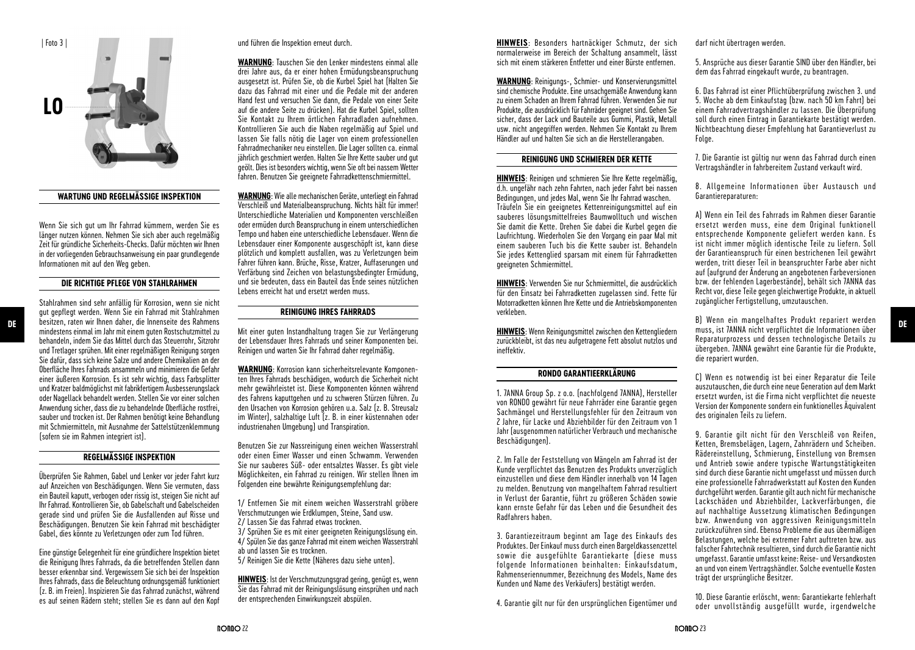

# **WARTUNG UND REGELMÄSSIGE INSPEKTION**

Wenn Sie sich gut um Ihr Fahrrad kümmern, werden Sie es länger nutzen können. Nehmen Sie sich aber auch regelmäßig Zeit für gründliche Sicherheits-Checks. Dafür möchten wir Ihnen in der vorliegenden Gebrauchsanweisung ein paar grundlegende Informationen mit auf den Weg geben.

#### **DIE RICHTIGE PFLEGE VON STAHLRAHMEN**

Stahlrahmen sind sehr anfällig für Korrosion, wenn sie nicht gut gepflegt werden. Wenn Sie ein Fahrrad mit Stahlrahmen besitzen, raten wir Ihnen daher, die Innenseite des Rahmens mindestens einmal im Jahr mit einem guten Rostschutzmittel zu behandeln, indem Sie das Mittel durch das Steuerrohr, Sitzrohr und Tretlager sprühen. Mit einer regelmäßigen Reinigung sorgen Sie dafür, dass sich keine Salze und andere Chemikalien an der Oberfläche Ihres Fahrrads ansammeln und minimieren die Gefahr einer äußeren Korrosion. Es ist sehr wichtig, dass Farbsplitter und Kratzer baldmöglichst mit fabrikfertigem Ausbesserungslack oder Nagellack behandelt werden. Stellen Sie vor einer solchen Anwendung sicher, dass die zu behandelnde Oberfläche rostfrei, sauber und trocken ist. Der Rahmen benötigt keine Behandlung mit Schmiermitteln, mit Ausnahme der Sattelstützenklemmung (sofern sie im Rahmen integriert ist). mindestens einmal im Jahr mindestens die Informationen über automationen über automationen über automationen über<br>Der anindestens einmal im Jahr muss, ist 7ANNA nicht verpflichtet die Informationen über automationen über a

# **REGELMÄSSIGE INSPEKTION**

Überprüfen Sie Rahmen, Gabel und Lenker vor jeder Fahrt kurz auf Anzeichen von Beschädigungen. Wenn Sie vermuten, dass ein Bauteil kaputt, verbogen oder rissig ist, steigen Sie nicht auf Ihr Fahrrad. Kontrollieren Sie, ob Gabelschaft und Gabelscheiden gerade sind und prüfen Sie die Ausfallenden auf Risse und Beschädigungen. Benutzen Sie kein Fahrrad mit beschädigter Gabel, dies könnte zu Verletzungen oder zum Tod führen.

Eine günstige Gelegenheit für eine gründlichere Inspektion bietet die Reinigung Ihres Fahrrads, da die betreffenden Stellen dann besser erkennbar sind. Vergewissern Sie sich bei der Inspektion Ihres Fahrrads, dass die Beleuchtung ordnungsgemäß funktioniert (z. B. im Freien). Inspizieren Sie das Fahrrad zunächst, während es auf seinen Rädern steht; stellen Sie es dann auf den Kopf

#### und führen die Inspektion erneut durch.

**WARNUNG**: Tauschen Sie den Lenker mindestens einmal alle drei Jahre aus, da er einer hohen Ermüdungsbeanspruchung ausgesetzt ist. Prüfen Sie, ob die Kurbel Spiel hat (Halten Sie dazu das Fahrrad mit einer und die Pedale mit der anderen Hand fest und versuchen Sie dann, die Pedale von einer Seite auf die andere Seite zu drücken). Hat die Kurbel Spiel, sollten Sie Kontakt zu Ihrem örtlichen Fahrradladen aufnehmen. Kontrollieren Sie auch die Naben regelmäßig auf Spiel und lassen Sie falls nötig die Lager von einem professionellen Fahrradmechaniker neu einstellen. Die Lager sollten ca. einmal jährlich geschmiert werden. Halten Sie Ihre Kette sauber und gut geölt. Dies ist besonders wichtig, wenn Sie oft bei nassem Wetter fahren. Benutzen Sie geeignete Fahrradkettenschmiermittel.

**WARNUNG**: Wie alle mechanischen Geräte, unterliegt ein Fahrrad Verschleiß und Materialbeanspruchung. Nichts hält für immer! Unterschiedliche Materialien und Komponenten verschleißen oder ermüden durch Beanspruchung in einem unterschiedlichen Tempo und haben eine unterschiedliche Lebensdauer. Wenn die Lebensdauer einer Komponente ausgeschöpft ist, kann diese plötzlich und komplett ausfallen, was zu Verletzungen beim Fahrer führen kann. Brüche, Risse, Kratzer, Auffaserungen und Verfärbung sind Zeichen von belastungsbedingter Ermüdung, und sie bedeuten, dass ein Bauteil das Ende seines nützlichen Lebens erreicht hat und ersetzt werden muss.

#### **REINIGUNG IHRES FAHRRADS**

Mit einer guten Instandhaltung tragen Sie zur Verlängerung der Lebensdauer Ihres Fahrrads und seiner Komponenten bei. Reinigen und warten Sie Ihr Fahrrad daher regelmäßig.

**WARNUNG**: Korrosion kann sicherheitsrelevante Komponenten Ihres Fahrrads beschädigen, wodurch die Sicherheit nicht mehr gewährleistet ist. Diese Komponenten können während des Fahrens kaputtgehen und zu schweren Stürzen führen. Zu den Ursachen von Korrosion gehören u.a. Salz (z. B. Streusalz im Winter), salzhaltige Luft (z. B. in einer küstennahen oder industrienahen Umgebung) und Transpiration.

Benutzen Sie zur Nassreinigung einen weichen Wasserstrahl oder einen Eimer Wasser und einen Schwamm. Verwenden Sie nur sauberes Süß- oder entsalztes Wasser. Es gibt viele Möglichkeiten, ein Fahrrad zu reinigen. Wir stellen Ihnen im Folgenden eine bewährte Reinigungsempfehlung dar:

1/ Entfernen Sie mit einem weichen Wasserstrahl gröbere Verschmutzungen wie Erdklumpen, Steine, Sand usw. 2/ Lassen Sie das Fahrrad etwas trocknen.

3/ Sprühen Sie es mit einer geeigneten Reinigungslösung ein. 4/ Spülen Sie das ganze Fahrrad mit einem weichen Wasserstrahl ab und lassen Sie es trocknen.

5/ Reinigen Sie die Kette (Näheres dazu siehe unten).

**HINWEIS**: Ist der Verschmutzungsgrad gering, genügt es, wenn **Sie das Fahrrad mit der Reinigungslösung einsprühen und nach**<br>Sie das Fahrrad mit der Reinigungslösung einsprühen und nach der entsprechenden Einwirkungszeit abspülen.

**HINWEIS**: Besonders hartnäckiger Schmutz, der sich normalerweise im Bereich der Schaltung ansammelt, lässt sich mit einem stärkeren Entfetter und einer Bürste entfernen.

**WARNUNG**: Reinigungs-, Schmier- und Konservierungsmittel sind chemische Produkte. Eine unsachgemäße Anwendung kann zu einem Schaden an Ihrem Fahrrad führen. Verwenden Sie nur Produkte, die ausdrücklich für Fahrräder geeignet sind. Gehen Sie sicher, dass der Lack und Bauteile aus Gummi, Plastik, Metall usw. nicht angegriffen werden. Nehmen Sie Kontakt zu Ihrem Händler auf und halten Sie sich an die Herstellerangaben.

#### **REINIGUNG UND SCHMIEREN DER KETTE**

**HINWEIS**: Reinigen und schmieren Sie Ihre Kette regelmäßig, d.h. ungefähr nach zehn Fahrten, nach jeder Fahrt bei nassen Bedingungen, und jedes Mal, wenn Sie Ihr Fahrrad waschen. Träufeln Sie ein geeignetes Kettenreinigungsmittel auf ein sauberes lösungsmittelfreies Baumwolltuch und wischen Sie damit die Kette. Drehen Sie dabei die Kurbel gegen die Laufrichtung. Wiederholen Sie den Vorgang ein paar Mal mit einem sauberen Tuch bis die Kette sauber ist. Behandeln Sie jedes Kettenglied sparsam mit einem für Fahrradketten geeigneten Schmiermittel.

**HINWEIS**: Verwenden Sie nur Schmiermittel, die ausdrücklich für den Einsatz bei Fahrradketten zugelassen sind. Fette für Motorradketten können Ihre Kette und die Antriebskomponenten verkleben.

**HINWEIS**: Wenn Reinigungsmittel zwischen den Kettengliedern zurückbleibt, ist das neu aufgetragene Fett absolut nutzlos und ineffektiv.

#### **RONDO GARANTIEERKLÄRUNG**

1. 7ANNA Group Sp. z o.o. (nachfolgend 7ANNA), Hersteller von RONDO gewährt für neue Fahrräder eine Garantie gegen Sachmängel und Herstellungsfehler für den Zeitraum von 2 Jahre, für Lacke und Abziehbilder für den Zeitraum von 1 Jahr (ausgenommen natürlicher Verbrauch und mechanische Beschädigungen).

2. Im Falle der Feststellung von Mängeln am Fahrrad ist der Kunde verpflichtet das Benutzen des Produkts unverzüglich einzustellen und diese dem Händler innerhalb von 14 Tagen zu melden. Benutzung von mangelhaftem Fahrrad resultiert in Verlust der Garantie, führt zu größeren Schäden sowie kann ernste Gefahr für das Leben und die Gesundheit des Radfahrers haben.

3. Garantiezeitraum beginnt am Tage des Einkaufs des Produktes. Der Einkauf muss durch einen Bargeldkassenzettel sowie die ausgefühlte Garantiekarte (diese muss folgende Informationen beinhalten: Einkaufsdatum, Rahmenseriennummer, Bezeichnung des Models, Name des Kunden und Name des Verkäufers) bestätigt werden.

4. Garantie gilt nur für den ursprünglichen Eigentümer und

darf nicht übertragen werden.

5. Ansprüche aus dieser Garantie SIND über den Händler, bei dem das Fahrrad eingekauft wurde, zu beantragen.

6. Das Fahrrad ist einer Pflichtüberprüfung zwischen 3. und 5. Woche ab dem Einkaufstag (bzw. nach 50 km Fahrt) bei einem Fahrradvertragshändler zu lassen. Die Überprüfung soll durch einen Eintrag in Garantiekarte bestätigt werden. Nichtbeachtung dieser Empfehlung hat Garantieverlust zu Folge.

7. Die Garantie ist gültig nur wenn das Fahrrad durch einen Vertragshändler in fahrbereitem Zustand verkauft wird.

8. Allgemeine Informationen über Austausch und Garantiereparaturen:

A) Wenn ein Teil des Fahrrads im Rahmen dieser Garantie ersetzt werden muss, eine dem Original funktionell entsprechende Komponente geliefert werden kann. Es ist nicht immer möglich identische Teile zu liefern. Soll der Garantieanspruch für einen bestrichenen Teil gewährt werden, tritt dieser Teil in beanspruchter Farbe aber nicht auf (aufgrund der Änderung an angebotenen Farbeversionen bzw. der fehlenden Lagerbestände), behält sich 7ANNA das Recht vor, diese Teile gegen gleichwertige Produkte, in aktuell zugänglicher Fertigstellung, umzutauschen.

B) Wenn ein mangelhaftes Produkt repariert werden Reparaturprozess und dessen technologische Details zu übergeben. 7ANNA gewährt eine Garantie für die Produkte, die repariert wurden.

C) Wenn es notwendig ist bei einer Reparatur die Teile auszutauschen, die durch eine neue Generation auf dem Markt ersetzt wurden, ist die Firma nicht verpflichtet die neueste Version der Komponente sondern ein funktionelles Äquivalent des originalen Teils zu liefern.

9. Garantie gilt nicht für den Verschleiß von Reifen, Ketten, Bremsbelägen, Lagern, Zahnrädern und Scheiben. Rädereinstellung, Schmierung, Einstellung von Bremsen und Antrieb sowie andere typische Wartungstätigkeiten sind durch diese Garantie nicht umgefasst und müssen durch eine professionelle Fahrradwerkstatt auf Kosten den Kunden durchgeführt werden. Garantie gilt auch nicht für mechanische Lackschäden und Abziehbilder, Lackverfärbungen, die auf nachhaltige Aussetzung klimatischen Bedingungen bzw. Anwendung von aggressiven Reinigungsmitteln zurückzuführen sind. Ebenso Probleme die aus übermäßigen Belastungen, welche bei extremer Fahrt auftreten bzw. aus falscher Fahrtechnik resultieren, sind durch die Garantie nicht umgefasst. Garantie umfasst keine: Reise- und Versandkosten an und von einem Vertragshändler. Solche eventuelle Kosten trägt der ursprüngliche Besitzer.

10. Diese Garantie erlöscht, wenn: Garantiekarte fehlerhaft oder unvollständig ausgefüllt wurde, irgendwelche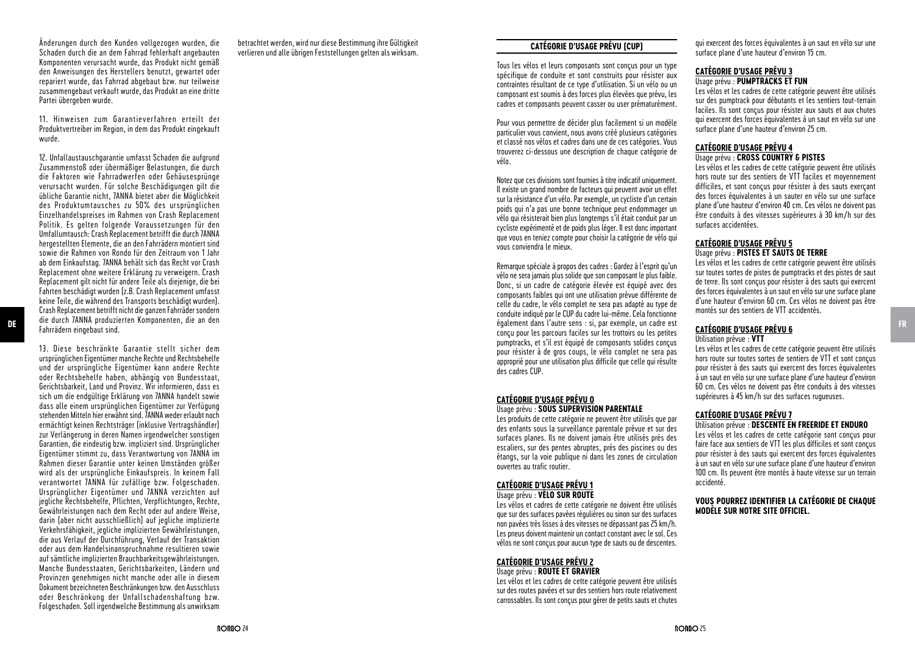Änderungen durch den Kunden vollgezogen wurden, die Schaden durch die an dem Fahrrad fehlerhaft angebauten Komponenten verursacht wurde, das Produkt nicht gemäß den Anweisungen des Herstellers benutzt, gewartet oder repariert wurde, das Fahrrad abgebaut bzw. nur teilweise zusammengebaut verkauft wurde, das Produkt an eine dritte Partei übergeben wurde.

11. Hinweisen zum Garantieverfahren erteilt der Produktvertreiber im Region, in dem das Produkt eingekauft wurde.

12. Unfallaustauschgarantie umfasst Schaden die aufgrund Zusammenstoß oder übermäßiger Belastungen, die durch die Faktoren wie Fahrradwerfen oder Gehäusesprünge verursacht wurden. Für solche Beschädigungen gilt die übliche Garantie nicht, 7ANNA bietet aber die Möglichkeit des Produktumtausches zu 50% des ursprünglichen Einzelhandelspreises im Rahmen von Crash Replacement Politik. Es gelten folgende Voraussetzungen für den Umfallumtausch: Crash Replacement betrifft die durch 7ANNA hergestellten Elemente, die an den Fahrrädern montiert sind sowie die Rahmen von Rondo für den Zeitraum von 1 Jahr ab dem Einkaufstag. 7ANNA behält sich das Recht vor Crash Replacement ohne weitere Erklärung zu verweigern. Crash Replacement gilt nicht für andere Teile als diejenige, die bei Fahrten beschädigt wurden (z.B. Crash Replacement umfasst keine Teile, die während des Transports beschädigt wurden). Crash Replacement betrifft nicht die ganzen Fahrräder sondern die durch 7ANNA produzierten Komponenten, die an den Fahrrädern eingebaut sind.

13. Diese beschränkte Garantie stellt sicher dem ursprünglichen Eigentümer manche Rechte und Rechtsbehelfe und der ursprüngliche Eigentümer kann andere Rechte oder Rechtsbehelfe haben, abhängig von Bundesstaat, Gerichtsbarkeit, Land und Provinz. Wir informieren, dass es sich um die endgültige Erklärung von 7ANNA handelt sowie dass alle einem ursprünglichen Eigentümer zur Verfügung stehenden Mitteln hier erwähnt sind. 7ANNA weder erlaubt noch ermächtigt keinen Rechtsträger (inklusive Vertragshändler) zur Verlängerung in deren Namen irgendwelcher sonstigen Garantien, die eindeutig bzw. impliziert sind. Ursprünglicher Eigentümer stimmt zu, dass Verantwortung von 7ANNA im Rahmen dieser Garantie unter keinen Umständen größer wird als der ursprüngliche Einkaufspreis. In keinem Fall verantwortet 7ANNA für zufällige bzw. Folgeschaden. Ursprünglicher Eigentümer und 7ANNA verzichten auf jegliche Rechtsbehelfe, Pflichten, Verpflichtungen, Rechte, Gewährleistungen nach dem Recht oder auf andere Weise, darin (aber nicht ausschließlich) auf jegliche implizierte Verkehrsfähigkeit, jegliche implizierten Gewährleistungen, die aus Verlauf der Durchführung, Verlauf der Transaktion oder aus dem Handelsinanspruchnahme resultieren sowie auf sämtliche implizierten Brauchbarkeitsgewährleistungen. Manche Bundesstaaten, Gerichtsbarkeiten, Ländern und Provinzen genehmigen nicht manche oder alle in diesem Dokument bezeichneten Beschränkungen bzw. den Ausschluss oder Beschränkung der Unfallschadenshaftung bzw. Folgeschaden. Soll irgendwelche Bestimmung als unwirksam

betrachtet werden, wird nur diese Bestimmung ihre Gültigkeit verlieren und alle übrigen Feststellungen gelten als wirksam.

# **CATÉGORIE D'USAGE PRÉVU (CUP)**

Tous les vélos et leurs composants sont conçus pour un type spécifique de conduite et sont construits pour résister aux contraintes résultant de ce type d'utilisation. Si un vélo ou un composant est soumis à des forces plus élevées que prévu, les cadres et composants peuvent casser ou user prématurément.

Pour vous permettre de décider plus facilement si un modèle particulier vous convient, nous avons créé plusieurs catégories et classé nos vélos et cadres dans une de ces catégories. Vous trouverez ci-dessous une description de chaque catégorie de vélo.

Notez que ces divisions sont fournies à titre indicatif uniquement. Il existe un grand nombre de facteurs qui peuvent avoir un effet sur la résistance d'un vélo. Par exemple, un cycliste d'un certain poids qui n'a pas une bonne technique peut endommager un vélo qui résisterait bien plus longtemps s'il était conduit par un cycliste expérimenté et de poids plus léger. Il est donc important que vous en teniez compte pour choisir la catégorie de vélo qui vous conviendra le mieux.

DE **FRA ENTERNATE DE LA CONFERNATE DE LA CONFERNATION CONFERNATION CONFERNATION CONFERNATION CONFERNATION CONFERNATION CONFERNATION FRA ENTERNATION CONFERNATION FRA EXERCISE PROPERTYPE <b>CATÉGODIE PUIS AGE DEÍVIL E** FRA ENT Remarque spéciale à propos des cadres : Gardez à l'esprit qu'un vélo ne sera jamais plus solide que son composant le plus faible. Donc, si un cadre de catégorie élevée est équipé avec des composants faibles qui ont une utilisation prévue différente de celle du cadre, le vélo complet ne sera pas adapté au type de conduite indiqué par le CUP du cadre lui-même. Cela fonctionne conçu pour les parcours faciles sur les trottoirs ou les petites pumptracks, et s'il est équipé de composants solides conçus pour résister à de gros coups, le vélo complet ne sera pas approprié pour une utilisation plus difficile que celle qui résulte des cadres CUP.

#### **CATÉGORIE D'USAGE PRÉVU 0** Usage prévu : **SOUS SUPERVISION PARENTALE**

Les produits de cette catégorie ne peuvent être utilisés que par des enfants sous la surveillance parentale prévue et sur des surfaces planes. Ils ne doivent jamais être utilisés près des escaliers, sur des pentes abruptes, près des piscines ou des étangs, sur la voie publique ni dans les zones de circulation ouvertes au trafic routier.

#### **CATÉGORIE D'USAGE PRÉVU 1** Usage prévu : **VÉLO SUR ROUTE**

Les vélos et cadres de cette catégorie ne doivent être utilisés que sur des surfaces pavées régulières ou sinon sur des surfaces non pavées très lisses à des vitesses ne dépassant pas 25 km/h. Les pneus doivent maintenir un contact constant avec le sol. Ces vélos ne sont conçus pour aucun type de sauts ou de descentes.

# **CATÉGORIE D'USAGE PRÉVU 2** Usage prévu : **ROUTE ET GRAVIER**

Les vélos et les cadres de cette catégorie peuvent être utilisés sur des routes pavées et sur des sentiers hors route relativement carrossables. Ils sont conçus pour gérer de petits sauts et chutes qui exercent des forces équivalentes à un saut en vélo sur une surface plane d'une hauteur d'environ 15 cm.

#### **CATÉGORIE D'USAGE PRÉVU 3** Usage prévu : **PUMPTRACKS ET FUN**

Les vélos et les cadres de cette catégorie peuvent être utilisés sur des pumptrack pour débutants et les sentiers tout-terrain faciles. Ils sont conçus pour résister aux sauts et aux chutes qui exercent des forces équivalentes à un saut en vélo sur une surface plane d'une hauteur d'environ 25 cm.

#### **CATÉGORIE D'USAGE PRÉVU 4** Usage prévu : **CROSS COUNTRY & PISTES**

Les vélos et les cadres de cette catégorie peuvent être utilisés hors route sur des sentiers de VTT faciles et moyennement difficiles, et sont conçus pour résister à des sauts exerçant des forces équivalentes à un sauter en vélo sur une surface plane d'une hauteur d'environ 40 cm. Ces vélos ne doivent pas être conduits à des vitesses supérieures à 30 km/h sur des surfaces accidentées.

#### **CATÉGORIE D'USAGE PRÉVU 5** Usage prévu : **PISTES ET SAUTS DE TERRE**

Les vélos et les cadres de cette catégorie peuvent être utilisés sur toutes sortes de pistes de pumptracks et des pistes de saut de terre. Ils sont conçus pour résister à des sauts qui exercent des forces équivalentes à un saut en vélo sur une surface plane d'une hauteur d'environ 60 cm. Ces vélos ne doivent pas être montés sur des sentiers de VTT accidentés.

#### **CATÉGORIE D'USAGE PRÉVU 6** Utilisation prévue : **VTT**

Les vélos et les cadres de cette catégorie peuvent être utilisés hors route sur toutes sortes de sentiers de VTT et sont conçus pour résister à des sauts qui exercent des forces équivalentes à un saut en vélo sur une surface plane d'une hauteur d'environ 60 cm. Ces vélos ne doivent pas être conduits à des vitesses supérieures à 45 km/h sur des surfaces rugueuses.

# **CATÉGORIE D'USAGE PRÉVU 7**

Utilisation prévue : **DESCENTE EN FREERIDE ET ENDURO** 

Les vélos et les cadres de cette catégorie sont conçus pour faire face aux sentiers de VTT les plus difficiles et sont conçus pour résister à des sauts qui exercent des forces équivalentes à un saut en vélo sur une surface plane d'une hauteur d'environ 100 cm. Ils peuvent être montés à haute vitesse sur un terrain accidenté.

#### **VOUS POURREZ IDENTIFIER LA CATÉGORIE DE CHAQUE MODÈLE SUR NOTRE SITE OFFICIEL.**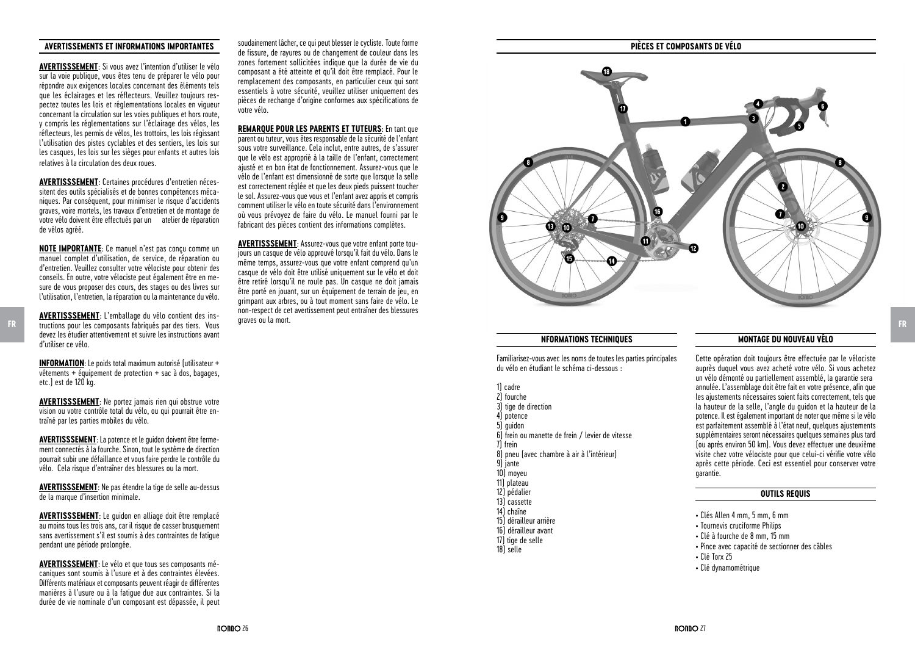# **AVERTISSEMENTS ET INFORMATIONS IMPORTANTES**

**AVERTISSSEMENT**: Si vous avez l'intention d'utiliser le vélo sur la voie publique, vous êtes tenu de préparer le vélo pour répondre aux exigences locales concernant des éléments tels que les éclairages et les réflecteurs. Veuillez toujours respectez toutes les lois et réglementations locales en vigueur concernant la circulation sur les voies publiques et hors route, y compris les réglementations sur l'éclairage des vélos, les réflecteurs, les permis de vélos, les trottoirs, les lois régissant l'utilisation des pistes cyclables et des sentiers, les lois sur les casques, les lois sur les sièges pour enfants et autres lois relatives à la circulation des deux roues.

**AVERTISSSEMENT**: Certaines procédures d'entretien nécessitent des outils spécialisés et de bonnes compétences mécaniques. Par conséquent, pour minimiser le risque d'accidents graves, voire mortels, les travaux d'entretien et de montage de votre vélo doivent être effectués par un atelier de réparation de vélos agréé.

**NOTE IMPORTANTE**: Ce manuel n'est pas conçu comme un manuel complet d'utilisation, de service, de réparation ou d'entretien. Veuillez consulter votre vélociste pour obtenir des conseils. En outre, votre vélociste peut également être en mesure de vous proposer des cours, des stages ou des livres sur l'utilisation, l'entretien, la réparation ou la maintenance du vélo.

**AVERTISSSEMENT**: L'emballage du vélo contient des instructions pour les composants fabriqués par des tiers. Vous graves ou la mort. **FR FR** devez les étudier attentivement et suivre les instructions avant d'utiliser ce vélo.

**INFORMATION**: Le poids total maximum autorisé (utilisateur +  $\overline{v\hat{\theta}}$ tements + équipement de protection + sac à dos, bagages, etc.) est de 120 kg.

**AVERTISSSEMENT**: Ne portez jamais rien qui obstrue votre vision ou votre contrôle total du vélo, ou qui pourrait être entraîné par les parties mobiles du vélo.

**AVERTISSSEMENT**: La potence et le guidon doivent être fermement connectés à la fourche. Sinon, tout le système de direction pourrait subir une défaillance et vous faire perdre le contrôle du vélo. Cela risque d'entraîner des blessures ou la mort.

**AVERTISSSEMENT**: Ne pas étendre la tige de selle au-dessus de la marque d'insertion minimale.

**AVERTISSSEMENT**: Le guidon en alliage doit être remplacé au moins tous les trois ans, car il risque de casser brusquement sans avertissement s'il est soumis à des contraintes de fatigue pendant une période prolongée.

**AVERTISSSEMENT**: Le vélo et que tous ses composants mécaniques sont soumis à l'usure et à des contraintes élevées. Différents matériaux et composants peuvent réagir de différentes manières à l'usure ou à la fatigue due aux contraintes. Si la durée de vie nominale d'un composant est dépassée, il peut

soudainement lâcher, ce qui peut blesser le cycliste. Toute forme de fissure, de rayures ou de changement de couleur dans les zones fortement sollicitées indique que la durée de vie du composant a été atteinte et qu'il doit être remplacé. Pour le remplacement des composants, en particulier ceux qui sont essentiels à votre sécurité, veuillez utiliser uniquement des pièces de rechange d'origine conformes aux spécifications de .<br>votre vélo

**REMARQUE POUR LES PARENTS ET TUTEURS**: En tant que parent ou tuteur, vous êtes responsable de la sécurité de l'enfant sous votre surveillance. Cela inclut, entre autres, de s'assurer que le vélo est approprié à la taille de l'enfant, correctement ajusté et en bon état de fonctionnement. Assurez-vous que le vélo de l'enfant est dimensionné de sorte que lorsque la selle est correctement réglée et que les deux pieds puissent toucher le sol. Assurez-vous que vous et l'enfant avez appris et compris comment utiliser le vélo en toute sécurité dans l'environnement où vous prévoyez de faire du vélo. Le manuel fourni par le fabricant des pièces contient des informations complètes.

**AVERTISSSEMENT**: Assurez-vous que votre enfant porte toujours un casque de vélo approuvé lorsqu'il fait du vélo. Dans le même temps, assurez-vous que votre enfant comprend qu'un casque de vélo doit être utilisé uniquement sur le vélo et doit être retiré lorsqu'il ne roule pas. Un casque ne doit jamais être porté en jouant, sur un équipement de terrain de jeu, en grimpant aux arbres, ou à tout moment sans faire de vélo. Le non-respect de cet avertissement peut entraîner des blessures<br>graves ou la mort.

> 1) cadre 2) fourche 3) tige de direction 4) potence 5) guidon 6) frein ou manette de frein / levier de vitesse 7) frein 8) pneu (avec chambre à air à l'intérieur) 9) jante 10) moyeu 11) plateau 12) pédalier 13) cassette 14) chaîne 15) dérailleur arrière 16) dérailleur avant 17) tige de selle 18) selle

# **PIÈCES ET COMPOSANTS DE VÉLO**



# **NFORMATIONS TECHNIQUES**

Familiarisez-vous avec les noms de toutes les parties principales du vélo en étudiant le schéma ci-dessous :

Cette opération doit toujours être effectuée par le vélociste auprès duquel vous avez acheté votre vélo. Si vous achetez un vélo démonté ou partiellement assemblé, la garantie sera annulée. L'assemblage doit être fait en votre présence, afin que les ajustements nécessaires soient faits correctement, tels que la hauteur de la selle, l'angle du guidon et la hauteur de la potence. Il est également important de noter que même si le vélo est parfaitement assemblé à l'état neuf, quelques ajustements supplémentaires seront nécessaires quelques semaines plus tard (ou après environ 50 km). Vous devez effectuer une deuxième visite chez votre vélociste pour que celui-ci vérifie votre vélo après cette période. Ceci est essentiel pour conserver votre garantie.

# **OUTILS REQUIS**

**MONTAGE DU NOUVEAU VÉLO**

- Clés Allen 4 mm, 5 mm, 6 mm
- Tournevis cruciforme Philips
- Clé à fourche de 8 mm, 15 mm
- Pince avec capacité de sectionner des câbles
- Clé Torx 25
- Clé dynamométrique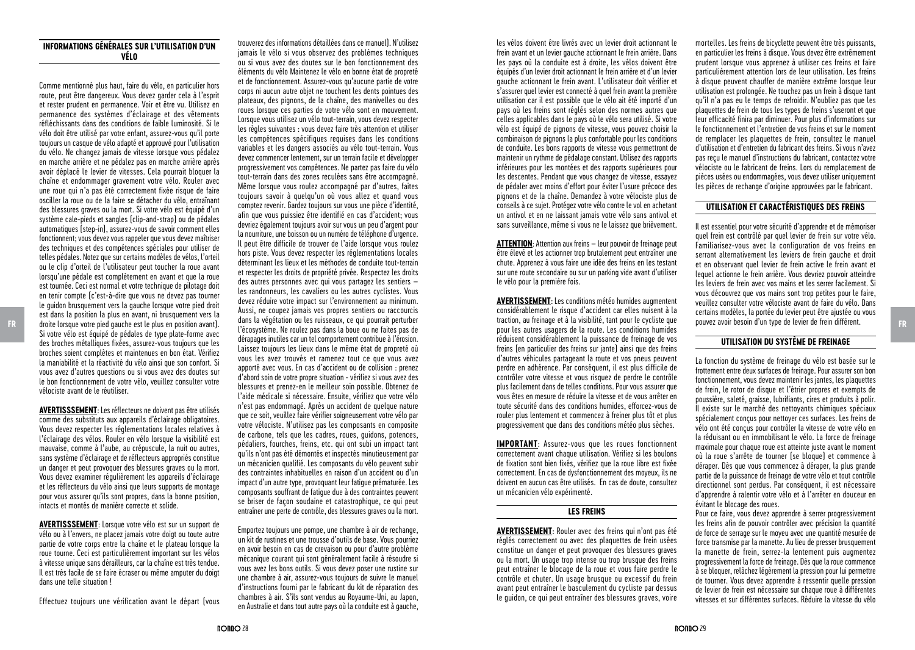#### **INFORMATIONS GÉNÉRALES SUR L'UTILISATION D'UN VÉLO**

Comme mentionné plus haut, faire du vélo, en particulier hors route, peut être dangereux. Vous devez garder cela à l'esprit et rester prudent en permanence. Voir et être vu. Utilisez en permanence des systèmes d'éclairage et des vêtements réfléchissants dans des conditions de faible luminosité. Si le vélo doit être utilisé par votre enfant, assurez-vous qu'il porte toujours un casque de vélo adapté et approuvé pour l'utilisation du vélo. Ne changez jamais de vitesse lorsque vous pédalez en marche arrière et ne pédalez pas en marche arrière après avoir déplacé le levier de vitesses. Cela pourrait bloquer la chaîne et endommager gravement votre vélo. Rouler avec une roue qui n'a pas été correctement fixée risque de faire osciller la roue ou de la faire se détacher du vélo, entraînant des blessures graves ou la mort. Si votre vélo est équipé d'un système cale-pieds et sangles (clip-and-strap) ou de pédales automatiques (step-in), assurez-vous de savoir comment elles fonctionnent; vous devez vous rappeler que vous devez maîtriser des techniques et des compétences spéciales pour utiliser de telles pédales. Notez que sur certains modèles de vélos, l'orteil ou le clip d'orteil de l'utilisateur peut toucher la roue avant lorsqu'une pédale est complètement en avant et que la roue est tournée. Ceci est normal et votre technique de pilotage doit en tenir compte (c'est-à-dire que vous ne devez pas tourner le guidon brusquement vers la gauche lorsque votre pied droit est dans la position la plus en avant, ni brusquement vers la Si votre vélo est équipé de pédales de type plate-forme avec des broches métalliques fixées, assurez-vous toujours que les broches soient complètes et maintenues en bon état. Vérifiez la maniabilité et la réactivité du vélo ainsi que son confort. Si vous avez d'autres questions ou si vous avez des doutes sur le bon fonctionnement de votre vélo, veuillez consulter votre vélociste avant de le réutiliser.

**AVERTISSSEMENT**: Les réflecteurs ne doivent pas être utilisés comme des substituts aux appareils d'éclairage obligatoires. Vous devez respecter les réglementations locales relatives à l'éclairage des vélos. Rouler en vélo lorsque la visibilité est mauvaise, comme à l'aube, au crépuscule, la nuit ou autres, sans système d'éclairage et de réflecteurs appropriés constitue un danger et peut provoquer des blessures graves ou la mort. Vous devez examiner régulièrement les appareils d'éclairage et les réflecteurs du vélo ainsi que leurs supports de montage pour vous assurer qu'ils sont propres, dans la bonne position, intacts et montés de manière correcte et solide.

**AVERTISSSEMENT**: Lorsque votre vélo est sur un support de vélo ou à l'envers, ne placez jamais votre doigt ou toute autre partie de votre corps entre la chaîne et le plateau lorsque la roue tourne. Ceci est particulièrement important sur les vélos à vitesse unique sans dérailleurs, car la chaîne est très tendue. Il est très facile de se faire écraser ou même amputer du doigt dans une telle situation !

Effectuez toujours une vérification avant le départ (vous

trouverez des informations détaillées dans ce manuel). N'utilisez jamais le vélo si vous observez des problèmes techniques ou si vous avez des doutes sur le bon fonctionnement des éléments du vélo Maintenez le vélo en bonne état de propreté et de fonctionnement. Assurez-vous qu'aucune partie de votre corps ni aucun autre objet ne touchent les dents pointues des plateaux, des pignons, de la chaîne, des manivelles ou des roues lorsque ces parties de votre vélo sont en mouvement. Lorsque vous utilisez un vélo tout-terrain, vous devez respecter les règles suivantes : vous devez faire très attention et utiliser les compétences spécifiques requises dans les conditions variables et les dangers associés au vélo tout-terrain. Vous devez commencer lentement, sur un terrain facile et développer progressivement vos compétences. Ne partez pas faire du vélo tout-terrain dans des zones reculées sans être accompagné. Même lorsque vous roulez accompagné par d'autres, faites toujours savoir à quelqu'un où vous allez et quand vous comptez revenir. Gardez toujours sur vous une pièce d'identité, afin que vous puissiez être identifié en cas d'accident; vous devriez également toujours avoir sur vous un peu d'argent pour la nourriture, une boisson ou un numéro de téléphone d'urgence. Il peut être difficile de trouver de l'aide lorsque vous roulez hors piste. Vous devez respecter les réglementations locales déterminant les lieux et les méthodes de conduite tout-terrain et respecter les droits de propriété privée. Respectez les droits des autres personnes avec qui vous partagez les sentiers – les randonneurs, les cavaliers ou les autres cyclistes. Vous devez réduire votre impact sur l'environnement au minimum. Aussi, ne coupez jamais vos propres sentiers ou raccourcis dans la végétation ou les ruisseaux, ce qui pourrait perturber l'écosystème. Ne roulez pas dans la boue ou ne faites pas de dérapages inutiles car un tel comportement contribue à l'érosion. Laissez toujours les lieux dans le même état de propreté où vous les avez trouvés et ramenez tout ce que vous avez apporté avec vous. En cas d'accident ou de collision : prenez d'abord soin de votre propre situation - vérifiez si vous avez des blessures et prenez-en le meilleur soin possible. Obtenez de l'aide médicale si nécessaire. Ensuite, vérifiez que votre vélo n'est pas endommagé. Après un accident de quelque nature que ce soit, veuillez faire vérifier soigneusement votre vélo par votre vélociste. N'utilisez pas les composants en composite de carbone, tels que les cadres, roues, guidons, potences, pédaliers, fourches, freins, etc. qui ont subi un impact tant qu'ils n'ont pas été démontés et inspectés minutieusement par un mécanicien qualifié. Les composants du vélo peuvent subir des contraintes inhabituelles en raison d'un accident ou d'un impact d'un autre type, provoquant leur fatigue prématurée. Les composants souffrant de fatigue due à des contraintes peuvent se briser de façon soudaine et catastrophique, ce qui peut entraîner une perte de contrôle, des blessures graves ou la mort.

Emportez toujours une pompe, une chambre à air de rechange, un kit de rustines et une trousse d'outils de base. Vous pourriez en avoir besoin en cas de crevaison ou pour d'autre problème mécanique courant qui sont généralement facile à résoudre si vous avez les bons outils. Si vous devez poser une rustine sur une chambre à air, assurez-vous toujours de suivre le manuel d'instructions fourni par le fabricant du kit de réparation des chambres à air. S'ils sont vendus au Royaume-Uni, au Japon, en Australie et dans tout autre pays où la conduite est à gauche,

les vélos doivent être livrés avec un levier droit actionnant le frein avant et un levier gauche actionnant le frein arrière. Dans les pays où la conduite est à droite, les vélos doivent être équipés d'un levier droit actionnant le frein arrière et d'un levier gauche actionnant le frein avant. L'utilisateur doit vérifier et s'assurer quel levier est connecté à quel frein avant la première utilisation car il est possible que le vélo ait été importé d'un pays où les freins sont réglés selon des normes autres que celles applicables dans le pays où le vélo sera utilisé. Si votre vélo est équipé de pignons de vitesse, vous pouvez choisir la combinaison de pignons la plus confortable pour les conditions de conduite. Les bons rapports de vitesse vous permettront de maintenir un rythme de pédalage constant. Utilisez des rapports inférieures pour les montées et des rapports supérieures pour les descentes. Pendant que vous changez de vitesse, essayez de pédaler avec moins d'effort pour éviter l'usure précoce des pignons et de la chaîne. Demandez à votre vélociste plus de conseils à ce sujet. Protégez votre vélo contre le vol en achetant un antivol et en ne laissant jamais votre vélo sans antivol et sans surveillance, même si vous ne le laissez que brièvement.

**ATTENTION**: Attention aux freins – leur pouvoir de freinage peut être élevé et les actionner trop brutalement peut entraîner une chute. Annrenez à vous faire une idée des freins en les testant sur une route secondaire ou sur un parking vide avant d'utiliser le vélo pour la première fois.

droite lorsque votre pied gauche est le plus en position avant). Processive and the processive avant and the processive and the processive and the processive and the control of the control of the control of the control of **AVERTISSEMENT**: Les conditions météo humides augmentent considérablement le risque d'accident car elles nuisent à la traction, au freinage et à la visibilité, tant pour le cycliste que pour les autres usagers de la route. Les conditions humides réduisent considérablement la puissance de freinage de vos freins (en particulier des freins sur jante) ainsi que des freins d'autres véhicules partageant la route et vos pneus peuvent perdre en adhérence. Par conséquent, il est plus difficile de contrôler votre vitesse et vous risquez de perdre le contrôle plus facilement dans de telles conditions. Pour vous assurer que vous êtes en mesure de réduire la vitesse et de vous arrêter en toute sécurité dans des conditions humides, efforcez-vous de rouler plus lentement et commencez à freiner plus tôt et plus progressivement que dans des conditions météo plus sèches.

> **IMPORTANT**: Assurez-vous que les roues fonctionnent correctement avant chaque utilisation. Vérifiez si les boulons de fixation sont bien fixés, vérifiez que la roue libre est fixée correctement. En cas de dysfonctionnement des moyeux, ils ne doivent en aucun cas être utilisés. En cas de doute, consultez un mécanicien vélo expérimenté.

#### **LES FREINS**

**AVERTISSEMENT**: Rouler avec des freins qui n'ont pas été réglés correctement ou avec des plaquettes de frein usées constitue un danger et peut provoquer des blessures graves ou la mort. Un usage trop intense ou trop brusque des freins peut entraîner le blocage de la roue et vous faire perdre le contrôle et chuter. Un usage brusque ou excessif du frein avant peut entraîner le basculement du cycliste par dessus le guidon, ce qui peut entraîner des blessures graves, voire

mortelles. Les freins de bicyclette peuvent être très puissants, en particulier les freins à disque. Vous devez être extrêmement prudent lorsque vous apprenez à utiliser ces freins et faire particulièrement attention lors de leur utilisation. Les freins à disque peuvent chauffer de manière extrême lorsque leur utilisation est prolongée. Ne touchez pas un frein à disque tant qu'il n'a pas eu le temps de refroidir. N'oubliez pas que les plaquettes de frein de tous les types de freins s'useront et que leur efficacité finira par diminuer. Pour plus d'informations sur le fonctionnement et l'entretien de vos freins et sur le moment de remplacer les plaquettes de frein, consultez le manuel d'utilisation et d'entretien du fabricant des freins. Si vous n'avez pas reçu le manuel d'instructions du fabricant, contactez votre vélociste ou le fabricant de freins. Lors du remplacement de pièces usées ou endommagées, vous devez utiliser uniquement les pièces de rechange d'origine approuvées par le fabricant.

# **UTILISATION ET CARACTÉRISTIQUES DES FREINS**

Il est essentiel pour votre sécurité d'apprendre et de mémoriser quel frein est contrôlé par quel levier de frein sur votre vélo. Familiarisez-vous avec la configuration de vos freins en serrant alternativement les leviers de frein gauche et droit et en observant quel levier de frein active le frein avant et lequel actionne le frein arrière. Vous devriez pouvoir atteindre les leviers de frein avec vos mains et les serrer facilement. Si vous découvrez que vos mains sont trop petites pour le faire, veuillez consulter votre vélociste avant de faire du vélo. Dans certains modèles, la portée du levier peut être ajustée ou vous pouvez avoir besoin d'un type de levier de frein différent.

# **UTILISATION DU SYSTÈME DE FREINAGE**

La fonction du système de freinage du vélo est basée sur le frottement entre deux surfaces de freinage. Pour assurer son bon fonctionnement, vous devez maintenir les jantes, les plaquettes de frein, le rotor de disque et l'étrier propres et exempts de poussière, saleté, graisse, lubrifiants, cires et produits à polir. Il existe sur le marché des nettoyants chimiques spéciaux spécialement conçus pour nettoyer ces surfaces. Les freins de vélo ont été conçus pour contrôler la vitesse de votre vélo en la réduisant ou en immobilisant le vélo. La force de freinage maximale pour chaque roue est atteinte juste avant le moment où la roue s'arrête de tourner (se bloque) et commence à déraper. Dès que vous commencez à déraper, la plus grande partie de la puissance de freinage de votre vélo et tout contrôle directionnel sont perdus. Par conséquent, il est nécessaire d'apprendre à ralentir votre vélo et à l'arrêter en douceur en évitant le blocage des roues.

Pour ce faire, vous devez apprendre à serrer progressivement les freins afin de pouvoir contrôler avec précision la quantité de force de serrage sur le moyeu avec une quantité mesurée de force transmise par la manette. Au lieu de presser brusquement la manette de frein, serrez-la lentement puis augmentez progressivement la force de freinage. Dès que la roue commence à se bloquer, relâchez légèrement la pression pour lui permettre de tourner. Vous devez apprendre à ressentir quelle pression de levier de frein est nécessaire sur chaque roue à différentes vitesses et sur différentes surfaces. Réduire la vitesse du vélo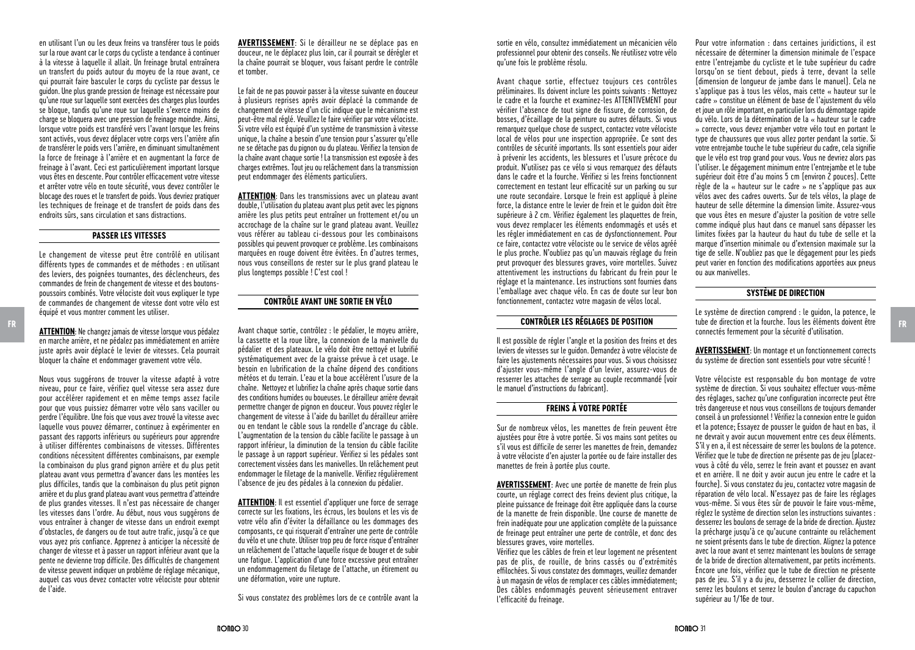en utilisant l'un ou les deux freins va transférer tous le poids sur la roue avant car le corps du cycliste a tendance à continuer à la vitesse à laquelle il allait. Un freinage brutal entraînera un transfert du poids autour du moyeu de la roue avant, ce qui pourrait faire basculer le corps du cycliste par dessus le guidon. Une plus grande pression de freinage est nécessaire pour qu'une roue sur laquelle sont exercées des charges plus lourdes se bloque, tandis qu'une roue sur laquelle s'exerce moins de charge se bloquera avec une pression de freinage moindre. Ainsi, lorsque votre poids est transféré vers l'avant lorsque les freins sont activés, vous devez déplacer votre corps vers l'arrière afin de transférer le poids vers l'arrière, en diminuant simultanément la force de freinage à l'arrière et en augmentant la force de freinage à l'avant. Ceci est particulièrement important lorsque vous êtes en descente. Pour contrôler efficacement votre vitesse et arrêter votre vélo en toute sécurité, vous devez contrôler le blocage des roues et le transfert de poids. Vous devriez pratiquer les techniques de freinage et de transfert de poids dans des endroits sûrs, sans circulation et sans distractions.

# **PASSER LES VITESSES**

Le changement de vitesse peut être contrôlé en utilisant différents types de commandes et de méthodes : en utilisant des leviers, des poignées tournantes, des déclencheurs, des commandes de frein de changement de vitesse et des boutonspoussoirs combinés. Votre vélociste doit vous expliquer le type de commandes de changement de vitesse dont votre vélo est équipé et vous montrer comment les utiliser.

**ATTENTION**: Ne changez jamais de vitesse lorsque vous pédalez en marche arrière, et ne pédalez pas immédiatement en arrière juste après avoir déplacé le levier de vitesses. Cela pourrait bloquer la chaîne et endommager gravement votre vélo.

Nous vous suggérons de trouver la vitesse adapté à votre niveau, pour ce faire, vérifiez quel vitesse sera assez dure pour accélérer rapidement et en même temps assez facile pour que vous puissiez démarrer votre vélo sans vaciller ou perdre l'équilibre. Une fois que vous avez trouvé la vitesse avec laquelle vous pouvez démarrer, continuez à expérimenter en passant des rapports inférieurs ou supérieurs pour apprendre à utiliser différentes combinaisons de vitesses. Différentes conditions nécessitent différentes combinaisons, par exemple la combinaison du plus grand pignon arrière et du plus petit plateau avant vous permettra d'avancer dans les montées les plus difficiles, tandis que la combinaison du plus petit pignon arrière et du plus grand plateau avant vous permettra d'atteindre de plus grandes vitesses. Il n'est pas nécessaire de changer les vitesses dans l'ordre. Au début, nous vous suggérons de vous entraîner à changer de vitesse dans un endroit exempt d'obstacles, de dangers ou de tout autre trafic, jusqu'à ce que vous ayez pris confiance. Apprenez à anticiper la nécessité de changer de vitesse et à passer un rapport inférieur avant que la pente ne devienne trop difficile. Des difficultés de changement de vitesse peuvent indiquer un problème de réglage mécanique, auquel cas vous devez contacter votre vélociste pour obtenir de l'aide.

**AVERTISSEMENT**: Si le dérailleur ne se déplace pas en douceur, ne le déplacez plus loin, car il pourrait se dérégler et la chaîne pourrait se bloquer, vous faisant perdre le contrôle et tomber.

Le fait de ne pas pouvoir passer à la vitesse suivante en douceur à plusieurs reprises après avoir déplacé la commande de changement de vitesse d'un clic indique que le mécanisme est peut-être mal réglé. Veuillez le faire vérifier par votre vélociste. Si votre vélo est équipé d'un système de transmission à vitesse unique, la chaîne a besoin d'une tension pour s'assurer qu'elle ne se détache pas du pignon ou du plateau. Vérifiez la tension de la chaîne avant chaque sortie! La transmission est exposée à des charges extrêmes. Tout jeu ou relâchement dans la transmission peut endommager des éléments particuliers.

**ATTENTION**: Dans les transmissions avec un plateau avant double, l'utilisation du plateau avant plus petit avec les pignons arrière les plus petits peut entraîner un frottement et/ou un accrochage de la chaîne sur le grand plateau avant. Veuillez vous référer au tableau ci-dessous pour les combinaisons possibles qui peuvent provoquer ce problème. Les combinaisons marquées en rouge doivent être évitées. En d'autres termes, nous vous conseillons de rester sur le plus grand plateau le plus longtemps possible ! C'est cool !

# **CONTRÔLE AVANT UNE SORTIE EN VÉLO**

la cassette et la roue libre, la connexion de la manivelle du pédalier et des plateaux. Le vélo doit être nettoyé et lubrifié systématiquement avec de la graisse prévue à cet usage. Le besoin en lubrification de la chaîne dépend des conditions météos et du terrain. L'eau et la boue accélèrent l'usure de la chaîne. Nettoyez et lubrifiez la chaîne après chaque sortie dans des conditions humides ou boueuses. Le dérailleur arrière devrait permettre changer de pignon en douceur. Vous pouvez régler le changement de vitesse à l'aide du barillet du dérailleur arrière ou en tendant le câble sous la rondelle d'ancrage du câble. L'augmentation de la tension du câble facilite le passage à un rapport inférieur, la diminution de la tension du câble facilite le passage à un rapport supérieur. Vérifiez si les pédales sont correctement vissées dans les manivelles. Un relâchement peut endommager le filetage de la manivelle. Vérifiez régulièrement l'absence de jeu des pédales à la connexion du pédalier.

**ATTENTION**: Il est essentiel d'appliquer une force de serrage correcte sur les fixations, les écrous, les boulons et les vis de votre vélo afin d'éviter la défaillance ou les dommages des composants, ce qui risquerait d'entraîner une perte de contrôle du vélo et une chute. Utiliser trop peu de force risque d'entraîner un relâchement de l'attache laquelle risque de bouger et de subir une fatigue. L'application d'une force excessive peut entraîner un endommagement du filetage de l'attache, un étirement ou une déformation, voire une rupture.

Si vous constatez des problèmes lors de ce contrôle avant la

sortie en vélo, consultez immédiatement un mécanicien vélo professionnel pour obtenir des conseils. Ne réutilisez votre vélo qu'une fois le problème résolu.

Avant chaque sortie, effectuez toujours ces contrôles préliminaires. Ils doivent inclure les points suivants : Nettoyez le cadre et la fourche et examinez-les ATTENTIVEMENT pour vérifier l'absence de tout signe de fissure, de corrosion, de bosses, d'écaillage de la peinture ou autres défauts. Si vous remarquez quelque chose de suspect, contactez votre vélociste local de vélos pour une inspection appropriée. Ce sont des contrôles de sécurité importants. Ils sont essentiels pour aider à prévenir les accidents, les blessures et l'usure précoce du produit. N'utilisez pas ce vélo si vous remarquez des défauts dans le cadre et la fourche. Vérifiez si les freins fonctionnent correctement en testant leur efficacité sur un parking ou sur une route secondaire. Lorsque le frein est appliqué à pleine force, la distance entre le levier de frein et le guidon doit être supérieure à 2 cm. Vérifiez également les plaquettes de frein, vous devez remplacer les éléments endommagés et usés et les régler immédiatement en cas de dysfonctionnement. Pour ce faire, contactez votre vélociste ou le service de vélos agréé le plus proche. N'oubliez pas qu'un mauvais réglage du frein peut provoquer des blessures graves, voire mortelles. Suivez attentivement les instructions du fabricant du frein pour le réglage et la maintenance. Les instructions sont fournies dans l'emballage avec chaque vélo. En cas de doute sur leur bon fonctionnement, contactez votre magasin de vélos local.

# **CONTRÔLER LES RÉGLAGES DE POSITION**

Il est possible de régler l'angle et la position des freins et des leviers de vitesses sur le guidon. Demandez à votre vélociste de faire les ajustements nécessaires nour vous. Si vous choisissez d'ajuster vous-même l'angle d'un levier, assurez-vous de resserrer les attaches de serrage au couple recommandé (voir le manuel d'instructions du fabricant).

# **FREINS À VOTRE PORTÉE**

Sur de nombreux vélos, les manettes de frein peuvent être ajustées pour être à votre portée. Si vos mains sont petites ou s'il vous est difficile de serrer les manettes de frein, demandez à votre vélociste d'en ajuster la portée ou de faire installer des manettes de frein à portée plus courte.

**AVERTISSEMENT**: Avec une portée de manette de frein plus courte, un réglage correct des freins devient plus critique, la pleine puissance de freinage doit être appliquée dans la course de la manette de frein disponible. Une course de manette de frein inadéquate pour une application complète de la puissance de freinage peut entraîner une perte de contrôle, et donc des blessures graves, voire mortelles.

Vérifiez que les câbles de frein et leur logement ne présentent pas de plis, de rouille, de brins cassés ou d'extrémités effilochées. Si vous constatez des dommages, veuillez demander à un magasin de vélos de remplacer ces câbles immédiatement; Des câbles endommagés peuvent sérieusement entraver l'efficacité du freinage.

Pour votre information : dans certaines juridictions, il est nécessaire de déterminer la dimension minimale de l'espace entre l'entrejambe du cycliste et le tube supérieur du cadre lorsqu'on se tient debout, pieds à terre, devant la selle (dimension de longueur de jambe dans le manuel). Cela ne s'applique pas à tous les vélos, mais cette « hauteur sur le cadre » constitue un élément de base de l'ajustement du vélo et joue un rôle important, en particulier lors du démontage rapide du vélo. Lors de la détermination de la « hauteur sur le cadre » correcte, vous devez enjamber votre vélo tout en portant le type de chaussures que vous allez porter pendant la sortie. Si votre entrejambe touche le tube supérieur du cadre, cela signifie que le vélo est trop grand pour vous. Vous ne devriez alors pas l'utiliser. Le dégagement minimum entre l'entrejambe et le tube supérieur doit être d'au moins 5 cm (environ 2 pouces). Cette règle de la « hauteur sur le cadre » ne s'applique pas aux vélos avec des cadres ouverts. Sur de tels vélos, la plage de hauteur de selle détermine la dimension limite. Assurez-vous que vous êtes en mesure d'ajuster la position de votre selle comme indiqué plus haut dans ce manuel sans dépasser les limites fixées par la hauteur du haut du tube de selle et la marque d'insertion minimale ou d'extension maximale sur la tige de selle. N'oubliez pas que le dégagement pour les pieds peut varier en fonction des modifications apportées aux pneus ou aux manivelles.

#### **SYSTÈME DE DIRECTION**

Avant chaque sortie, contrôlez : le pédalier, le moyeu arrière,<br>Avant chaque sortie, contrôlez : le pédalier, le moyeu arrière, **FRA LICEACE DE POSITION** connectés fermement pour la sécurité d'utilisation. Le système de direction comprend : le guidon, la potence, le tube de direction et la fourche. Tous les éléments doivent être connectés fermement pour la sécurité d'utilisation.

> **AVERTISSEMENT**: Un montage et un fonctionnement corrects du système de direction sont essentiels pour votre sécurité !

> Votre vélociste est responsable du bon montage de votre système de direction. Si vous souhaitez effectuer vous-même des réglages, sachez qu'une configuration incorrecte peut être très dangereuse et nous vous conseillons de toujours demander conseil à un professionnel ! Vérifiez la connexion entre le guidon et la potence; Essayez de pousser le guidon de haut en bas, il ne devrait y avoir aucun mouvement entre ces deux éléments. S'il y en a, il est nécessaire de serrer les boulons de la potence. Vérifiez que le tube de direction ne présente pas de jeu (placezvous à côté du vélo, serrez le frein avant et poussez en avant et en arrière. Il ne doit y avoir aucun jeu entre le cadre et la fourche). Si vous constatez du jeu, contactez votre magasin de réparation de vélo local. N'essayez pas de faire les réglages vous-même. Si vous êtes sûr de pouvoir le faire vous-même, réglez le système de direction selon les instructions suivantes : desserrez les boulons de serrage de la bride de direction. Ajustez la précharge jusqu'à ce qu'aucune contrainte ou relâchement ne soient présents dans le tube de direction. Alignez la potence avec la roue avant et serrez maintenant les boulons de serrage de la bride de direction alternativement, par petits incréments. Encore une fois, vérifiez que le tube de direction ne présente pas de jeu. S'il y a du jeu, desserrez le collier de direction, serrez les boulons et serrez le boulon d'ancrage du capuchon supérieur au 1/16e de tour.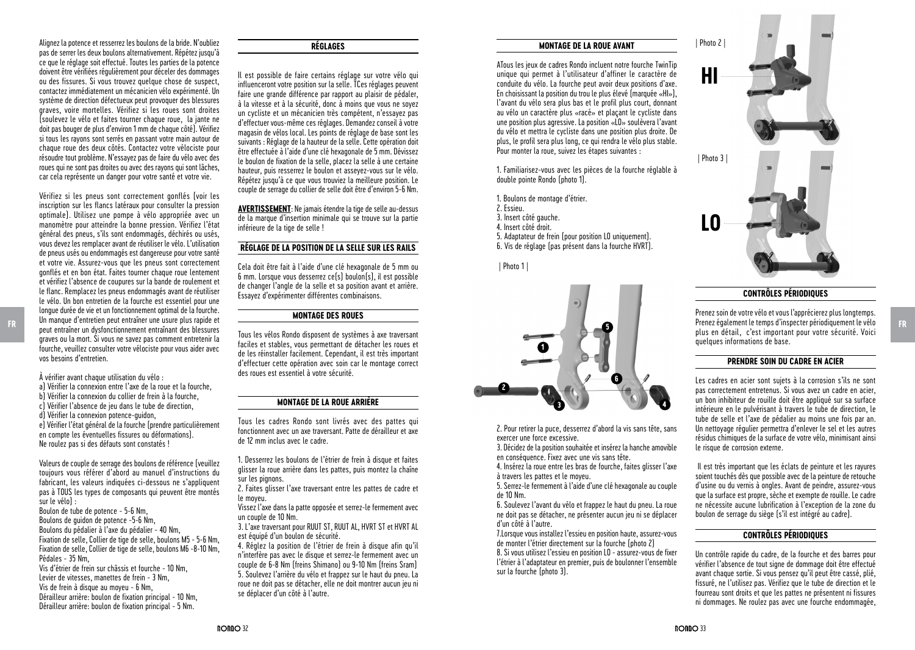Alignez la potence et resserrez les boulons de la bride. N'oubliez pas de serrer les deux boulons alternativement. Répétez jusqu'à ce que le réglage soit effectué. Toutes les parties de la potence doivent être vérifiées régulièrement pour déceler des dommages ou des fissures. Si vous trouvez quelque chose de suspect, contactez immédiatement un mécanicien vélo expérimenté. Un système de direction défectueux peut provoquer des blessures graves, voire mortelles. Vérifiez si les roues sont droites (soulevez le vélo et faites tourner chaque roue, la jante ne doit pas bouger de plus d'environ 1 mm de chaque côté). Vérifiez si tous les rayons sont serrés en passant votre main autour de chaque roue des deux côtés. Contactez votre vélociste pour résoudre tout problème. N'essayez pas de faire du vélo avec des roues qui ne sont pas droites ou avec des rayons qui sont lâches, car cela représente un danger pour votre santé et votre vie.

Vérifiez si les pneus sont correctement gonflés (voir les inscription sur les flancs latéraux pour consulter la pression optimale). Utilisez une pompe à vélo appropriée avec un manomètre pour atteindre la bonne pression. Vérifiez l'état général des pneus, s'ils sont endommagés, déchirés ou usés, vous devez les remplacer avant de réutiliser le vélo. L'utilisation de pneus usés ou endommagés est dangereuse pour votre santé et votre vie. Assurez-vous que les pneus sont correctement gonflés et en bon état. Faites tourner chaque roue lentement et vérifiez l'absence de coupures sur la bande de roulement et le flanc. Remplacez les pneus endommagés avant de réutiliser le vélo. Un bon entretien de la fourche est essentiel pour une longue durée de vie et un fonctionnement optimal de la fourche. Un manque d'entretien peut entraîner une usure plus rapide et graves ou la mort. Si vous ne savez pas comment entretenir la fourche, veuillez consulter votre vélociste pour vous aider avec vos besoins d'entretien.

- a) Vérifier la connexion entre l'axe de la roue et la fourche,
- b) Vérifier la connexion du collier de frein à la fourche, c) Vérifier l'absence de jeu dans le tube de direction,
- d) Vérifier la connexion potence-guidon,
- e) Vérifier l'état général de la fourche (prendre particulièrement en compte les éventuelles fissures ou déformations). Ne roulez pas si des défauts sont constatés !

Valeurs de couple de serrage des boulons de référence (veuillez toujours vous référer d'abord au manuel d'instructions du fabricant, les valeurs indiquées ci-dessous ne s'appliquent pas à TOUS les types de composants qui peuvent être montés sur le vélo) :

Boulon de tube de potence - 5-6 Nm, Boulons de guidon de potence -5-6 Nm, Boulons du pédalier à l'axe du pédalier - 40 Nm, Fixation de selle, Collier de tige de selle, boulons M5 - 5-6 Nm, Fixation de selle, Collier de tige de selle, boulons M6 -8-10 Nm,

Pédales - 35 Nm Vis d'étrier de frein sur châssis et fourche - 10 Nm,

Levier de vitesses, manettes de frein - 3 Nm, Vis de frein à disque au moyeu - 6 Nm, Dérailleur arrière: boulon de fixation principal - 10 Nm, Dérailleur arrière: boulon de fixation principal - 5 Nm.

#### **RÉGLAGES**

Il est possible de faire certains réglage sur votre vélo qui influenceront votre position sur la selle. TCes réglages peuvent faire une grande différence par rapport au plaisir de pédaler. à la vitesse et à la sécurité, donc à moins que vous ne soyez un cycliste et un mécanicien très compétent, n'essayez pas d'effectuer vous-même ces réglages. Demandez conseil à votre magasin de vélos local. Les points de réglage de base sont les suivants : Réglage de la hauteur de la selle. Cette opération doit être effectuée à l'aide d'une clé hexagonale de 5 mm. Dévissez le boulon de fixation de la selle, placez la selle à une certaine hauteur, puis resserrez le boulon et asseyez-vous sur le vélo. Répétez jusqu'à ce que vous trouviez la meilleure position. Le couple de serrage du collier de selle doit être d'environ 5-6 Nm.

**AVERTISSEMENT**: Ne jamais étendre la tige de selle au-dessus de la marque d'insertion minimale qui se trouve sur la partie inférieure de la tige de selle !

#### **RÉGLAGE DE LA POSITION DE LA SELLE SUR LES RAILS**

Cela doit être fait à l'aide d'une clé hexagonale de 5 mm ou 6 mm. Lorsque vous desserrez ce(s) boulon(s), il est possible de changer l'angle de la selle et sa position avant et arrière. Essayez d'expérimenter différentes combinaisons.

# **MONTAGE DES ROUES**

Tous les vélos Rondo disposent de systèmes à axe traversant faciles et stables, vous permettant de détacher les roues et de les réinstaller facilement. Cependant, il est très important d'effectuer cette opération avec soin car le montage correct des roues est essentiel à votre sécurité.

# **MONTAGE DE LA ROUE ARRIÈRE**

Tous les cadres Rondo sont livrés avec des pattes qui fonctionnent avec un axe traversant. Patte de dérailleur et axe de 12 mm inclus avec le cadre.

1. Desserrez les boulons de l'étrier de frein à disque et faites glisser la roue arrière dans les pattes, puis montez la chaîne sur les pignons.

2. Faites glisser l'axe traversant entre les pattes de cadre et le moyeu.

Vissez l'axe dans la patte opposée et serrez-le fermement avec un couple de 10 Nm.

3. L'axe traversant pour RUUT ST, RUUT AL, HVRT ST et HVRT AL est équipé d'un boulon de sécurité.

4. Réglez la position de l'étrier de frein à disque afin qu'il n'interfère pas avec le disque et serrez-le fermement avec un couple de 6-8 Nm (freins Shimano) ou 9-10 Nm (freins Sram) 5. Soulevez l'arrière du vélo et frappez sur le haut du pneu. La roue ne doit pas se détacher, elle ne doit montrer aucun jeu ni se déplacer d'un côté à l'autre.

#### **MONTAGE DE LA ROUE AVANT**

ATous les jeux de cadres Rondo incluent notre fourche TwinTip unique qui permet à l'utilisateur d'affiner le caractère de conduite du vélo. La fourche peut avoir deux positions d'axe. En choisissant la position du trou le plus élevé (marquée «HI»), l'avant du vélo sera plus bas et le profil plus court, donnant au vélo un caractère plus «racé» et plaçant le cycliste dans une position plus agressive. La position «LO» soulèvera l'avant du vélo et mettra le cycliste dans une position plus droite. De plus, le profil sera plus long, ce qui rendra le vélo plus stable. Pour monter la roue, suivez les étapes suivantes :

1. Familiarisez-vous avec les pièces de la fourche réglable à double pointe Rondo (photo 1).

1. Boulons de montage d'étrier.

- 2. Essieu.
- 3. Insert côté gauche. 4. Insert côté droit.
- 
- 5. Adaptateur de frein (pour position LO uniquement). 6. Vis de réglage (pas présent dans la fourche HVRT).
- 

| Photo 1 |



2. Pour retirer la puce, desserrez d'abord la vis sans tête, sans exercer une force excessive.

3. Décidez de la position souhaitée et insérez la hanche amovible en conséquence. Fixez avec une vis sans tête.

4. Insérez la roue entre les bras de fourche, faites glisser l'axe à travers les pattes et le moyeu.

5. Serrez-le fermement à l'aide d'une clé hexagonale au couple de 10 Nm.

6. Soulevez l'avant du vélo et frappez le haut du pneu. La roue ne doit pas se détacher, ne présenter aucun jeu ni se déplacer d'un côté à l'autre.

7.Lorsque vous installez l'essieu en position haute, assurez-vous de monter l'étrier directement sur la fourche (photo 2) 8. Si vous utilisez l'essieu en position LO - assurez-vous de fixer l'étrier à l'adaptateur en premier, puis de boulonner l'ensemble sur la fourche (photo 3).



#### **CONTRÔLES PÉRIODIQUES**

Prenez soin de votre vélo et vous l'apprécierez plus longtemps. Prenez également le temps d'inspecter périodiquement le vélo plus en détail, c'est important pour votre sécurité. Voici quelques informations de base.

Les cadres en acier sont sujets à la corrosion s'ils ne sont pas correctement entretenus. Si vous avez un cadre en acier, un bon inhibiteur de rouille doit être appliqué sur sa surface intérieure en le pulvérisant à travers le tube de direction, le tube de selle et l'axe de pédalier au moins une fois par an. Un nettoyage régulier permettra d'enlever le sel et les autres résidus chimiques de la surface de votre vélo, minimisant ainsi le risque de corrosion externe.

 Il est très important que les éclats de peinture et les rayures soient touchés dès que possible avec de la peinture de retouche d'usine ou du vernis à ongles. Avant de peindre, assurez-vous que la surface est propre, sèche et exempte de rouille. Le cadre ne nécessite aucune lubrification à l'exception de la zone du boulon de serrage du siège (s'il est intégré au cadre).

# **CONTRÔLES PÉRIODIQUES**

Un contrôle rapide du cadre, de la fourche et des barres pour vérifier l'absence de tout signe de dommage doit être effectué avant chaque sortie. Si vous pensez qu'il peut être cassé, plié, fissuré, ne l'utilisez pas. Vérifiez que le tube de direction et le fourreau sont droits et que les pattes ne présentent ni fissures ni dommages. Ne roulez pas avec une fourche endommagée,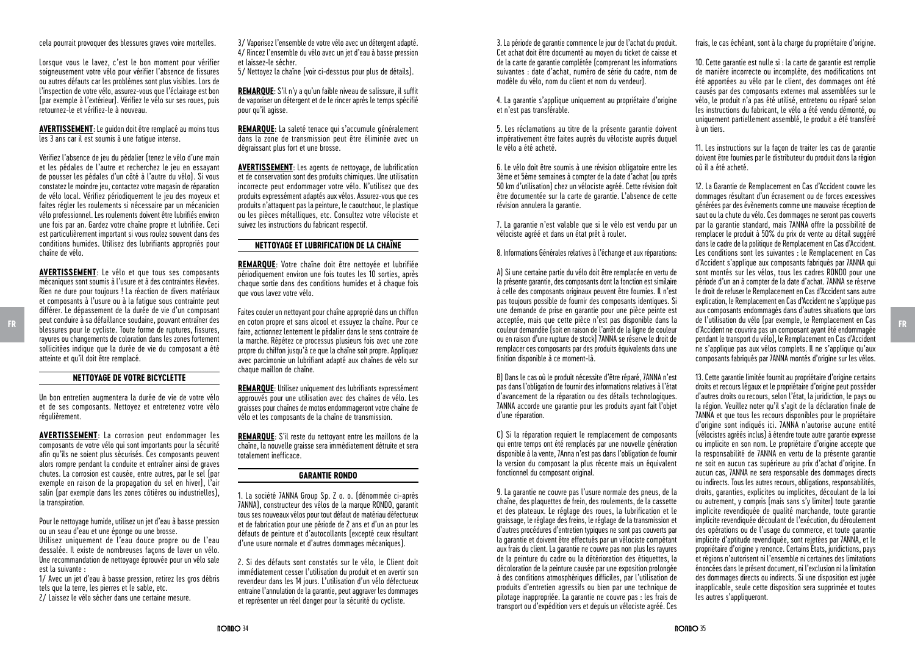cela pourrait provoquer des blessures graves voire mortelles.

Lorsque vous le lavez, c'est le bon moment pour vérifier soigneusement votre vélo pour vérifier l'absence de fissures ou autres défauts car les problèmes sont plus visibles. Lors de l'inspection de votre vélo, assurez-vous que l'éclairage est bon (par exemple à l'extérieur). Vérifiez le vélo sur ses roues, puis retournez-le et vérifiez-le à nouveau.

**AVERTISSEMENT**: Le guidon doit être remplacé au moins tous les 3 ans car il est soumis à une fatigue intense.

Vérifiez l'absence de jeu du pédalier (tenez le vélo d'une main et les pédales de l'autre et recherchez le jeu en essayant de pousser les pédales d'un côté à l'autre du vélo). Si vous constatez le moindre jeu, contactez votre magasin de réparation de vélo local. Vérifiez périodiquement le jeu des moyeux et faites régler les roulements si nécessaire par un mécanicien vélo professionnel. Les roulements doivent être lubrifiés environ une fois par an. Gardez votre chaîne propre et lubrifiée. Ceci est particulièrement important si vous roulez souvent dans des conditions humides. Utilisez des lubrifiants appropriés pour chaîne de vélo.

**AVERTISSEMENT**: Le vélo et que tous ses composants mécaniques sont soumis à l'usure et à des contraintes élevées. Rien ne dure pour toujours ! La réaction de divers matériaux et composants à l'usure ou à la fatigue sous contrainte peut différer. Le dépassement de la durée de vie d'un composant peut conduire à sa défaillance soudaine, pouvant entraîner des blessures pour le cycliste. Toute forme de ruptures, fissures, rayures ou changements de coloration dans les zones fortement sollicitées indique que la durée de vie du composant a été atteinte et qu'il doit être remplacé.

# **NETTOYAGE DE VOTRE BICYCLETTE**

Un bon entretien augmentera la durée de vie de votre vélo et de ses composants. Nettoyez et entretenez votre vélo régulièrement.

**AVERTISSEMENT**: La corrosion peut endommager les composants de votre vélo qui sont importants pour la sécurité afin qu'ils ne soient plus sécurisés. Ces composants peuvent alors rompre pendant la conduite et entraîner ainsi de graves chutes. La corrosion est causée, entre autres, par le sel (par exemple en raison de la propagation du sel en hiver), l'air salin (par exemple dans les zones côtières ou industrielles), la transpiration.

Pour le nettoyage humide, utilisez un jet d'eau à basse pression ou un seau d'eau et une éponge ou une brosse.

Utilisez uniquement de l'eau douce propre ou de l'eau dessalée. Il existe de nombreuses façons de laver un vélo. Une recommandation de nettoyage éprouvée pour un vélo sale est la suivante :

1/ Avec un jet d'eau à basse pression, retirez les gros débris tels que la terre, les pierres et le sable, etc.

2/ Laissez le vélo sécher dans une certaine mesure.

3/ Vaporisez l'ensemble de votre vélo avec un détergent adapté. 4/ Rincez l'ensemble du vélo avec un jet d'eau à basse pression et laissez-le sécher.

5/ Nettoyez la chaîne (voir ci-dessous pour plus de détails).

**REMARQUE**: S'il n'y a qu'un faible niveau de salissure, il suffit de vaporiser un détergent et de le rincer après le temps spécifié pour qu'il agisse.

**REMARQUE**: La saleté tenace qui s'accumule généralement dans la zone de transmission peut être éliminée avec un dégraissant plus fort et une brosse.

**AVERTISSEMENT**: Les agents de nettoyage, de lubrification et de conservation sont des produits chimiques. Une utilisation incorrecte peut endommager votre vélo. N'utilisez que des produits expressément adaptés aux vélos. Assurez-vous que ces produits n'attaquent pas la peinture, le caoutchouc, le plastique ou les pièces métalliques, etc. Consultez votre vélociste et suivez les instructions du fabricant respectif.

# **NETTOYAGE ET LUBRIFICATION DE LA CHAÎNE**

**REMARQUE**: Votre chaîne doit être nettoyée et lubrifiée périodiquement environ une fois toutes les 10 sorties, après chaque sortie dans des conditions humides et à chaque fois que vous lavez votre vélo.

Faites couler un nettoyant pour chaîne approprié dans un chiffon en coton propre et sans alcool et essuyez la chaîne. Pour ce faire, actionnez lentement le pédalier dans le sens contraire de la marche. Répétez ce processus plusieurs fois avec une zone propre du chiffon jusqu'à ce que la chaîne soit propre. Appliquez avec parcimonie un lubrifiant adapté aux chaînes de vélo sur chaque maillon de chaîne.

**REMARQUE**: Utilisez uniquement des lubrifiants expressément approuvés pour une utilisation avec des chaînes de vélo. Les graisses pour chaînes de motos endommageront votre chaîne de vélo et les composants de la chaîne de transmission.

**REMARQUE**: S'il reste du nettoyant entre les maillons de la chaîne, la nouvelle graisse sera immédiatement détruite et sera totalement inefficace.

# **GARANTIE RONDO**

1. La société 7ANNA Group Sp. Z o. o. (dénommée ci-après 7ANNA), constructeur des vélos de la marque RONDO, garantit tous ses nouveaux vélos pour tout défaut de matériau défectueux et de fabrication pour une période de 2 ans et d'un an pour les défauts de peinture et d'autocollants (excepté ceux résultant d'une usure normale et d'autres dommages mécaniques).

2. Si des défauts sont constatés sur le vélo, le Client doit immédiatement cesser l'utilisation du produit et en avertir son revendeur dans les 14 jours. L'utilisation d'un vélo défectueux entraine l'annulation de la garantie, peut aggraver les dommages et représenter un réel danger pour la sécurité du cycliste.

3. La période de garantie commence le jour de l'achat du produit. Cet achat doit être documenté au moyen du ticket de caisse et de la carte de garantie complétée (comprenant les informations suivantes : date d'achat, numéro de série du cadre, nom de modèle du vélo, nom du client et nom du vendeur).

4. La garantie s'applique uniquement au propriétaire d'origine et n'est pas transférable.

5. Les réclamations au titre de la présente garantie doivent impérativement être faites auprès du vélociste auprès duquel le vélo a été acheté.

6. Le vélo doit être soumis à une révision obligatoire entre les 3ème et 5ème semaines à compter de la date d'achat (ou après 50 km d'utilisation) chez un vélociste agréé. Cette révision doit être documentée sur la carte de garantie. L'absence de cette révision annulera la garantie.

7. La garantie n'est valable que si le vélo est vendu par un vélociste agréé et dans un état prêt à rouler.

8. Informations Générales relatives à l'échange et aux réparations:

A) Si une certaine partie du vélo doit être remplacée en vertu de la présente garantie, des composants dont la fonction est similaire à celle des composants originaux peuvent être fournies. Il n'est pas toujours possible de fournir des composants identiques. Si une demande de prise en garantie pour une pièce peinte est acceptée, mais que cette pièce n'est pas disponible dans la couleur demandée (soit en raison de l'arrêt de la ligne de couleur ou en raison d'une rupture de stock) 7ANNA se réserve le droit de remplacer ces composants par des produits équivalents dans une finition disponible à ce moment-là. FR peut condance a automatic soudant, powdin chiamel acs en coton propre et sans accouver essuyez ta channe. Pour ce<br>Blessures pour le cycliste. Toute forme de ruptures, fissures, faire, actionnez lentement le pédalier dan

> B) Dans le cas où le produit nécessite d'être réparé, 7ANNA n'est pas dans l'obligation de fournir des informations relatives à l'état d'avancement de la réparation ou des détails technologiques. 7ANNA accorde une garantie pour les produits ayant fait l'objet d'une réparation.

> C) Si la réparation requiert le remplacement de composants qui entre temps ont été remplacés par une nouvelle génération disponible à la vente, 7Anna n'est pas dans l'obligation de fournir la version du composant la plus récente mais un équivalent fonctionnel du composant original.

9. La garantie ne couvre pas l'usure normale des pneus, de la chaîne, des plaquettes de frein, des roulements, de la cassette et des plateaux. Le réglage des roues, la lubrification et le graissage, le réglage des freins, le réglage de la transmission et d'autres procédures d'entretien typiques ne sont pas couverts par la garantie et doivent être effectués par un vélociste compétant aux frais du client. La garantie ne couvre pas non plus les rayures de la peinture du cadre ou la détérioration des étiquettes, la décoloration de la peinture causée par une exposition prolongée à des conditions atmosphériques difficiles, par l'utilisation de produits d'entretien agressifs ou bien par une technique de pilotage inappropriée. La garantie ne couvre pas : les frais de transport ou d'expédition vers et depuis un vélociste agréé. Ces frais, le cas échéant, sont à la charge du propriétaire d'origine.

10. Cette garantie est nulle si : la carte de garantie est remplie de manière incorrecte ou incomplète, des modifications ont été apportées au vélo par le client, des dommages ont été causés par des composants externes mal assemblées sur le vélo, le produit n'a pas été utilisé, entretenu ou réparé selon les instructions du fabricant, le vélo a été vendu démonté, ou uniquement partiellement assemblé, le produit a été transféré à un tiers.

11. Les instructions sur la façon de traiter les cas de garantie doivent être fournies par le distributeur du produit dans la région où il a été acheté.

12. La Garantie de Remplacement en Cas d'Accident couvre les dommages résultant d'un écrasement ou de forces excessives générées par des évènements comme une mauvaise réception de saut ou la chute du vélo. Ces dommages ne seront pas couverts par la garantie standard, mais 7ANNA offre la possibilité de remplacer le produit à 50% du prix de vente au détail suggéré dans le cadre de la politique de Remplacement en Cas d'Accident. Les conditions sont les suivantes : le Remplacement en Cas d'Accident s'applique aux composants fabriqués par 7ANNA qui sont montés sur les vélos, tous les cadres RONDO pour une période d'un an à compter de la date d'achat. 7ANNA se réserve le droit de refuser le Remplacement en Cas d'Accident sans autre explication, le Remplacement en Cas d'Accident ne s'applique pas aux composants endommagés dans d'autres situations que lors de l'utilisation du vélo (par exemple, le Remplacement en Cas pendant le transport du vélo), le Remplacement en Cas d'Accident ne s'applique pas aux vélos complets. Il ne s'applique qu'aux composants fabriqués par 7ANNA montés d'origine sur les vélos.

13. Cette garantie limitée fournit au propriétaire d'origine certains droits et recours légaux et le propriétaire d'origine peut posséder d'autres droits ou recours, selon l'état, la juridiction, le pays ou la région. Veuillez noter qu'il s'agit de la déclaration finale de 7ANNA et que tous les recours disponibles pour le propriétaire d'origine sont indiqués ici. 7ANNA n'autorise aucune entité (vélocistes agréés inclus) à étendre toute autre garantie expresse ou implicite en son nom. Le propriétaire d'origine accepte que la responsabilité de 7ANNA en vertu de la présente garantie ne soit en aucun cas supérieure au prix d'achat d'origine. En aucun cas, 7ANNA ne sera responsable des dommages directs ou indirects. Tous les autres recours, obligations, responsabilités, droits, garanties, explicites ou implicites, découlant de la loi ou autrement, y compris (mais sans s'y limiter) toute garantie implicite revendiquée de qualité marchande, toute garantie implicite revendiquée découlant de l'exécution, du déroulement des opérations ou de l'usage du commerce, et toute garantie implicite d'aptitude revendiquée, sont rejetées par 7ANNA, et le propriétaire d'origine y renonce. Certains États, juridictions, pays et régions n'autorisent ni l'ensemble ni certaines des limitations énoncées dans le présent document, ni l'exclusion ni la limitation des dommages directs ou indirects. Si une disposition est jugée inapplicable, seule cette disposition sera supprimée et toutes les autres s'appliqueront.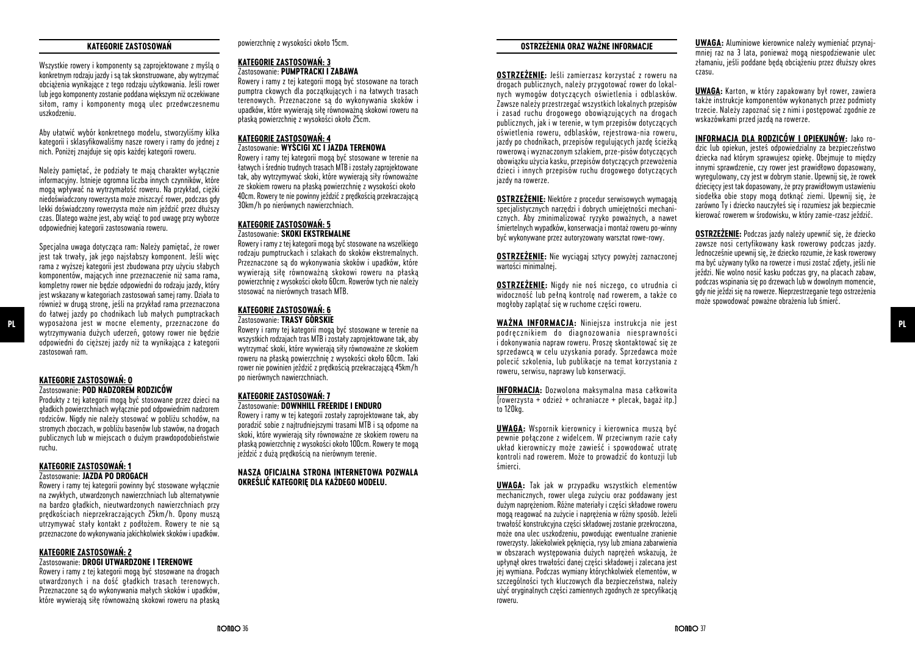# **KATEGORIE ZASTOSOWAŃ**

Wszystkie rowery i komponenty są zaprojektowane z myślą o konkretnym rodzaju jazdy i są tak skonstruowane, aby wytrzymać obciążenia wynikające z tego rodzaju użytkowania. Jeśli rower lub jego komponenty zostanie poddana większym niż oczekiwane siłom, ramy i komponenty mogą ulec przedwczesnemu uszkodzeniu.

Aby ułatwić wybór konkretnego modelu, stworzyliśmy kilka kategorii i sklasyfikowaliśmy nasze rowery i ramy do jednej z nich. Poniżej znajduje się opis każdej kategorii roweru.

Należy pamiętać, że podziały te mają charakter wyłącznie informacyjny. Istnieje ogromna liczba innych czynników, które mogą wpływać na wytrzymałość roweru. Na przykład, ciężki niedoświadczony rowerzysta może zniszczyć rower, podczas gdy lekki doświadczony rowerzysta może nim jeździć przez dłuższy czas. Dlatego ważne jest, aby wziąć to pod uwagę przy wyborze odpowiedniej kategorii zastosowania roweru.

Specjalna uwaga dotycząca ram: Należy pamiętać, że rower jest tak trwały, jak jego najsłabszy komponent. Jeśli więc rama z wyższej kategorii jest zbudowana przy użyciu słabych komponentów, mających inne przeznaczenie niż sama rama, kompletny rower nie będzie odpowiedni do rodzaju jazdy, który jest wskazany w kategoriach zastosowań samej ramy. Działa to również w drugą stronę, jeśli na przykład rama przeznaczona do łatwej jazdy po chodnikach lub małych pumptrackach wytrzymywania dużych uderzeń, gotowy rower nie będzie odpowiedni do cięższej jazdy niż ta wynikająca z kategorii zastosowań ram.

#### **KATEGORIE ZASTOSOWAŃ: 0** Zastosowanie: **POD NADZOREM RODZICÓW**

Produkty z tej kategorii mogą być stosowane przez dzieci na gładkich powierzchniach wyłącznie pod odpowiednim nadzorem rodziców. Nigdy nie należy stosować w pobliżu schodów, na stromych zboczach, w pobliżu basenów lub stawów, na drogach publicznych lub w miejscach o dużym prawdopodobieństwie ruchu.

#### **KATEGORIE ZASTOSOWAŃ: 1** Zastosowanie: **JAZDA PO DROGACH**

Rowery i ramy tej kategorii powinny być stosowane wyłącznie na zwykłych, utwardzonych nawierzchniach lub alternatywnie na bardzo gładkich, nieutwardzonych nawierzchniach przy prędkościach nieprzekraczających 25km/h. Opony muszą utrzymywać stały kontakt z podłożem. Rowery te nie są przeznaczone do wykonywania jakichkolwiek skoków i upadków.

# **KATEGORIE ZASTOSOWAŃ: 2**

Zastosowanie: **DROGI UTWARDZONE I TERENOWE**

Rowery i ramy z tej kategorii mogą być stosowane na drogach utwardzonych i na dość gładkich trasach terenowych. Przeznaczone są do wykonywania małych skoków i upadków, które wywierają siłę równoważną skokowi roweru na płaską powierzchnię z wysokości około 15cm.

#### **KATEGORIE ZASTOSOWAŃ: 3** Zastosowanie: **PUMPTRACKI I ZABAWA**

Rowery i ramy z tej kategorii mogą być stosowane na torach pumptra ckowych dla początkujących i na łatwych trasach terenowych. Przeznaczone są do wykonywania skoków i upadków, które wywierają siłę równoważną skokowi roweru na płaską powierzchnię z wysokości około 25cm.

#### **KATEGORIE ZASTOSOWAŃ: 4** Zastosowanie: **WYŚCIGI XC I JAZDA TERENOWA**

Rowery i ramy tej kategorii mogą być stosowane w terenie na łatwych i średnio trudnych trasach MTB i zostały zaprojektowane tak, aby wytrzymywać skoki, które wywierają siły równoważne ze skokiem roweru na płaską powierzchnię z wysokości około 40cm. Rowery te nie powinny jeździć z prędkością przekraczającą 30km/h po nierównych nawierzchniach.

# **KATEGORIE ZASTOSOWAŃ: 5** Zastosowanie: **SKOKI EKSTREMALNE**

Rowery i ramy z tej kategorii mogą być stosowane na wszelkiego rodzaju pumptruckach i szlakach do skoków ekstremalnych. Przeznaczone są do wykonywania skoków i upadków, które wywierają siłę równoważną skokowi roweru na płaską powierzchnię z wysokości około 60cm. Rowerów tych nie należy stosować na nierównych trasach MTB.

#### **KATEGORIE ZASTOSOWAŃ: 6** Zastosowanie: **TRASY GÓRSKIE**

Rowery i ramy tej kategorii mogą być stosowane w terenie na wszystkich rodzajach tras MTB i zostały zaprojektowane tak, aby wytrzymać skoki, które wywierają siły równoważne ze skokiem roweru na płaską powierzchnię z wysokości około 60cm. Taki rower nie powinien jeździć z prędkością przekraczającą 45km/h po nierównych nawierzchniach.

#### **KATEGORIE ZASTOSOWAŃ: 7** Zastosowanie: **DOWNHILL FREERIDE I ENDURO**

Rowery i ramy w tej kategorii zostały zaprojektowane tak, aby poradzić sobie z najtrudniejszymi trasami MTB i są odporne na skoki, które wywierają siły równoważne ze skokiem roweru na płaską powierzchnię z wysokości około 100cm. Rowery te mogą jeździć z dużą prędkością na nierównym terenie.

#### **NASZA OFICJALNA STRONA INTERNETOWA POZWALA OKREŚLIĆ KATEGORIĘ DLA KAŻDEGO MODELU.**

**OSTRZEŻENIA ORAZ WAŻNE INFORMACJE**

**OSTRZEŻENIE:** Jeśli zamierzasz korzystać z roweru na drogach publicznych, należy przygotować rower do lokalnych wymogów dotyczących oświetlenia i odblasków. Zawsze należy przestrzegać wszystkich lokalnych przepisów i zasad ruchu drogowego obowiązujących na drogach publicznych, jak i w terenie, w tym przepisów dotyczących oświetlenia roweru, odblasków, rejestrowa-nia roweru, jazdy po chodnikach, przepisów regulujących jazdę ścieżką rowerową i wyznaczonym szlakiem, prze-pisów dotyczących obowiązku użycia kasku, przepisów dotyczących przewożenia dzieci i innych przepisów ruchu drogowego dotyczących jazdy na rowerze.

**OSTRZEŻENIE:** Niektóre z procedur serwisowych wymagają specjalistycznych narzędzi i dobrych umiejętności mechanicznych. Aby zminimalizować ryzyko poważnych, a nawet śmiertelnych wypadków, konserwacja i montaż roweru po-winny być wykonywane przez autoryzowany warsztat rowe-rowy.

**OSTRZEŻENIE:** Nie wyciągai sztycy powyżej zaznaczonej wartości minimalnej

**OSTRZEŻENIE:** Nigdy nie noś niczego, co utrudnia ci widoczność lub pełną kontrolę nad rowerem, a także co mogłoby zaplątać się w ruchome części roweru.

**WAZNA INFORMACIA:** Niniejsza instrukcja nie jest w mocne elementy, przeznaczone do zawaguje inwypoślawielem kompozyci w terenie po powerwy w terenie po powerwy w terenie po powerwy w terenie po powerwy terenie po w tereni **WAŻNA INFORMACJA:** Niniejsza instrukcja nie jest podręcznikiem do diagnozowania niesprawności i dokonywania napraw roweru. Proszę skontaktować się ze sprzedawcą w celu uzyskania porady. Sprzedawca może polecić szkolenia, lub publikacje na temat korzystania z roweru, serwisu, naprawy lub konserwacji.

> **INFORMACJA:** Dozwolona maksymalna masa całkowita (rowerzysta + odzież + ochraniacze + plecak, bagaż itp.) to 120kg.

> **UWAGA:** Wspornik kierownicy i kierownica muszą być pewnie połączone z widelcem. W przeciwnym razie cały układ kierowniczy może zawieść i spowodować utratę kontroli nad rowerem. Może to prowadzić do kontuzji lub śmierci.

> **UWAGA:** Tak jak w przypadku wszystkich elementów mechanicznych, rower ulega zużyciu oraz poddawany jest dużym naprężeniom. Różne materiały i części składowe roweru mogą reagować na zużycie i naprężenia w różny sposób. Jeżeli trwałość konstrukcyjna części składowej zostanie przekroczona, może ona ulec uszkodzeniu, powodując ewentualne zranienie rowerzysty. Jakiekolwiek pęknięcia, rysy lub zmiana zabarwienia w obszarach występowania dużych naprężeń wskazują, że upłynął okres trwałości danej części składowej i zalecana jest jej wymiana. Podczas wymiany którychkolwiek elementów, w szczególności tych kluczowych dla bezpieczeństwa, należy użyć oryginalnych części zamiennych zgodnych ze specyfikacją roweru.

**UWAGA:** Aluminiowe kierownice należy wymieniać przynajmniej raz na 3 lata, ponieważ mogą niespodziewanie ulec złamaniu, jeśli poddane będą obciążeniu przez dłuższy okres czasu.

**UWAGA:** Karton, w który zapakowany był rower, zawiera także instrukcje komponentów wykonanych przez podmioty trzecie. Należy zapoznać się z nimi i postępować zgodnie ze wskazówkami przed jazdą na rowerze.

**INFORMACJA DLA RODZICÓW I OPIEKUNÓW:** Jako rodzic lub opiekun, jesteś odpowiedzialny za bezpieczeństwo dziecka nad którym sprawujesz opiekę. Obejmuje to między innymi sprawdzenie, czy rower jest prawidłowo dopasowany, wyregulowany, czy jest w dobrym stanie. Upewnij się, że rowek dziecięcy jest tak dopasowany, że przy prawidłowym ustawieniu siodełka obie stopy mogą dotknąć ziemi. Upewnij się, że zarówno Ty i dziecko nauczyłeś się i rozumiesz jak bezpiecznie kierować rowerem w środowisku, w który zamie-rzasz jeździć.

**OSTRZEŻENIE:** Podczas jazdy należy upewnić się, że dziecko zawsze nosi certyfikowany kask rowerowy podczas jazdy. Jednocześnie upewnij się, że dziecko rozumie, że kask rowerowy ma być używany tylko na rowerze i musi zostać zdjety, jeśli nie jeździ. Nie wolno nosić kasku podczas gry, na placach zabaw, podczas wspinania się po drzewach lub w dowolnym momencie, gdy nie jeździ się na rowerze. Nieprzestrzeganie tego ostrzeżenia może spowodować poważne obrażenia lub śmierć.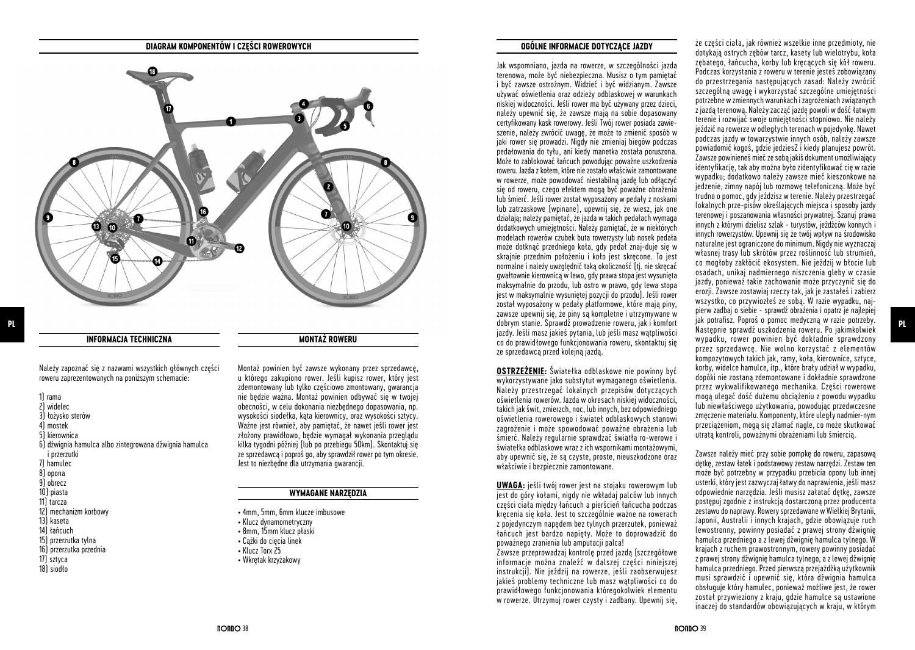#### **DIAGRAM KOMPONENTÓW I CZĘŚCI ROWEROWYCH**



#### **INFORMACJA TECHNICZNA**

Należy zapoznać się z nazwami wszystkich głównych części roweru zaprezentowanych na poniższym schemacie:

- 1) rama
- 2) widelec 3) łożysko sterów
- 4) mostek
- 5) kierownica
- 6) dżwignia hamulca albo zintegrowana dźwignia hamulca
- i przerzutki
- 7) hamulec
- 8) opona
- 9) obrecz
- 10) piasta
- 11) tarcza
- 12) mechanizm korbowy
- 13) kaseta
- 14) łańcuch
- 15) przerzutka tylna
- 16) przerzutka przednia
- 17) sztyca
- 18) siodło

**MONTAŻ ROWERU**

Montaż powinien być zawsze wykonany przez sprzedawcę, u którego zakupiono rower. Jeśli kupisz rower, który jest zdemontowany lub tylko częściowo zmontowany, gwarancja nie będzie ważna. Montaż powinien odbywać się w twojej obecności, w celu dokonania niezbędnego dopasowania, np. wysokości siodełka, kąta kierownicy, oraz wysokości sztycy. Ważne jest również, aby pamiętać, że nawet jeśli rower jest złożony prawidłowo, będzie wymagał wykonania przeglądu kilka tygodni później (lub po przebiegu 50km). Skontaktuj się ze sprzedawcą i poproś go, aby sprawdził rower po tym okresie. Jest to niezbędne dla utrzymania gwarancji.

## **WYMAGANE NARZĘDZIA**

- 4mm, 5mm, 6mm klucze imbusowe
- Klucz dynamometryczny
- 8mm, 15mm klucz płaski
- Cążki do cięcia linek
- Klucz Torx 25
- Wkrętak krzyżakowy
	-

# **OGÓLNE INFORMACJE DOTYCZĄCE JAZDY**

Jak wspomniano, jazda na rowerze, w szczególności jazda terenowa, może być niebezpieczna. Musisz o tym pamiętać i być zawsze ostrożnym. Widzieć i być widzianym. Zawsze używać oświetlenia oraz odzieży odblaskowej w warunkach niskiej widoczności. Jeśli rower ma być używany przez dzieci, należy upewnić się, że zawsze mają na sobie dopasowany certyfikowany kask rowerowy. Jeśli Twój rower posiada zawieszenie, należy zwrócić uwagę, że może to zmienić sposób w jaki rower się prowadzi. Nigdy nie zmieniaj biegów podczas pedałowania do tyłu, ani kiedy manetka została poruszona. Może to zablokować łańcuch powodując poważne uszkodzenia roweru. Jazda z kołem, które nie zostało właściwie zamontowane w rowerze, może powodować niestabilną jazdę lub odłączyć się od roweru, czego efektem mogą być poważne obrażenia lub śmierć. Jeśli rower został wyposażony w pedały z noskami lub zatrzaskowe (wpinane), upewnij się, że wiesz, jak one działają; należy pamiętać, że jazda w takich pedałach wymaga dodatkowych umiejętności. Należy pamiętać, że w niektórych modelach rowerów czubek buta rowerzysty lub nosek pedała może dotknąć przedniego koła, gdy pedał znaj-duje się w skrajnie przednim położeniu i koło jest skręcone. To jest normalne i należy uwzględnić taką okoliczność (tj. nie skręcać gwałtownie kierownicą w lewo, gdy prawa stopa jest wysunięta maksymalnie do przodu, lub ostro w prawo, gdy lewa stopa jest w maksymalnie wysuniętej pozycji do przodu). Jeśli rower został wyposażony w pedały platformowe, które mają piny, zawsze upewnij się, że piny są kompletne i utrzymywane w jazdy. Jeśli masz jakieś pytania, lub jeśli masz wątpliwości co do prawidłowego funkcjonowania roweru, skontaktuj się ze sprzedawcą przed kolejną jazdą.

**OSTRZEŻENIE:** Światełka odblaskowe nie powinny być wykorzystywane jako substytut wymaganego oświetlenia. Należy przestrzegać lokalnych przepisów dotyczących oświetlenia rowerów. Jazda w okresach niskiej widoczności, takich jak świt, zmierzch, noc, lub innych, bez odpowiedniego oświetlenia rowerowego i świateł odblaskowych stanowi zagrożenie i może spowodować poważne obrażenia lub śmierć. Należy regularnie sprawdzać światła ro-werowe i światełka odblaskowe wraz z ich wspornikami montażowymi, aby upewnić się, że są czyste, proste, nieuszkodzone oraz właściwie i bezpiecznie zamontowane.

**UWAGA:** jeśli twój rower jest na stojaku rowerowym lub jest do góry kołami, nigdy nie wkładaj palców lub innych części ciała między łańcuch a pierścień łańcucha podczas kręcenia się koła. Jest to szczególnie ważne na rowerach z pojedynczym napędem bez tylnych przerzutek, ponieważ łańcuch jest bardzo napięty. Może to doprowadzić do poważnego zranienia lub amputacji palca!

Zawsze przeprowadzaj kontrolę przed jazdą (szczegółowe informacje można znaleźć w dalszej części niniejszej instrukcji). Nie jeździj na rowerze, jeśli zaobserwujesz jakieś problemy techniczne lub masz wątpliwości co do prawidłowego funkcjonowania któregokolwiek elementu w rowerze. Utrzymuj rower czysty i zadbany. Upewnij się,

że części ciała, jak również wszelkie inne przedmioty, nie dotykają ostrych zębów tarcz, kasety lub wielotrybu, koła zębatego, łańcucha, korby lub kręcących się kół roweru. Podczas korzystania z roweru w terenie jesteś zobowiązany do przestrzegania następujących zasad: Należy zwrócić szczególną uwagę i wykorzystać szczególne umiejętności potrzebne w zmiennych warunkach i zagrożeniach związanych z jazdą terenową. Należy zacząć jazdę powoli w dość łatwym terenie i rozwijać swoje umiejętności stopniowo. Nie należy jeździć na rowerze w odległych terenach w pojedynkę. Nawet podczas jazdy w towarzystwie innych osób, należy zawsze powiadomić kogoś, gdzie jedziesZ i kiedy planujesz powrót. Zawsze powinieneś mieć ze sobą jakiś dokument umożliwiający identyfikację, tak aby można było zidentyfikować cię w razie wypadku; dodatkowo należy zawsze mieć kieszonkowe na jedzenie, zimny napój lub rozmowę telefoniczną. Może być trudno o pomoc, gdy jeździsz w terenie. Należy przestrzegać lokalnych prze-pisów określających miejsca i sposoby jazdy terenowej i poszanowania własności prywatnej. Szanuj prawa innych z którymi dzielisz szlak - turystów, jeźdźców konnych i innych rowerzystów. Upewnij się że twój wpływ na środowisko naturalne jest ograniczone do minimum. Nigdy nie wyznaczaj własnej trasy lub skrótów przez roślinność lub strumień, co mogłoby zakłócić ekosystem. Nie jeździj w błocie lub osadach, unikaj nadmiernego niszczenia gleby w czasie jazdy, ponieważ takie zachowanie może przyczynić się do erozji. Zawsze zostawiaj rzeczy tak, jak je zastałeś i zabierz wszystko, co przywiozłeś ze sobą. W razie wypadku, najpierw zadbaj o siebie - sprawdź obrażenia i opatrz je najlepiej jak potrafisz. Poproś o pomoc medyczną w razie potrzeby. Następnie sprawdź uszkodzenia roweru. Po jakimkolwiek wypadku, rower powinien być dokładnie sprawdzony przez sprzedawcę. Nie wolno korzystać z elementów kompozytowych takich jak, ramy, koła, kierownice, sztyce, korby, widelce hamulce, itp., które brały udział w wypadku, dopóki nie zostaną zdemontowane i dokładnie sprawdzone przez wykwalifikowanego mechanika. Części rowerowe mogą ulegać dość dużemu obciążeniu z powodu wypadku lub niewłaściwego użytkowania, powodując przedwczesne zmęczenie materiału. Komponenty, które uległy nadmier-nym przeciążeniom, mogą się złamać nagle, co może skutkować utratą kontroli, poważnymi obrażeniami lub śmiercią.

Zawsze należy mieć przy sobie pompkę do roweru, zapasową dętkę, zestaw łatek i podstawowy zestaw narzędzi. Zestaw ten może być potrzebny w przypadku przebicia opony lub innej usterki, który jest zazwyczaj łatwy do naprawienia, jeśli masz odpowiednie narzędzia. Jeśli musisz załatać dętkę, zawsze postępuj zgodnie z instrukcją dostarczoną przez producenta zestawu do naprawy. Rowery sprzedawane w Wielkiej Brytanii, Japonii, Australii i innych krajach, gdzie obowiązuje ruch lewostronny, powinny posiadać z prawej strony dźwignię hamulca przedniego a z lewej dźwignię hamulca tylnego. W krajach z ruchem prawostronnym, rowery powinny posiadać z prawej strony dźwignię hamulca tylnego, a z lewej dźwignię hamulca przedniego. Przed pierwszą przejażdżką użytkownik musi sprawdzić i upewnić się, która dźwignia hamulca obsługuje który hamulec, ponieważ możliwe jest, że rower został przywieziony z kraju, gdzie hamulce są ustawione inaczej do standardów obowiązujących w kraju, w którym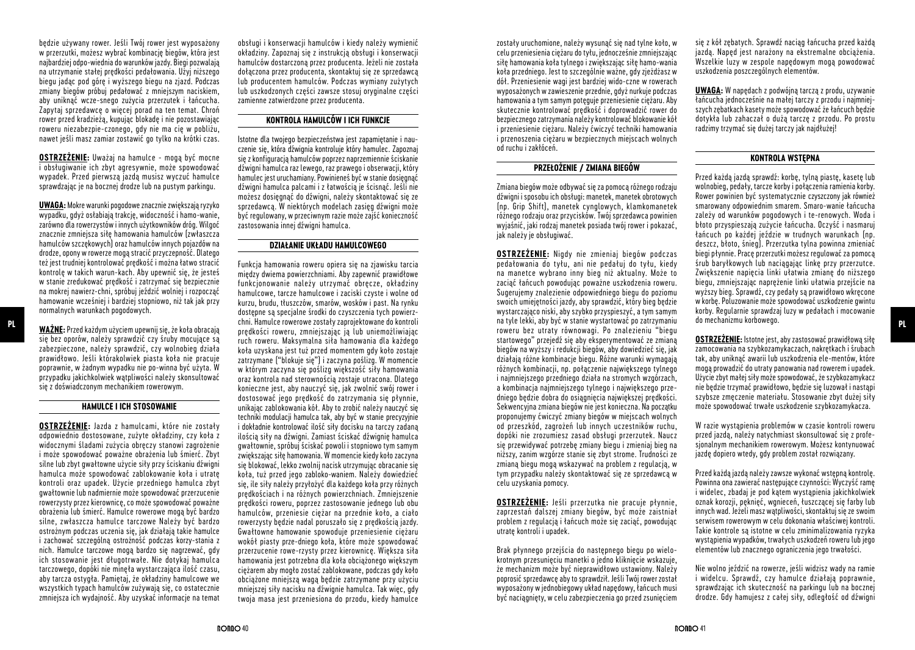będzie używany rower. Jeśli Twój rower jest wyposażony w przerzutki, możesz wybrać kombinację biegów, która jest najbardziej odpo-wiednia do warunków jazdy. Biegi pozwalają na utrzymanie stałej prędkości pedałowania. Użyj niższego biegu jadąc pod górę i wyższego biegu na zjazd. Podczas zmiany biegów próbuj pedałować z mniejszym naciskiem, aby uniknąć wcze-snego zużycia przerzutek i łańcucha. Zapytaj sprzedawcę o więcej porad na ten temat. Chroń rower przed kradzieżą, kupując blokadę i nie pozostawiając roweru niezabezpie-czonego, gdy nie ma cię w pobliżu, nawet jeśli masz zamiar zostawić go tylko na krótki czas.

**OSTRZEŻENIE:** Uważaj na hamulce - mogą być mocne i obsługiwanie ich zbyt agresywnie, może spowodować wypadek. Przed pierwszą jazdą musisz wyczuć hamulce sprawdzając je na bocznej drodze lub na pustym parkingu.

**UWAGA:** Mokre warunki pogodowe znacznie zwiększają ryzyko wypadku, gdyż osłabiają trakcję, widoczność i hamo-wanie, zarówno dla rowerzystów i innych użytkowników dróg. Wilgoć znacznie zmniejsza siłę hamowania hamulców (zwłaszcza hamulców szczękowych) oraz hamulców innych pojazdów na drodze, opony w rowerze mogą stracić przyczepność. Dlatego też jest trudniej kontrolować prędkość i można łatwo stracić kontrolę w takich warun-kach. Aby upewnić się, że jesteś w stanie zredukować prędkość i zatrzymać się bezpiecznie na mokrej nawierz-chni, spróbuj jeździć wolniej i rozpocząć hamowanie wcześniej i bardziej stopniowo, niż tak jak przy normalnych warunkach pogodowych.

się bez oporów, należy sprawdzić czy śruby mocujące są zabezpieczone, należy sprawdzić, czy wolnobieg działa prawidłowo. Jeśli którakolwiek piasta koła nie pracuje poprawnie, w żadnym wypadku nie po-winna być użyta. W przypadku jakichkolwiek wątpliwości należy skonsultować się z doświadczonym mechanikiem rowerowym.

#### **HAMULCE I ICH STOSOWANIE**

**OSTRZEŻENIE:** Jazda z hamulcami, które nie zostały odpowiednio dostosowane, zużyte okładziny, czy koła z widocznymi śladami zużycia obręczy stanowi zagrożenie i może spowodować poważne obrażenia lub śmierć. Zbyt silne lub zbyt gwałtowne użycie siły przy ściskaniu dźwigni hamulca może spowodować zablokowanie koła i utratę kontroli oraz upadek. Użycie przedniego hamulca zbyt gwałtownie lub nadmiernie może spowodować przerzucenie rowerzysty przez kierownicę, co może spowodować poważne obrażenia lub śmierć. Hamulce rowerowe mogą być bardzo silne, zwłaszcza hamulce tarczowe Należy być bardzo ostrożnym podczas uczenia się, jak działają takie hamulce i zachować szczególną ostrożność podczas korzy-stania z nich. Hamulce tarczowe mogą bardzo się nagrzewać, gdy ich stosowanie jest długotrwałe. Nie dotykaj hamulca tarczowego, dopóki nie minęła wystarczająca ilość czasu, aby tarcza ostygła. Pamiętaj, że okładziny hamulcowe we wszystkich typach hamulców zużywają się, co ostatecznie zmniejsza ich wydajność. Aby uzyskać informacje na temat

obsługi i konserwacji hamulców i kiedy należy wymienić okładziny. Zapoznaj się z instrukcją obsługi i konserwacji hamulców dostarczoną przez producenta. Jeżeli nie została dołączona przez producenta, skontaktuj się ze sprzedawcą lub producentem hamulców. Podczas wymiany zużytych lub uszkodzonych części zawsze stosuj oryginalne części zamienne zatwierdzone przez producenta.

#### **KONTROLA HAMULCÓW I ICH FUNKCJE**

Istotne dla twojego bezpieczeństwa jest zapamiętanie i nauczenie się, która dźwignia kontroluje który hamulec. Zapoznaj się z konfiguracją hamulców poprzez naprzemiennie ściskanie dźwigni hamulca raz lewego, raz prawego i obserwacji, który hamulec jest uruchamiany. Powinieneś być w stanie dosięgnąć dźwigni hamulca palcami i z łatwością je ścisnąć. Jeśli nie możesz dosięgnąć do dźwigni, należy skontaktować się ze sprzedawcą. W niektórych modelach zasięg dźwigni może być regulowany, w przeciwnym razie może zajść konieczność zastosowania innej dźwigni hamulca.

#### **DZIAŁANIE UKŁADU HAMULCOWEGO**

Chil. Hamulce rowerowe zostały zaprojektowane do kontroll in the treath, aby być w stalie wystartowac po zarzymaniu – do niechanizmu kolowego.<br>**PLAZIE:** Przed każdym użyciem upewnij się, że koła obracają predkości roweru, Funkcja hamowania roweru opiera się na zjawisku tarcia między dwiema powierzchniami. Aby zapewnić prawidłowe funkcjonowanie należy utrzymać obręcze, okładziny hamulcowe, tarcze hamulcowe i zaciski czyste i wolne od kurzu, brudu, tłuszczów, smarów, wosków i past. Na rynku dostępne są specjalne środki do czyszczenia tych powierzchni. Hamulce rowerowe zostały zaprojektowane do kontroli prędkości roweru, zmniejszając ją lub uniemożliwiając ruch roweru. Maksymalna siła hamowania dla każdego koła uzyskana jest tuż przed momentem gdy koło zostaje zatrzymane ("blokuje się") i zaczyna poślizg. W momencie w którym zaczyna się poślizg większość siły hamowania oraz kontrola nad sterownością zostaje utracona. Dlatego konieczne jest, aby nauczyć się, jak zwolnić swój rower i dostosować jego prędkość do zatrzymania się płynnie, unikając zablokowania kół. Aby to zrobić należy nauczyć się techniki modulacji hamulca tak, aby być w stanie precyzyjnie i dokładnie kontrolować ilość siły docisku na tarczy zadaną ilością siły na dźwigni. Zamiast ściskać dźwignię hamulca gwałtownie, spróbuj ściskać powoli i stopniowo tym samym zwiększając siłę hamowania. W momencie kiedy koło zaczyna się blokować, lekko zwolnij nacisk utrzymując obracanie się koła, tuż przed jego zabloko-waniem. Należy dowiedzieć się, ile siły należy przyłożyć dla każdego koła przy różnych prędkościach i na różnych powierzchniach. Zmniejszenie prędkości roweru, poprzez zastosowanie jednego lub obu hamulców, przeniesie ciężar na przednie koło, a ciało rowerzysty będzie nadal poruszało się z prędkością jazdy. Gwałtowne hamowanie spowoduje przeniesienie ciężaru wokół piasty prze-dniego koła, które może spowodować przerzucenie rowe-rzysty przez kierownicę. Większa siła hamowania jest potrzebna dla koła obciążonego większym ciężarem aby mogło zostać zablokowane, podczas gdy koło obciążone mniejszą wagą będzie zatrzymane przy użyciu mniejszej siły nacisku na dźwignie hamulca. Tak więc, gdy twoja masa jest przeniesiona do przodu, kiedy hamulce

zostały uruchomione, należy wysunąć się nad tylne koło, w celu przeniesienia ciężaru do tyłu, jednocześnie zmniejszając siłę hamowania koła tylnego i zwiększając siłę hamo-wania koła przedniego. Jest to szczególnie ważne, gdy zjeżdżasz w dół. Przeniesienie wagi jest bardziej wido-czne w rowerach wyposażonych w zawieszenie przednie, gdyż nurkuje podczas hamowania a tym samym potęguje przeniesienie ciężaru. Aby skutecznie kontrolować prędkość i doprowadzić rower do bezpiecznego zatrzymania należy kontrolować blokowanie kół i przeniesienie ciężaru. Należy ćwiczyć techniki hamowania i przenoszenia ciężaru w bezpiecznych miejscach wolnych od ruchu i zakłóceń.

#### **PRZEŁOŻENIE / ZMIANA BIEGÓW**

Zmiana biegów może odbywać się za pomocą różnego rodzaju dźwigni i sposobu ich obsługi: manetek, manetek obrotowych (np. Grip Shift), manetek cynglowych, klamkomanetek różnego rodzaju oraz przycisków. Twój sprzedawca powinien wyjaśnić, jaki rodzaj manetek posiada twój rower i pokazać, jak należy je obsługiwać.

**OSTRZEŻENIE:** Nigdy nie zmieniaj biegów podczas pedałowania do tyłu, ani nie pedałuj do tyłu, kiedy na manetce wybrano inny bieg niż aktualny. Może to zaciąć łańcuch powodując poważne uszkodzenia roweru. Sugerujemy znalezienie odpowiedniego biegu do poziomu swoich umiejętności jazdy, aby sprawdzić, który bieg będzie wystarczająco niski, aby szybko przyspieszyć, a tym samym na tyle lekki, aby być w stanie wystartować po zatrzymaniu roweru bez utraty równowagi. Po znalezieniu "biegu startowego" przejedź się aby eksperymentować ze zmianą biegów na wyższy i redukcji biegów, aby dowiedzieć się, jak działają różne kombinacje biegu. Różne warunki wymagają różnych kombinacji, np. połączenie największego tylnego i najmniejszego przedniego działa na stromych wzgórzach, a kombinacja najmniejszego tylnego i największego przedniego będzie dobra do osiągnięcia największej prędkości. Sekwencyjna zmiana biegów nie jest konieczna. Na początku proponujemy ćwiczyć zmiany biegów w miejscach wolnych od przeszkód, zagrożeń lub innych uczestników ruchu, dopóki nie zrozumiesz zasad obsługi przerzutek. Naucz się przewidywać potrzebę zmiany biegu i zmieniaj bieg na niższy, zanim wzgórze stanie się zbyt strome. Trudności ze zmianą biegu mogą wskazywać na problem z regulacją, w tym przypadku należy skontaktować się ze sprzedawcą w celu uzyskania pomocy.

**OSTRZEŻENIE:** Jeśli przerzutka nie pracuje płynnie, zaprzestań dalszej zmiany biegów, być może zaistniał problem z regulacją i łańcuch może się zaciąć, powodując utratę kontroli i upadek.

Brak płynnego przejścia do następnego biegu po wielokrotnym przesunięciu manetki o jedno kliknięcie wskazuje, że mechanizm może być nieprawidłowo ustawiony. Należy poprosić sprzedawcę aby to sprawdził. Jeśli Twój rower został wyposażony w jednobiegowy układ napędowy, łańcuch musi być naciągnięty, w celu zabezpieczenia go przed zsunięciem

się z kół zębatych. Sprawdź naciąg łańcucha przed każdą jazdą. Napęd jest narażony na ekstremalne obciążenia. Wszelkie luzy w zespole napędowym mogą powodować uszkodzenia poszczególnych elementów.

**UWAGA:** W napędach z podwójną tarczą z produ, uzywanie łańcucha jednocześnie na małej tarczy z przodu i najmniejszych zębatkach kasety może spowodować że łańcuch będzie dotykła lub zahaczał o dużą tarczę z przodu. Po prostu radzimy trzymać się dużej tarczy jak najdłużej!

#### **KONTROLA WSTĘPNA**

Przed każdą jazdą sprawdź: korbę, tylną piastę, kasetę lub wolnobieg, pedały, tarcze korby i połączenia ramienia korby. Rower powinien być systematycznie czyszczony jak również smarowany odpowiednim smarem. Smaro-wanie łańcucha zależy od warunków pogodowych i te-renowych. Woda i błoto przyspieszają zużycie łańcucha. Oczyść i nasmaruj łańcuch po każdej jeździe w trudnych warunkach (np. deszcz, błoto, śnieg). Przerzutka tylna powinna zmieniać biegi płynnie. Pracę przerzutki możesz regulować za pomocą śrub baryłkowych lub naciągając linkę przy przerzutce. Zwiększenie napięcia linki ułatwia zmianę do niższego biegu, zmniejszając naprężenie linki ułatwia przejście na wyższy bieg. Sprawdź, czy pedały są prawidłowo wkręcone w korbę. Poluzowanie może spowodować uszkodzenie gwintu korby. Regularnie sprawdzaj luzy w pedałach i mocowanie do mechanizmu korbowego.

**OSTRZEŻENIE:** Istotne jest, aby zastosować prawidłową siłę zamocowania na szybkozamykaczach, nakrętkach i śrubach tak, aby uniknąć awarii lub uszkodzenia ele-mentów, które mogą prowadzić do utraty panowania nad rowerem i upadek. Użycie zbyt małej siły może spowodować, że szybkozamykacz nie będzie trzymać prawidłowo, będzie się luzował i nastąpi szybsze zmęczenie materiału. Stosowanie zbyt dużej siły może spowodować trwałe uszkodzenie szybkozamykacza.

W razie wystąpienia problemów w czasie kontroli roweru przed jazdą, należy natychmiast skonsultować się z profesjonalnym mechanikiem rowerowym. Możesz kontynuować jazdę dopiero wtedy, gdy problem został rozwiązany.

Przed każdą jazdą należy zawsze wykonać wstępną kontrolę. Powinna ona zawierać następujące czynności: Wyczyść ramę i widelec, zbadaj je pod kątem wystąpienia jakichkolwiek oznak korozji, pęknięć, wgnieceń, łuszczącej się farby lub innych wad. Jeżeli masz wątpliwości, skontaktuj się ze swoim serwisem rowerowym w celu dokonania właściwej kontroli. Takie kontrole są istotne w celu zminimalizowania ryzyka wystąpienia wypadków, trwałych uszkodzeń roweru lub jego elementów lub znacznego ograniczenia jego trwałości.

Nie wolno jeździć na rowerze, jeśli widzisz wady na ramie i widelcu. Sprawdź, czy hamulce działają poprawnie, sprawdzając ich skuteczność na parkingu lub na bocznej drodze. Gdy hamujesz z całej siły, odległość od dźwigni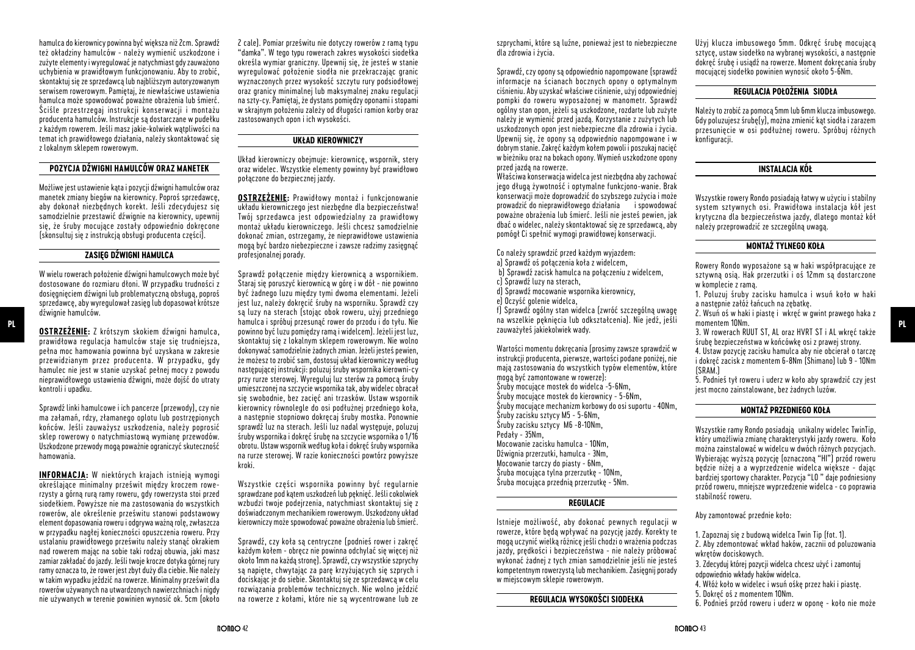hamulca do kierownicy powinna być większa niż 2cm. Sprawdź też okładziny hamulców - należy wymienić uszkodzone i zużyte elementy i wyregulować je natychmiast gdy zauważono uchybienia w prawidłowym funkcjonowaniu. Aby to zrobić, skontaktuj się ze sprzedawcą lub najbliższym autoryzowanym serwisem rowerowym. Pamiętaj, że niewłaściwe ustawienia hamulca może spowodować poważne obrażenia lub śmierć. Ściśle przestrzegaj instrukcji konserwacji i montażu producenta hamulców. Instrukcje są dostarczane w pudełku z każdym rowerem. Jeśli masz jakie-kolwiek wątpliwości na temat ich prawidłowego działania, należy skontaktować się z lokalnym sklepem rowerowym.

#### **POZYCJA DŹWIGNI HAMULCÓW ORAZ MANETEK**

Możliwe jest ustawienie kąta i pozycji dźwigni hamulców oraz manetek zmiany biegów na kierownicy. Poproś sprzedawcę, aby dokonał niezbędnych korekt. Jeśli zdecydujesz się samodzielnie przestawić dźwignie na kierownicy, upewnij się, że śruby mocujące zostały odpowiednio dokręcone (skonsultuj się z instrukcją obsługi producenta części).

#### **ZASIĘG DŹWIGNI HAMULCA**

W wielu rowerach położenie dźwigni hamulcowych może być dostosowane do rozmiaru dłoni. W przypadku trudności z dosięgnięciem dźwigni lub problematyczną obsługą, poproś sprzedawcę, aby wyregulował zasięg lub dopasował krótsze dźwignie hamulców.

**OSTRZEŻENIE:** Z krótszym skokiem dźwigni hamulca, prawidłowa regulacja hamulców staje się trudniejsza, pełna moc hamowania powinna być uzyskana w zakresie przewidzianym przez producenta. W przypadku, gdy hamulec nie jest w stanie uzyskać pełnej mocy z powodu nieprawidłowego ustawienia dźwigni, może dojść do utraty kontroli i upadku.

Sprawdź linki hamulcowe i ich pancerze (przewody), czy nie ma załamań, rdzy, złamanego oplotu lub postrzępionych końców. Jeśli zauważysz uszkodzenia, należy poprosić sklep rowerowy o natychmiastową wymianę przewodów. Uszkodzone przewody mogą poważnie ograniczyć skuteczność hamowania.

**INFORMACJA:** W niektórych krajach istnieją wymogi określające minimalny prześwit między kroczem rowerzysty a górną rurą ramy roweru, gdy rowerzysta stoi przed siodełkiem. Powyższe nie ma zastosowania do wszystkich rowerów, ale określenie prześwitu stanowi podstawowy element dopasowania roweru i odgrywa ważną rolę, zwłaszcza w przypadku nagłej konieczności opuszczenia roweru. Przy ustalaniu prawidłowego prześwitu należy stanąć okrakiem nad rowerem mając na sobie taki rodzaj obuwia, jaki masz zamiar zakładać do jazdy. Jeśli twoje krocze dotyka górnej rury ramy oznacza to, że rower jest zbyt duży dla ciebie. Nie należy w takim wypadku jeździć na rowerze. Minimalny prześwit dla rowerów używanych na utwardzonych nawierzchniach i nigdy nie używanych w terenie powinien wynosić ok. 5cm (około

2 cale). Pomiar prześwitu nie dotyczy rowerów z ramą typu "damka". W tego typu rowerach zakres wysokości siodełka określa wymiar graniczny. Upewnij się, że jesteś w stanie wyregulować położenie siodła nie przekraczając granic wyznaczonych przez wysokość szczytu rury podsiodłowej oraz granicy minimalnej lub maksymalnej znaku regulacji na szty-cy. Pamiętaj, że dystans pomiędzy oponami i stopami w skrajnym położeniu zależy od długości ramion korby oraz zastosowanych opon i ich wysokości.

#### **UKŁAD KIEROWNICZY**

Układ kierowniczy obejmuje: kierownicę, wspornik, stery oraz widelec. Wszystkie elementy powinny być prawidłowo połączone do bezpiecznej jazdy.

**OSTRZEŻENIE:** Prawidłowy montaż i funkcjonowanie układu kierowniczego jest niezbędne dla bezpieczeństwa! Twój sprzedawca jest odpowiedzialny za prawidłowy montaż układu kierowniczego. Jeśli chcesz samodzielnie dokonać zmian, ostrzegamy, że nieprawidłowe ustawienia mogą być bardzo niebezpieczne i zawsze radzimy zasięgnąć profesjonalnej porady.

Sprawdź połączenie między kierownicą a wspornikiem. Staraj się poruszyć kierownicą w górę i w dół - nie powinno być żadnego luzu między tymi dwoma elementami. Jeżeli jest luz, należy dokręcić śruby na wsporniku. Sprawdź czy są luzy na sterach (stojąc obok roweru, użyj przedniego hamulca i spróbuj przesunąć rower do przodu i do tyłu. Nie **PL PL**powinno być luzu pomiędzy ramą i widelcem). Jeżeli jest luz, skontaktuj się z lokalnym sklepem rowerowym. Nie wolno dokonywać samodzielnie żadnych zmian. Jeżeli jesteś pewien, że możesz to zrobić sam, dostosuj układ kierowniczy według następującej instrukcji: poluzuj śruby wspornika kierowni-cy przy rurze sterowej. Wyreguluj luz sterów za pomocą śruby umieszczonej na szczycie wspornika tak, aby widelec obracał się swobodnie, bez zacięć ani trzasków. Ustaw wspornik kierownicy równolegle do osi podłużnej przedniego koła, a następnie stopniowo dokręcaj śruby mostka. Ponownie sprawdź luz na sterach. Jeśli luz nadal występuje, poluzuj śruby wspornika i dokręć śrubę na szczycie wspornika o 1/16 obrotu. Ustaw wspornik według koła i dokręć śruby wspornika na rurze sterowej. W razie konieczności powtórz powyższe kroki.

> Wszystkie części wspornika powinny być regularnie sprawdzane pod kątem uszkodzeń lub pęknięć. Jeśli cokolwiek wzbudzi twoje podejrzenia, natychmiast skontaktuj się z doświadczonym mechanikiem rowerowym. Uszkodzony układ kierowniczy może spowodować poważne obrażenia lub śmierć.

> Sprawdź, czy koła są centryczne (podnieś rower i zakręć każdym kołem - obręcz nie powinna odchylać się więcej niż około 1mm na każdą stronę). Sprawdź, czy wszystkie szprychy są napięte, chwytając za parę krzyżujących się szprych i dociskając je do siebie. Skontaktuj się ze sprzedawcą w celu rozwiązania problemów technicznych. Nie wolno jeździć na rowerze z kołami, które nie są wycentrowane lub ze

szprychami, które są luźne, ponieważ jest to niebezpieczne dla zdrowia i życia.

Sprawdź, czy opony są odpowiednio napompowane (sprawdź informacje na ścianach bocznych opony o optymalnym ciśnieniu. Aby uzyskać właściwe ciśnienie, użyj odpowiedniej pompki do roweru wyposażonej w manometr. Sprawdź ogólny stan opon, jeżeli są uszkodzone, rozdarte lub zużyte należy je wymienić przed jazdą. Korzystanie z zużytych lub uszkodzonych opon jest niebezpieczne dla zdrowia i życia. Upewnij się, że opony są odpowiednio napompowane i w dobrym stanie. Zakręć każdym kołem powoli i poszukaj nacięć w bieżniku oraz na bokach opony. Wymień uszkodzone opony przed jazdą na rowerze.

Właściwa konserwacja widelca jest niezbędna aby zachować jego długą żywotność i optymalne funkcjono-wanie. Brak konserwacji może doprowadzić do szybszego zużycia i może prowadzić do nieprawidłowego działania i spowodować poważne obrażenia lub śmierć. Jeśli nie jesteś pewien, jak dbać o widelec, należy skontaktować się ze sprzedawcą, aby pomógł Ci spełnić wymogi prawidłowej konserwacji.

Co należy sprawdzić przed każdym wyjazdem:

- a) Sprawdź oś połączenia koła z widelcem,
- b) Sprawdź zacisk hamulca na połączeniu z widelcem,
- c) Sprawdź luzy na sterach,
- d) Sprawdź mocowanie wspornika kierownicy,
- e) Oczyść golenie widelca,
- 

f) Sprawdź ogólny stan widelca (zwróć szczególną uwagę na wszelkie pęknięcia lub odkształcenia). Nie jedź, jeśli zauważyłeś jakiekolwiek wady.

Wartości momentu dokręcania (prosimy zawsze sprawdzić w instrukcji producenta, pierwsze, wartości podane poniżej, nie mają zastosowania do wszystkich typów elementów, które mogą być zamontowane w rowerze): Śruby mocujące mostek do widelca -5-6Nm, Śruby mocujące mostek do kierownicy - 5-6Nm, Śruby mocujące mechanizm korbowy do osi suportu - 40Nm, Śruby zacisku sztycy M5 - 5-6Nm, Śruby zacisku sztycy M6 -8-10Nm, Pedały - 35Nm, Mocowanie zacisku hamulca - 10Nm, Dźwignia przerzutki, hamulca - 3Nm. Mocowanie tarczy do piasty - 6Nm, Śruba mocująca tylna przerzutkę - 10Nm, Śruba mocująca przednią przerzutkę - 5Nm.

#### **REGULACJE**

Istnieje możliwość, aby dokonać pewnych regulacji w rowerze, które będą wpływać na pozycję jazdy. Korekty te mogą uczynić wielką różnicę jeśli chodzi o wrażenia podczas jazdy, prędkości i bezpieczeństwa - nie należy próbować wykonać żadnej z tych zmian samodzielnie jeśli nie jesteś kompetentnym rowerzystą lub mechanikiem. Zasięgnij porady w miejscowym sklepie rowerowym.

#### **REGULACJA WYSOKOŚCI SIODEŁKA**

Użyj klucza imbusowego 5mm. Odkręć śrubę mocującą sztycę, ustaw siodełko na wybranej wysokości, a następnie dokręć śrubę i usiądź na rowerze. Moment dokręcania śruby mocującej siodełko powinien wynosić około 5-6Nm.

#### **REGULACJA POŁOŻENIA SIODŁA**

Należy to zrobić za pomocą 5mm lub 6mm klucza imbusowego. Gdy poluzujesz śrubę(y), można zmienić kąt siodła i zarazem przesunięcie w osi podłużnej roweru. Spróbuj różnych konfiguracji.

# **INSTALACJA KÓŁ**

Wszystkie rowery Rondo posiadają łatwy w użyciu i stabilny system sztywnych osi. Prawidłowa instalacja kół jest krytyczna dla bezpieczeństwa jazdy, dlatego montaż kół należy przeprowadzić ze szczególną uwagą.

### **MONTAŻ TYLNEGO KOŁA**

Rowery Rondo wyposażone są w haki współpracujące ze sztywną osią. Hak przerzutki i oś 12mm są dostarczone w komplecie z ramą.

1. Poluzuj śruby zacisku hamulca i wsuń koło w haki a następnie załóż łańcuch na zębatkę.

2. Wsuń oś w haki i piastę i wkręć w gwint prawego haka z momentem 10Nm.

3. W rowerach RUUT ST, AL oraz HVRT ST i AL wkręć także śrubę bezpieczeństwa w końcówkę osi z prawej strony.

4. Ustaw pozycję zacisku hamulca aby nie obcierał o tarczę i dokręć zacisk z momentem 6-8Nm (Shimano) lub 9 - 10Nm (SRAM.)

5. Podnieś tył roweru i uderz w koło aby sprawdzić czy jest jest mocno zainstalowane, bez żadnych luzów.

#### **MONTAŻ PRZEDNIEGO KOŁA**

Wszystkie ramy Rondo posiadają unikalny widelec TwinTip, który umożliwia zmianę charakterystyki jazdy roweru. Koło można zainstalować w widelcu w dwóch różnych pozycjach. Wybierając wyższą pozycję (oznaczoną "HI") przód roweru będzie niżej a a wyprzedzenie widelca większe - dając bardziej sportowy charakter. Pozycja "LO " daje podniesiony przód roweru, mniejsze wyprzedzenie widelca - co poprawia stabilność roweru.

Aby zamontować przednie koło:

1. Zapoznaj się z budową widelca Twin Tip (fot. 1).

2. Aby zdemontować wkład haków, zacznii od poluzowania wkrętów dociskowych.

- 3. Zdecyduj której pozycji widelca chcesz użyć i zamontuj odpowiednio wkłady haków widelca.
- 4. Włóż koło w widelec i wsuń ośkę przez haki i piastę.
- 5. Dokręć oś z momentem 10Nm.
- 6. Podnieś przód roweru i uderz w oponę koło nie może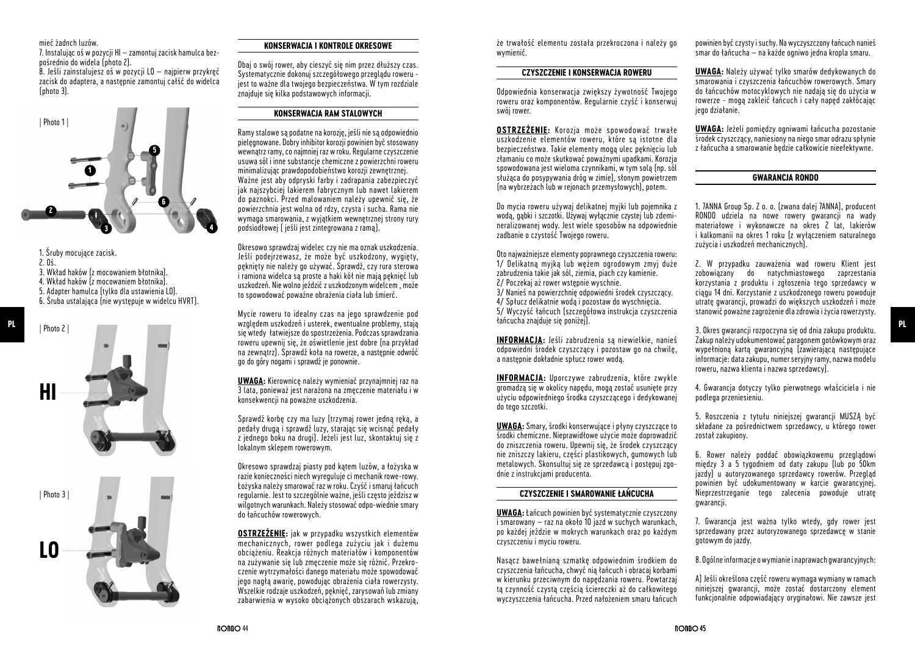#### mieć żadnch luzów.

7. Instalując oś w pozycji HI – zamontuj zacisk hamulca bezpośrednio do widela (photo 2).

8. Jeśli zainstalujesz oś w pozycji LO – najpierw przykręć zacisk do adaptera, a następnie zamontuj całść do widelca (photo 3).



- 1. Śruby mocujące zacisk.
- 2. Oś.
- 3. Wkład haków (z mocowaniem błotnika).
- 4. Wkład haków (z mocowaniem błotnika).
- 5. Adapter hamulca (tylko dla ustawienia LO).
- 6. Śruba ustalająca (nie występuje w widelcu HVRT).



#### **KONSERWACJA I KONTROLE OKRESOWE**

Dbaj o swój rower, aby cieszyć się nim przez dłuższy czas. Systematycznie dokonuj szczegółowego przeglądu roweru jest to ważne dla twojego bezpieczeństwa. W tym rozdziale znajduje się kilka podstawowych informacji.

# **KONSERWACJA RAM STALOWYCH**

Ramy stalowe są podatne na korozję, jeśli nie są odpowiednio pielęgnowane. Dobry inhibitor korozji powinien być stosowany wewnątrz ramy, co najmniej raz w roku. Regularne czyszczenie usuwa sól i inne substancje chemiczne z powierzchni roweru minimalizując prawdopodobieństwo korozji zewnętrznej. Ważne jest aby odpryski farby i zadrapania zabezpieczyć jak najszybciej lakierem fabrycznym lub nawet lakierem do paznokci. Przed malowaniem należy upewnić się, że powierzchnia jest wolna od rdzy, czysta i sucha. Rama nie wymaga smarowania, z wyjątkiem wewnętrznej strony rury podsiodłowej ( jeśli jest zintegrowana z ramą).

Okresowo sprawdzaj widelec czy nie ma oznak uszkodzenia. Jeśli podejrzewasz, że może być uszkodzony, wygięty, pęknięty nie należy go używać. Sprawdź, czy rura sterowa i ramiona widelca są proste a haki kół nie mają pęknięć lub uszkodzeń. Nie wolno jeździć z uszkodzonym widelcem , może to spowodować poważne obrażenia ciała lub śmierć.

Mycie roweru to idealny czas na jego sprawdzenie pod względem uszkodzeń i usterek, ewentualne problemy, stają się wtedy łatwiejsze do spostrzeżenia. Podczas sprawdzania roweru upewnij się, że oświetlenie jest dobre (na przykład na zewnątrz). Sprawdź koła na rowerze, a następnie odwróć go do góry nogami i sprawdź je ponownie. 3. Photo 2 | **Photo 2 | Integral and the University of the Science of the Science of the Science of Automa Science of the Science of Science of the Science of the Science of the Science of the Science of the Science of the** 

> **UWAGA:** Kierownicę należy wymieniać przynajmniej raz na 3 lata, ponieważ jest narażona na zmęczenie materiału i w konsekwencji na poważne uszkodzenia.

> Sprawdź korbę czy ma luzy (trzymaj rower jedną ręką, a pedały drugą i sprawdź luzy, starając się wcisnąć pedały z jednego boku na drugi). Jeżeli jest luz, skontaktuj się z lokalnym sklepem rowerowym.

Okresowo sprawdzaj piasty pod kątem luzów, a łożyska w razie konieczności niech wyreguluje ci mechanik rowe-rowy. Łożyska należy smarować raz w roku. Czyść i smaruj łańcuch regularnie. Jest to szczególnie ważne, jeśli często jeździsz w wilgotnych warunkach. Należy stosować odpo-wiednie smary do łańcuchów rowerowych.

**OSTRZEŻENIE:** jak w przypadku wszystkich elementów mechanicznych, rower podlega zużyciu jak i dużemu obciążeniu. Reakcja różnych materiałów i komponentów na zużywanie się lub zmęczenie może się różnić. Przekroczenie wytrzymałości danego materiału może spowodować jego nagłą awarię, powodując obrażenia ciała rowerzysty. Wszelkie rodzaje uszkodzeń, pęknięć, zarysowań lub zmiany zabarwienia w wysoko obciążonych obszarach wskazują,

że trwałość elementu została przekroczona i należy go wymienić.

#### **CZYSZCZENIE I KONSERWACJA ROWERU**

Odpowiednia konserwacja zwiększy żywotność Twojego roweru oraz komponentów. Regularnie czyść i konserwuj swój rower.

**OSTRZEŻENIE:** Korozja może spowodować trwałe uszkodzenie elementów roweru, które są istotne dla bezpieczeństwa. Takie elementy mogą ulec pęknięciu lub złamaniu co może skutkować poważnymi upadkami. Korozja spowodowana jest wieloma czynnikami, w tym solą (np. sól służąca do posypywania dróg w zimie), słonym powietrzem (na wybrzeżach lub w rejonach przemysłowych), potem.

Do mycia roweru używaj delikatnej myjki lub pojemnika z wodą, gąbki i szczotki. Używaj wyłącznie czystej lub zdemineralizowanej wody. Jest wiele sposobów na odpowiednie zadbanie o czystość Twojego roweru.

Oto najważniejsze elementy poprawnego czyszczenia roweru: 1/ Delikatną myjką lub wężem ogrodowym zmyj duże zabrudzenia takie jak sól, ziemia, piach czy kamienie. 2/ Poczekaj aż rower wstępnie wyschnie.

3/ Nanieś na powierzchnię odpowiedni środek czyszczący. 4/ Spłucz delikatnie wodą i pozostaw do wyschnięcia. 5/ Wyczyść łańcuch (szczegółowa instrukcja czyszczenia łańcucha znajduje się poniżej).

**INFORMACJA:** Jeśli zabrudzenia są niewielkie, nanieś odpowiedni środek czyszczący i pozostaw go na chwilę, a następnie dokładnie spłucz rower wodą.

**INFORMACJA:** Uporczywe zabrudzenia, które zwykle gromadzą się w okolicy napędu, mogą zostać usunięte przy użyciu odpowiedniego środka czyszczącego i dedykowanej do tego szczotki.

**UWAGA:** Smary, środki konserwujące i płyny czyszczące to środki chemiczne. Nieprawidłowe użycie może doprowadzić do zniszczenia roweru. Upewnij się, że środek czyszczący nie zniszczy lakieru, części plastikowych, gumowych lub metalowych. Skonsultuj się ze sprzedawcą i postępuj zgodnie z instrukcjami producenta.

# **CZYSZCZENIE I SMAROWANIE ŁAŃCUCHA**

**UWAGA:** Łańcuch powinien być systematycznie czyszczony i smarowany – raz na około 10 jazd w suchych warunkach, po każdej jeździe w mokrych warunkach oraz po każdym czyszczeniu i myciu roweru.

Nasącz bawełnianą szmatkę odpowiednim środkiem do czyszczenia łańcucha, chwyć nią łańcuch i obracaj korbami w kierunku przeciwnym do napędzania roweru. Powtarzaj tą czynność czystą częścią ściereczki aż do całkowitego wyczyszczenia łańcucha. Przed nałożeniem smaru łańcuch

powinien być czysty i suchy. Na wyczyszczony łańcuch nanieś smar do łańcucha – na każde ogniwo jedna kropla smaru.

**UWAGA:** Należy używać tylko smarów dedykowanych do smarowania i czyszczenia łańcuchów rowerowych. Smary do łańcuchów motocyklowych nie nadają się do użycia w rowerze - mogą zakleić łańcuch i cały napęd zakłócając jego działanie.

**UWAGA:** Jeżeli pomiędzy ogniwami łańcucha pozostanie środek czyszczący, naniesiony na niego smar odrazu spłynie z łańcucha a smarowanie będzie całkowicie nieefektywne.

# **GWARANCJA RONDO**

1. 7ANNA Group Sp. Z o. o. (zwana dalej 7ANNA), producent RONDO udziela na nowe rowery gwarancji na wady materiałowe i wykonawcze na okres 2 lat, lakierów i kalkomanii na okres 1 roku (z wyłączeniem naturalnego zużycia i uszkodzeń mechanicznych).

2. W przypadku zauważenia wad roweru Klient jest zobowiązany do natychmiastowego zaprzestania korzystania z produktu i zgłoszenia tego sprzedawcy w ciągu 14 dni. Korzystanie z uszkodzonego roweru powoduje utratę gwarancji, prowadzi do większych uszkodzeń i może stanowić poważne zagrożenie dla zdrowia i życia rowerzysty.

Zakup należy udokumentować paragonem gotówkowym oraz wypełnioną kartą gwarancyjną (zawierającą następujące informacje: data zakupu, numer seryjny ramy, nazwa modelu roweru, nazwa klienta i nazwa sprzedawcy).

4. Gwarancja dotyczy tylko pierwotnego właściciela i nie podlega przeniesieniu.

5. Roszczenia z tytułu niniejszej gwarancji MUSZĄ być składane za pośrednictwem sprzedawcy, u którego rower został zakupiony.

6. Rower należy poddać obowiązkowemu przeglądowi między 3 a 5 tygodniem od daty zakupu (lub po 50km jazdy) u autoryzowanego sprzedawcy rowerów. Przegląd powinien być udokumentowany w karcie gwarancyjnej. Nieprzestrzeganie tego zalecenia powoduje utratę gwarancji.

7. Gwarancja jest ważna tylko wtedy, gdy rower jest sprzedawany przez autoryzowanego sprzedawcę w stanie gotowym do jazdy.

8. Ogólne informacje o wymianie i naprawach gwarancyjnych:

A) Jeśli określona część roweru wymaga wymiany w ramach niniejszej gwarancji, może zostać dostarczony element funkcjonalnie odpowiadający oryginałowi. Nie zawsze jest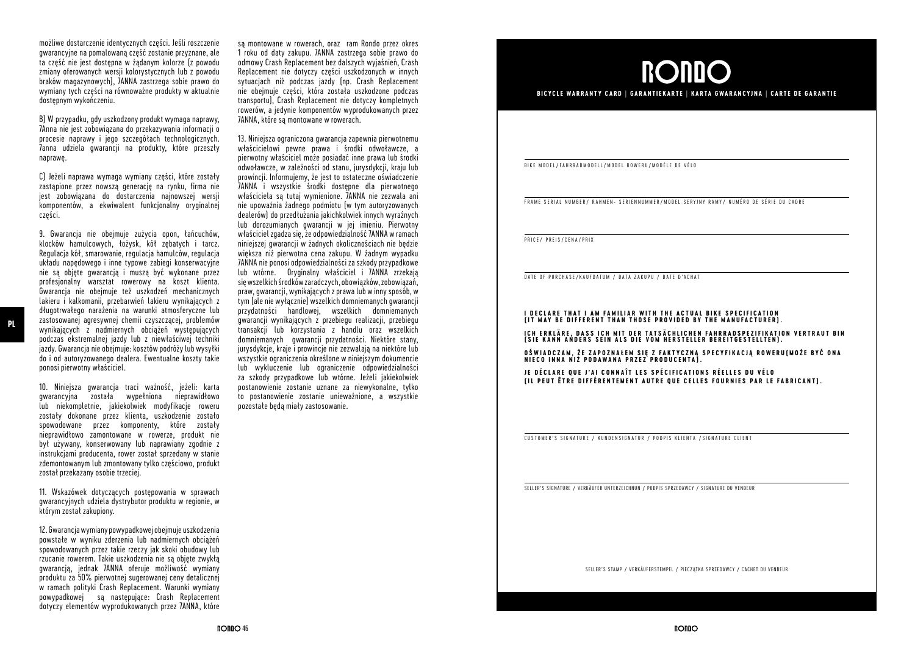możliwe dostarczenie identycznych części. Jeśli roszczenie gwarancyjne na pomalowaną część zostanie przyznane, ale ta część nie jest dostępna w żądanym kolorze (z powodu zmiany oferowanych wersji kolorystycznych lub z powodu braków magazynowych), 7ANNA zastrzega sobie prawo do wymiany tych części na równoważne produkty w aktualnie dostępnym wykończeniu.

B) W przypadku, gdy uszkodzony produkt wymaga naprawy, 7Anna nie jest zobowiązana do przekazywania informacji o procesie naprawy i jego szczegółach technologicznych. 7anna udziela gwarancji na produkty, które przeszły naprawę.

C) Jeżeli naprawa wymaga wymiany części, które zostały zastapione przez nowszą generacie na rynku, firma nie jest zobowiązana do dostarczenia najnowszej wersji komponentów, a ekwiwalent funkcionalny oryginalnej części.

9. Gwarancja nie obejmuje zużycia opon, łańcuchów, klocków hamulcowych, łożysk, kół zębatych i tarcz. Regulacja kół, smarowanie, regulacja hamulców, regulacja układu napędowego i inne typowe zabiegi konserwacyjne nie są objęte gwarancją i muszą być wykonane przez profesjonalny warsztat rowerowy na koszt klienta. Gwarancja nie obejmuje też uszkodzeń mechanicznych lakieru i kalkomanii, przebarwień lakieru wynikających z długotrwałego narażenia na warunki atmosferyczne lub zastosowanej agresywnej chemii czyszczącej, problemów wynikających z nadmiernych obciążeń występujących podczas ekstremalnej jazdy lub z niewłaściwej techniki jazdy. Gwarancja nie obejmuje: kosztów podróży lub wysyłki do i od autoryzowanego dealera. Ewentualne koszty takie ponosi pierwotny właściciel.

10. Niniejsza gwarancja traci ważność, jeżeli: karta gwarancyjna została wypełniona nieprawidłowo lub niekompletnie, jakiekolwiek modyfikacje roweru zostały dokonane przez klienta, uszkodzenie zostało spowodowane przez komponenty, które zostały nieprawidłowo zamontowane w rowerze, produkt nie był używany, konserwowany lub naprawiany zgodnie z instrukcjami producenta, rower został sprzedany w stanie zdemontowanym lub zmontowany tylko częściowo, produkt został przekazany osobie trzeciej.

11. Wskazówek dotyczących postępowania w sprawach gwarancyjnych udziela dystrybutor produktu w regionie, w którym został zakupiony.

12. Gwarancja wymiany powypadkowej obejmuje uszkodzenia powstałe w wyniku zderzenia lub nadmiernych obciążeń spowodowanych przez takie rzeczy jak skoki obudowy lub rzucanie rowerem. Takie uszkodzenia nie są objęte zwykłą gwarancją, jednak 7ANNA oferuje możliwość wymiany produktu za 50% pierwotnej sugerowanej ceny detalicznej w ramach polityki Crash Replacement. Warunki wymiany powypadkowej są następujące: Crash Replacement dotyczy elementów wyprodukowanych przez 7ANNA, które

są montowane w rowerach, oraz ram Rondo przez okres 1 roku od daty zakupu. 7ANNA zastrzega sobie prawo do odmowy Crash Replacement bez dalszych wyjaśnień, Crash Replacement nie dotyczy części uszkodzonych w innych sytuaciach niż podczas jazdy (np. Crash Replacement nie obejmuje części, która została uszkodzone podczas transportu), Crash Replacement nie dotyczy kompletnych rowerów, a jedynie komponentów wyprodukowanych przez 7ANNA, które są montowane w rowerach.

13. Niniejsza ograniczona gwarancja zapewnia pierwotnemu właścicielowi pewne prawa i środki odwoławcze, a pierwotny właściciel może posiadać inne prawa lub środki odwoławcze, w zależności od stanu, jurysdykcji, kraju lub prowincji. Informujemy, że jest to ostateczne oświadczenie 7ANNA i wszystkie środki dostępne dla pierwotnego właściciela są tutaj wymienione. 7ANNA nie zezwala ani nie upoważnia żadnego podmiotu (w tym autoryzowanych dealerów) do przedłużania jakichkolwiek innych wyraźnych lub dorozumianych gwarancji w jej imieniu. Pierwotny właściciel zgadza się, że odpowiedzialność 7ANNA w ramach niniejszej gwarancji w żadnych okolicznościach nie będzie większa niż pierwotna cena zakupu. W żadnym wypadku 7ANNA nie ponosi odpowiedzialności za szkody przypadkowe lub wtórne. Oryginalny właściciel i 7ANNA zrzekają się wszelkich środków zaradczych, obowiązków, zobowiązań, praw, gwarancji, wynikających z prawa lub w inny sposób, w tym (ale nie wyłącznie) wszelkich domniemanych gwarancji przydatności handlowej, wszelkich domniemanych gwarancji wynikających z przebiegu realizacji, przebiegu transakcji lub korzystania z handlu oraz wszelkich domniemanych gwarancji przydatności. Niektóre stany, jurysdykcje, kraje i prowincje nie zezwalają na niektóre lub wszystkie ograniczenia określone w niniejszym dokumencie lub wykluczenie lub ograniczenie odpowiedzialności za szkody przypadkowe lub wtórne. Jeżeli jakiekolwiek postanowienie zostanie uznane za niewykonalne, tylko to postanowienie zostanie unieważnione, a wszystkie pozostałe będą miały zastosowanie.

# RONNO

#### **BICYCLE WARRANTY CARD | GARANTIEKARTE | KARTA GWARANCYJNA | CARTE DE GARANTIE**

BIKE MODEL/FAHRRADMODELL/MODEL ROWERU/MODÈLE DE VÉLO

FRAME SERIAL NUMBER/ RAHMEN- SERIENNUMMER/MODEL SERYJNY RAMY/ NUMÉRO DE SÉRIE DU CADRE

PRICE/ PREIS/CENA/PRIX

DATE OF PURCHASE/KAUFDATUM / DATA ZAKUPU / DATE D'ACHAT

# **I DECLARE THAT I AM FAMILIAR WITH THE ACTUAL BIKE SPECIFICATION (IT MAY BE DIFFERENT THAN THOSE PROVIDED BY THE MANUFACTURER).**

ICH ERKLARE, DASS ICH MIT DER TATSACHLICHEN FAHRRADSPEZIFIKATION VERTRAUT BIN<br>(SIE KANN ANDERS SEIN ALS DIE VOM HERSTELLER BEREITGESTELLTEN).

OSWIADCZAM, ZE ZAPOZNAŁEM SIĘ Z FAKTYCZNĄ SPECYFIKACJĄ ROWERU[MOZE BYC ONA<br>NIECO INNA NIŻ PODAWANA PRZEZ PRODUCENTA).

**JE DÉCLARE QUE J'AI CONNAÎT LES SPÉCIFICATIONS RÉELLES DU VÉLO (IL PEUT ÊTRE DIFFÉRENTEMENT AUTRE QUE CELLES FOURNIES PAR LE FABRICANT).**

CUSTOMER'S SIGNATURE / KUNDENSIGNATUR / PODPIS KLIENTA /SIGNATURE CLIENT

SELLER'S SIGNATURE / VERKÄUFER UNTERZEICHNUN / PODPIS SPRZEDAWCY / SIGNATURE DU VENDEUR

SELLER'S STAMP / VERKÄUFERSTEMPEL / PIECZĄTKA SPRZEDAWCY / CACHET DU VENDEUR